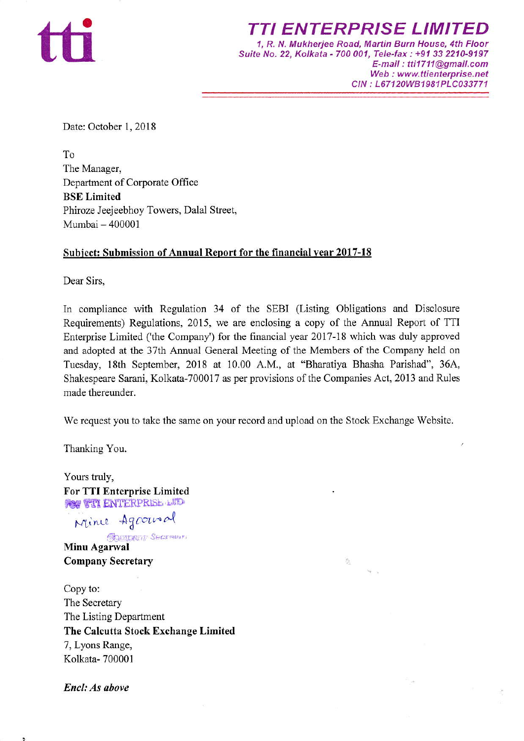

 $\frac{D_{\rm{c}}}{\sqrt{2}}$ 

Date: October 1, 2018

To The Manager, Department of Corporate Office **BSE** Limited Phiroze Jeejeebhoy Towers, Dalal Street, Mumbai - 400001

## Subject: Submission of Annual Report for the financial year 2017-18

Dear Sirs,

In compliance with Regulation 34 of the SEBI (Listing Obligations and Disclosure Requirements) Regulations, 2015, we are enclosing a copy of the Annual Report of TTI Enterprise Limited ('the Company') for the financial year 2017-18 which was duly approved and adopted at the 37th Annual General Meeting of the Members of the Company held on Tuesday, lSth September, 2018 at 10.00 A.M., at "Bharatiya Bhasha Parishad", 36A, Shakespeare Sarani, Kolkata-700017 as per provisions of the Companies Act, 2013 and Rules made thereunder.

We request you to take the same on your record and upload on the Stock Exchange Website.

Thanking You.

Yours truly, For TTI Enterprise Limited For WII ENTERPRISE LID

Minue Aground

Minu Agarwal Company Secretary

Copy to: The Secretary The Listing Department The Calcutta Stock Exchange Limited 7, Lyons Range, Kolkata- 700001

Ehcl: As abow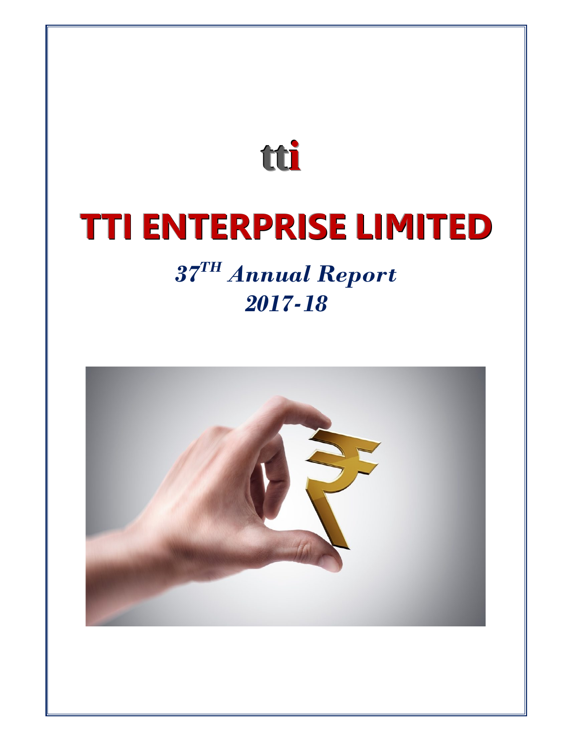# **tti TTI ENTERPRISE LIMITED** *37TH Annual Report*

*2017-18* 

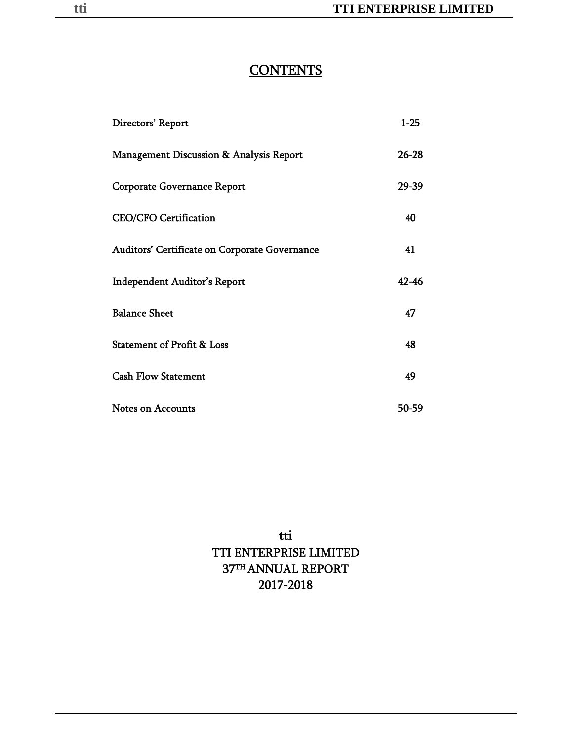# **CONTENTS**

| Directors' Report                                  | $1 - 25$  |
|----------------------------------------------------|-----------|
| <b>Management Discussion &amp; Analysis Report</b> | $26 - 28$ |
| Corporate Governance Report                        | 29-39     |
| <b>CEO/CFO Certification</b>                       | 40        |
| Auditors' Certificate on Corporate Governance      | 41        |
| <b>Independent Auditor's Report</b>                | $42 - 46$ |
| <b>Balance Sheet</b>                               | 47        |
| <b>Statement of Profit &amp; Loss</b>              | 48        |
| <b>Cash Flow Statement</b>                         | 49        |
| <b>Notes on Accounts</b>                           | 50-59     |

tti TTI ENTERPRISE LIMITED 37TH ANNUAL REPORT 2017-2018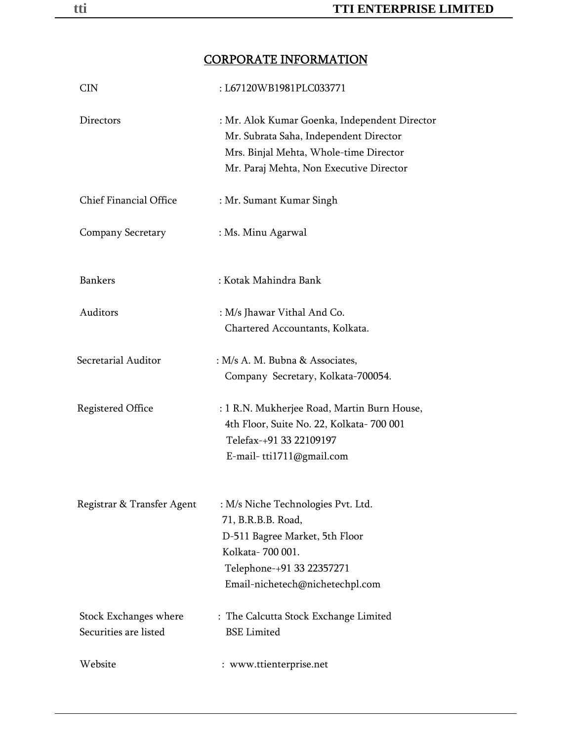# CORPORATE INFORMATION

| <b>CIN</b>                                     | :L67120WB1981PLC033771                                                                                                                                                         |
|------------------------------------------------|--------------------------------------------------------------------------------------------------------------------------------------------------------------------------------|
| Directors                                      | : Mr. Alok Kumar Goenka, Independent Director<br>Mr. Subrata Saha, Independent Director<br>Mrs. Binjal Mehta, Whole-time Director<br>Mr. Paraj Mehta, Non Executive Director   |
| Chief Financial Office                         | : Mr. Sumant Kumar Singh                                                                                                                                                       |
| <b>Company Secretary</b>                       | : Ms. Minu Agarwal                                                                                                                                                             |
| <b>Bankers</b>                                 | : Kotak Mahindra Bank                                                                                                                                                          |
| Auditors                                       | : M/s Jhawar Vithal And Co.<br>Chartered Accountants, Kolkata.                                                                                                                 |
| Secretarial Auditor                            | : M/s A. M. Bubna & Associates,<br>Company Secretary, Kolkata-700054.                                                                                                          |
| Registered Office                              | : 1 R.N. Mukherjee Road, Martin Burn House,<br>4th Floor, Suite No. 22, Kolkata-700 001<br>Telefax-+91 33 22109197<br>E-mail-tti1711@gmail.com                                 |
| Registrar & Transfer Agent                     | : M/s Niche Technologies Pvt. Ltd.<br>71, B.R.B.B. Road,<br>D-511 Bagree Market, 5th Floor<br>Kolkata-700 001.<br>Telephone-+91 33 22357271<br>Email-nichetech@nichetechpl.com |
| Stock Exchanges where<br>Securities are listed | : The Calcutta Stock Exchange Limited<br><b>BSE</b> Limited                                                                                                                    |
| Website                                        | : www.ttienterprise.net                                                                                                                                                        |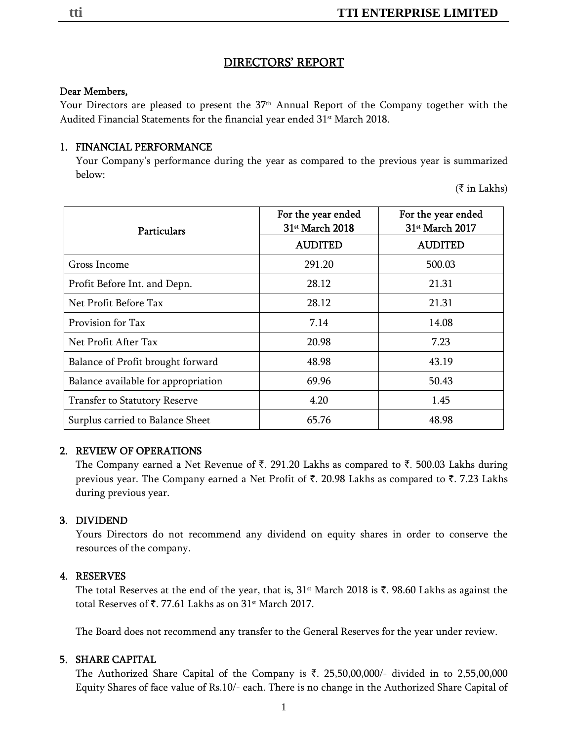## DIRECTORS' REPORT

#### Dear Members,

Your Directors are pleased to present the 37<sup>th</sup> Annual Report of the Company together with the Audited Financial Statements for the financial year ended  $31<sup>st</sup>$  March 2018.

## 1. FINANCIAL PERFORMANCE

Your Company's performance during the year as compared to the previous year is summarized below:

 $(\bar{\bar{\mathbf{x}}}$  in Lakhs)

| Particulars                         | For the year ended<br>31 <sup>st</sup> March 2018 | For the year ended<br>31 <sup>st</sup> March 2017 |
|-------------------------------------|---------------------------------------------------|---------------------------------------------------|
|                                     | <b>AUDITED</b>                                    | <b>AUDITED</b>                                    |
| Gross Income                        | 291.20                                            | 500.03                                            |
| Profit Before Int. and Depn.        | 28.12                                             | 21.31                                             |
| Net Profit Before Tax               | 28.12                                             | 21.31                                             |
| Provision for Tax                   | 7.14                                              | 14.08                                             |
| Net Profit After Tax                | 20.98                                             | 7.23                                              |
| Balance of Profit brought forward   | 48.98                                             | 43.19                                             |
| Balance available for appropriation | 69.96                                             | 50.43                                             |
| Transfer to Statutory Reserve       | 4.20                                              | 1.45                                              |
| Surplus carried to Balance Sheet    | 65.76                                             | 48.98                                             |

## 2. REVIEW OF OPERATIONS

The Company earned a Net Revenue of  $\bar{\tau}$ . 291.20 Lakhs as compared to  $\bar{\tau}$ . 500.03 Lakhs during previous year. The Company earned a Net Profit of  $\bar{\tau}$ . 20.98 Lakhs as compared to  $\bar{\tau}$ . 7.23 Lakhs during previous year.

## 3. DIVIDEND

Yours Directors do not recommend any dividend on equity shares in order to conserve the resources of the company.

## 4. RESERVES

The total Reserves at the end of the year, that is,  $31<sup>st</sup>$  March 2018 is  $\bar{\tau}$ . 98.60 Lakhs as against the total Reserves of  $\overline{\mathfrak{c}}$ . 77.61 Lakhs as on 31<sup>st</sup> March 2017.

The Board does not recommend any transfer to the General Reserves for the year under review.

## 5. SHARE CAPITAL

The Authorized Share Capital of the Company is  $\bar{\tau}$ . 25,50,00,000/- divided in to 2,55,00,000 Equity Shares of face value of Rs.10/- each. There is no change in the Authorized Share Capital of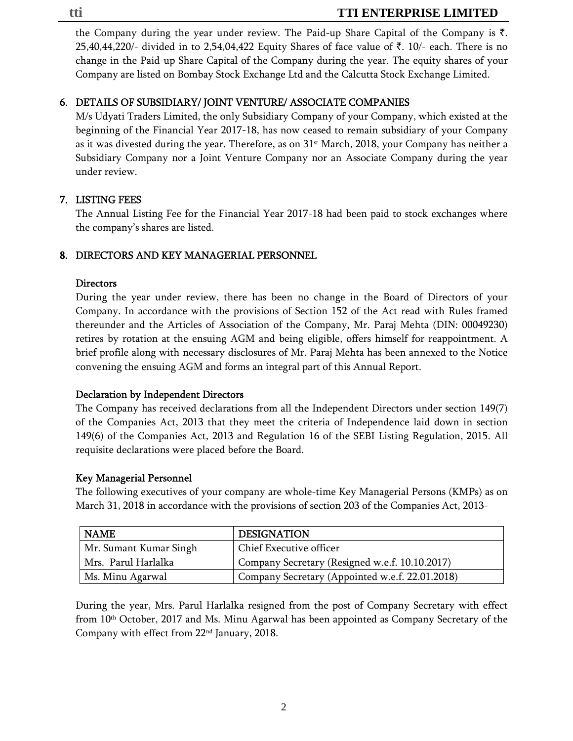the Company during the year under review. The Paid-up Share Capital of the Company is  $\bar{\tau}$ . 25,40,44,220/- divided in to 2,54,04,422 Equity Shares of face value of  $\bar{\tau}$ . 10/- each. There is no change in the Paid-up Share Capital of the Company during the year. The equity shares of your Company are listed on Bombay Stock Exchange Ltd and the Calcutta Stock Exchange Limited.

## 6. DETAILS OF SUBSIDIARY/ JOINT VENTURE/ ASSOCIATE COMPANIES

M/s Udyati Traders Limited, the only Subsidiary Company of your Company, which existed at the beginning of the Financial Year 2017-18, has now ceased to remain subsidiary of your Company as it was divested during the year. Therefore, as on  $31<sup>st</sup>$  March, 2018, your Company has neither a Subsidiary Company nor a Joint Venture Company nor an Associate Company during the year under review.

## 7. LISTING FEES

The Annual Listing Fee for the Financial Year 2017-18 had been paid to stock exchanges where the company's shares are listed.

## 8. DIRECTORS AND KEY MANAGERIAL PERSONNEL

#### **Directors**

During the year under review, there has been no change in the Board of Directors of your Company. In accordance with the provisions of Section 152 of the Act read with Rules framed thereunder and the Articles of Association of the Company, Mr. Paraj Mehta (DIN: 00049230) retires by rotation at the ensuing AGM and being eligible, offers himself for reappointment. A brief profile along with necessary disclosures of Mr. Paraj Mehta has been annexed to the Notice convening the ensuing AGM and forms an integral part of this Annual Report.

## Declaration by Independent Directors

The Company has received declarations from all the Independent Directors under section 149(7) of the Companies Act, 2013 that they meet the criteria of Independence laid down in section 149(6) of the Companies Act, 2013 and Regulation 16 of the SEBI Listing Regulation, 2015. All requisite declarations were placed before the Board.

## Key Managerial Personnel

The following executives of your company are whole-time Key Managerial Persons (KMPs) as on March 31, 2018 in accordance with the provisions of section 203 of the Companies Act, 2013-

| <b>NAME</b>            | <b>DESIGNATION</b>                              |
|------------------------|-------------------------------------------------|
| Mr. Sumant Kumar Singh | Chief Executive officer                         |
| Mrs. Parul Harlalka    | Company Secretary (Resigned w.e.f. 10.10.2017)  |
| Ms. Minu Agarwal       | Company Secretary (Appointed w.e.f. 22.01.2018) |

During the year, Mrs. Parul Harlalka resigned from the post of Company Secretary with effect from  $10<sup>th</sup>$  October, 2017 and Ms. Minu Agarwal has been appointed as Company Secretary of the Company with effect from 22nd January, 2018.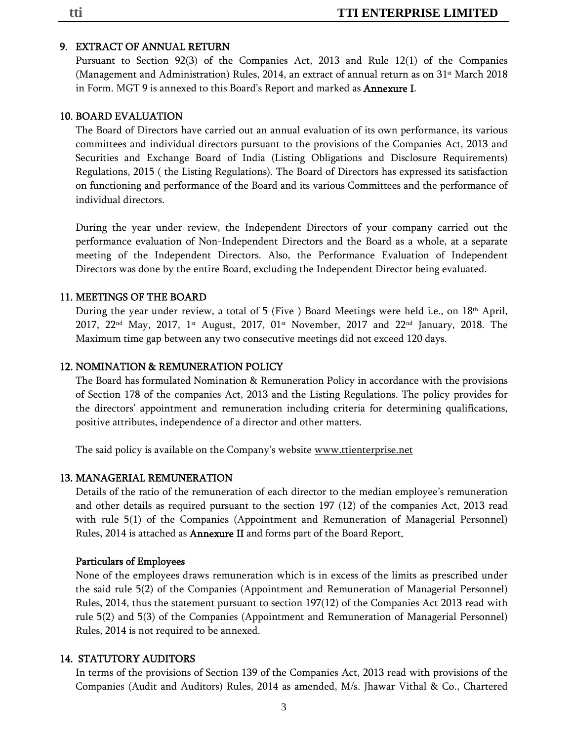#### 9. EXTRACT OF ANNUAL RETURN

Pursuant to Section 92(3) of the Companies Act, 2013 and Rule 12(1) of the Companies (Management and Administration) Rules, 2014, an extract of annual return as on  $31<sup>st</sup>$  March 2018 in Form. MGT 9 is annexed to this Board's Report and marked as Annexure I.

#### 10. BOARD EVALUATION

The Board of Directors have carried out an annual evaluation of its own performance, its various committees and individual directors pursuant to the provisions of the Companies Act, 2013 and Securities and Exchange Board of India (Listing Obligations and Disclosure Requirements) Regulations, 2015 ( the Listing Regulations). The Board of Directors has expressed its satisfaction on functioning and performance of the Board and its various Committees and the performance of individual directors.

During the year under review, the Independent Directors of your company carried out the performance evaluation of Non-Independent Directors and the Board as a whole, at a separate meeting of the Independent Directors. Also, the Performance Evaluation of Independent Directors was done by the entire Board, excluding the Independent Director being evaluated.

#### 11. MEETINGS OF THE BOARD

During the year under review, a total of 5 (Five ) Board Meetings were held i.e., on  $18<sup>th</sup>$  April, 2017, 22<sup>nd</sup> May, 2017, 1<sup>st</sup> August, 2017, 01<sup>st</sup> November, 2017 and 22<sup>nd</sup> January, 2018. The Maximum time gap between any two consecutive meetings did not exceed 120 days.

#### 12. NOMINATION & REMUNERATION POLICY

The Board has formulated Nomination & Remuneration Policy in accordance with the provisions of Section 178 of the companies Act, 2013 and the Listing Regulations. The policy provides for the directors' appointment and remuneration including criteria for determining qualifications, positive attributes, independence of a director and other matters.

The said policy is available on the Company's website www.ttienterprise.net

#### 13. MANAGERIAL REMUNERATION

Details of the ratio of the remuneration of each director to the median employee's remuneration and other details as required pursuant to the section 197 (12) of the companies Act, 2013 read with rule 5(1) of the Companies (Appointment and Remuneration of Managerial Personnel) Rules, 2014 is attached as **Annexure II** and forms part of the Board Report.

#### Particulars of Employees

None of the employees draws remuneration which is in excess of the limits as prescribed under the said rule 5(2) of the Companies (Appointment and Remuneration of Managerial Personnel) Rules, 2014, thus the statement pursuant to section 197(12) of the Companies Act 2013 read with rule 5(2) and 5(3) of the Companies (Appointment and Remuneration of Managerial Personnel) Rules, 2014 is not required to be annexed.

#### 14. STATUTORY AUDITORS

In terms of the provisions of Section 139 of the Companies Act, 2013 read with provisions of the Companies (Audit and Auditors) Rules, 2014 as amended, M/s. Jhawar Vithal & Co., Chartered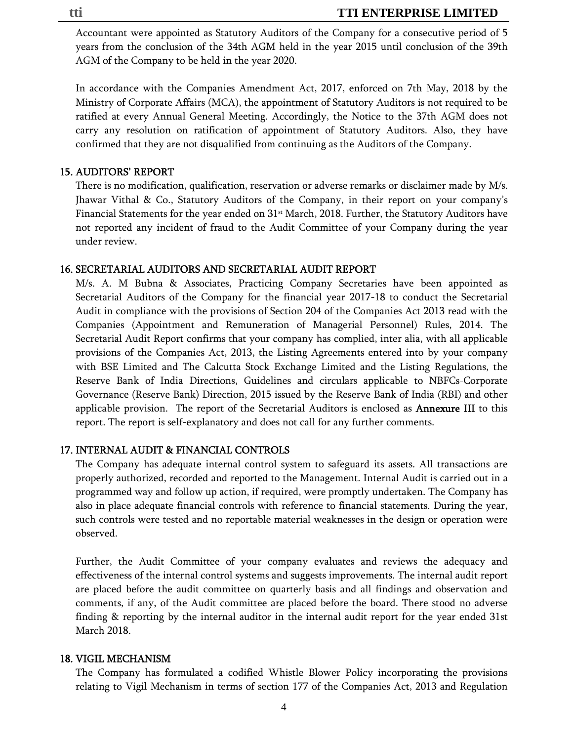Accountant were appointed as Statutory Auditors of the Company for a consecutive period of 5 years from the conclusion of the 34th AGM held in the year 2015 until conclusion of the 39th AGM of the Company to be held in the year 2020.

In accordance with the Companies Amendment Act, 2017, enforced on 7th May, 2018 by the Ministry of Corporate Affairs (MCA), the appointment of Statutory Auditors is not required to be ratified at every Annual General Meeting. Accordingly, the Notice to the 37th AGM does not carry any resolution on ratification of appointment of Statutory Auditors. Also, they have confirmed that they are not disqualified from continuing as the Auditors of the Company.

#### 15. AUDITORS' REPORT

There is no modification, qualification, reservation or adverse remarks or disclaimer made by M/s. Jhawar Vithal & Co., Statutory Auditors of the Company, in their report on your company's Financial Statements for the year ended on  $31<sup>st</sup>$  March, 2018. Further, the Statutory Auditors have not reported any incident of fraud to the Audit Committee of your Company during the year under review.

#### 16. SECRETARIAL AUDITORS AND SECRETARIAL AUDIT REPORT

M/s. A. M Bubna & Associates, Practicing Company Secretaries have been appointed as Secretarial Auditors of the Company for the financial year 2017-18 to conduct the Secretarial Audit in compliance with the provisions of Section 204 of the Companies Act 2013 read with the Companies (Appointment and Remuneration of Managerial Personnel) Rules, 2014. The Secretarial Audit Report confirms that your company has complied, inter alia, with all applicable provisions of the Companies Act, 2013, the Listing Agreements entered into by your company with BSE Limited and The Calcutta Stock Exchange Limited and the Listing Regulations, the Reserve Bank of India Directions, Guidelines and circulars applicable to NBFCs-Corporate Governance (Reserve Bank) Direction, 2015 issued by the Reserve Bank of India (RBI) and other applicable provision. The report of the Secretarial Auditors is enclosed as **Annexure III** to this report. The report is self-explanatory and does not call for any further comments.

#### 17. INTERNAL AUDIT & FINANCIAL CONTROLS

The Company has adequate internal control system to safeguard its assets. All transactions are properly authorized, recorded and reported to the Management. Internal Audit is carried out in a programmed way and follow up action, if required, were promptly undertaken. The Company has also in place adequate financial controls with reference to financial statements. During the year, such controls were tested and no reportable material weaknesses in the design or operation were observed.

Further, the Audit Committee of your company evaluates and reviews the adequacy and effectiveness of the internal control systems and suggests improvements. The internal audit report are placed before the audit committee on quarterly basis and all findings and observation and comments, if any, of the Audit committee are placed before the board. There stood no adverse finding & reporting by the internal auditor in the internal audit report for the year ended 31st March 2018.

#### 18. VIGIL MECHANISM

The Company has formulated a codified Whistle Blower Policy incorporating the provisions relating to Vigil Mechanism in terms of section 177 of the Companies Act, 2013 and Regulation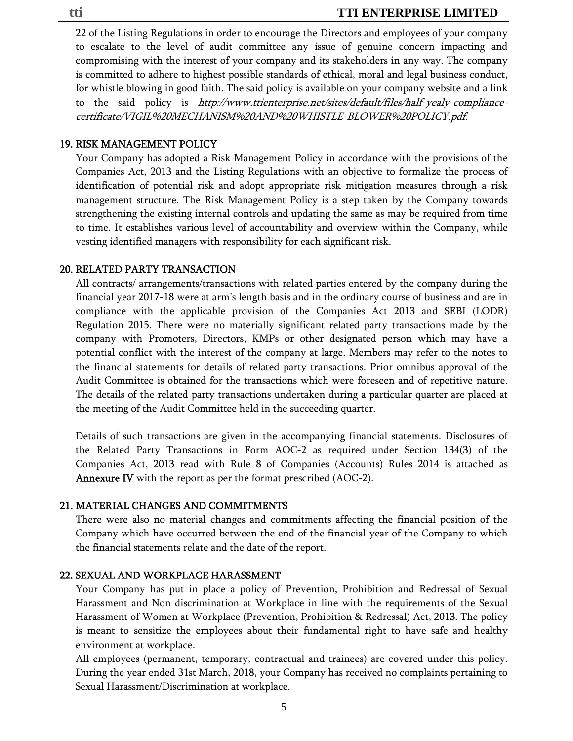22 of the Listing Regulations in order to encourage the Directors and employees of your company to escalate to the level of audit committee any issue of genuine concern impacting and compromising with the interest of your company and its stakeholders in any way. The company is committed to adhere to highest possible standards of ethical, moral and legal business conduct, for whistle blowing in good faith. The said policy is available on your company website and a link to the said policy is *http://www.ttienterprise.net/sites/default/files/half-yealy-compliance*certificate/VIGIL%20MECHANISM%20AND%20WHISTLE-BLOWER%20POLICY.pdf.

#### 19. RISK MANAGEMENT POLICY

Your Company has adopted a Risk Management Policy in accordance with the provisions of the Companies Act, 2013 and the Listing Regulations with an objective to formalize the process of identification of potential risk and adopt appropriate risk mitigation measures through a risk management structure. The Risk Management Policy is a step taken by the Company towards strengthening the existing internal controls and updating the same as may be required from time to time. It establishes various level of accountability and overview within the Company, while vesting identified managers with responsibility for each significant risk.

#### 20. RELATED PARTY TRANSACTION

All contracts/ arrangements/transactions with related parties entered by the company during the financial year 2017-18 were at arm's length basis and in the ordinary course of business and are in compliance with the applicable provision of the Companies Act 2013 and SEBI (LODR) Regulation 2015. There were no materially significant related party transactions made by the company with Promoters, Directors, KMPs or other designated person which may have a potential conflict with the interest of the company at large. Members may refer to the notes to the financial statements for details of related party transactions. Prior omnibus approval of the Audit Committee is obtained for the transactions which were foreseen and of repetitive nature. The details of the related party transactions undertaken during a particular quarter are placed at the meeting of the Audit Committee held in the succeeding quarter.

Details of such transactions are given in the accompanying financial statements. Disclosures of the Related Party Transactions in Form AOC-2 as required under Section 134(3) of the Companies Act, 2013 read with Rule 8 of Companies (Accounts) Rules 2014 is attached as Annexure IV with the report as per the format prescribed (AOC-2).

#### 21. MATERIAL CHANGES AND COMMITMENTS

There were also no material changes and commitments affecting the financial position of the Company which have occurred between the end of the financial year of the Company to which the financial statements relate and the date of the report.

#### 22. SEXUAL AND WORKPLACE HARASSMENT

Your Company has put in place a policy of Prevention, Prohibition and Redressal of Sexual Harassment and Non discrimination at Workplace in line with the requirements of the Sexual Harassment of Women at Workplace (Prevention, Prohibition & Redressal) Act, 2013. The policy is meant to sensitize the employees about their fundamental right to have safe and healthy environment at workplace.

All employees (permanent, temporary, contractual and trainees) are covered under this policy. During the year ended 31st March, 2018, your Company has received no complaints pertaining to Sexual Harassment/Discrimination at workplace.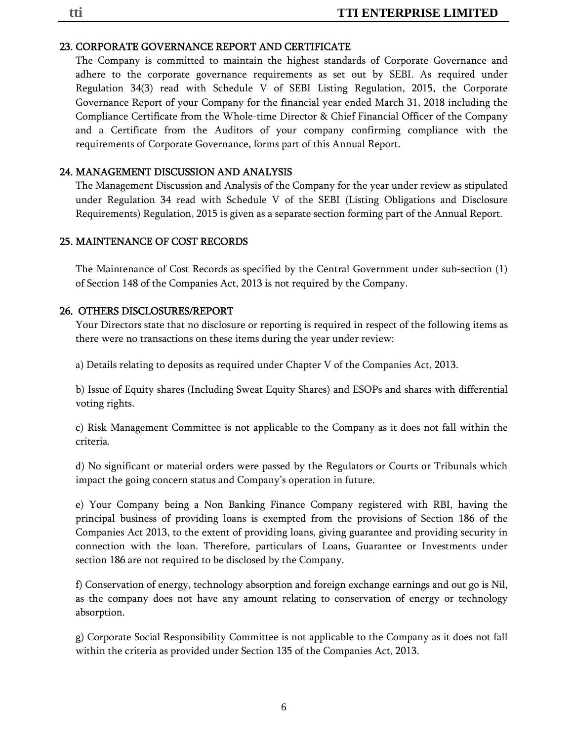#### 23. CORPORATE GOVERNANCE REPORT AND CERTIFICATE

The Company is committed to maintain the highest standards of Corporate Governance and adhere to the corporate governance requirements as set out by SEBI. As required under Regulation 34(3) read with Schedule V of SEBI Listing Regulation, 2015, the Corporate Governance Report of your Company for the financial year ended March 31, 2018 including the Compliance Certificate from the Whole-time Director & Chief Financial Officer of the Company and a Certificate from the Auditors of your company confirming compliance with the requirements of Corporate Governance, forms part of this Annual Report.

#### 24. MANAGEMENT DISCUSSION AND ANALYSIS

The Management Discussion and Analysis of the Company for the year under review as stipulated under Regulation 34 read with Schedule V of the SEBI (Listing Obligations and Disclosure Requirements) Regulation, 2015 is given as a separate section forming part of the Annual Report.

#### 25. MAINTENANCE OF COST RECORDS

The Maintenance of Cost Records as specified by the Central Government under sub-section (1) of Section 148 of the Companies Act, 2013 is not required by the Company.

#### 26. OTHERS DISCLOSURES/REPORT

Your Directors state that no disclosure or reporting is required in respect of the following items as there were no transactions on these items during the year under review:

a) Details relating to deposits as required under Chapter V of the Companies Act, 2013.

b) Issue of Equity shares (Including Sweat Equity Shares) and ESOPs and shares with differential voting rights.

c) Risk Management Committee is not applicable to the Company as it does not fall within the criteria.

d) No significant or material orders were passed by the Regulators or Courts or Tribunals which impact the going concern status and Company's operation in future.

e) Your Company being a Non Banking Finance Company registered with RBI, having the principal business of providing loans is exempted from the provisions of Section 186 of the Companies Act 2013, to the extent of providing loans, giving guarantee and providing security in connection with the loan. Therefore, particulars of Loans, Guarantee or Investments under section 186 are not required to be disclosed by the Company.

f) Conservation of energy, technology absorption and foreign exchange earnings and out go is Nil, as the company does not have any amount relating to conservation of energy or technology absorption.

g) Corporate Social Responsibility Committee is not applicable to the Company as it does not fall within the criteria as provided under Section 135 of the Companies Act, 2013.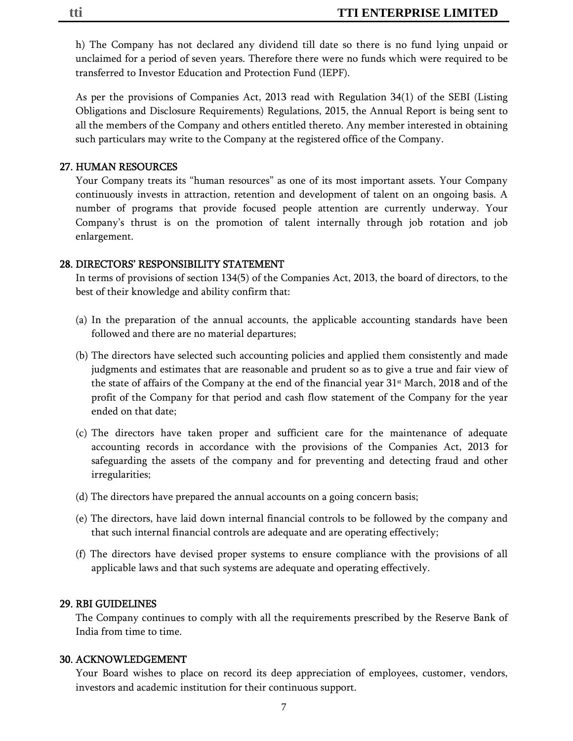h) The Company has not declared any dividend till date so there is no fund lying unpaid or unclaimed for a period of seven years. Therefore there were no funds which were required to be transferred to Investor Education and Protection Fund (IEPF).

As per the provisions of Companies Act, 2013 read with Regulation 34(1) of the SEBI (Listing Obligations and Disclosure Requirements) Regulations, 2015, the Annual Report is being sent to all the members of the Company and others entitled thereto. Any member interested in obtaining such particulars may write to the Company at the registered office of the Company.

#### 27. HUMAN RESOURCES

Your Company treats its "human resources" as one of its most important assets. Your Company continuously invests in attraction, retention and development of talent on an ongoing basis. A number of programs that provide focused people attention are currently underway. Your Company's thrust is on the promotion of talent internally through job rotation and job enlargement.

#### 28. DIRECTORS' RESPONSIBILITY STATEMENT

In terms of provisions of section 134(5) of the Companies Act, 2013, the board of directors, to the best of their knowledge and ability confirm that:

- (a) In the preparation of the annual accounts, the applicable accounting standards have been followed and there are no material departures;
- (b) The directors have selected such accounting policies and applied them consistently and made judgments and estimates that are reasonable and prudent so as to give a true and fair view of the state of affairs of the Company at the end of the financial year  $31<sup>st</sup>$  March, 2018 and of the profit of the Company for that period and cash flow statement of the Company for the year ended on that date;
- (c) The directors have taken proper and sufficient care for the maintenance of adequate accounting records in accordance with the provisions of the Companies Act, 2013 for safeguarding the assets of the company and for preventing and detecting fraud and other irregularities;
- (d) The directors have prepared the annual accounts on a going concern basis;
- (e) The directors, have laid down internal financial controls to be followed by the company and that such internal financial controls are adequate and are operating effectively;
- (f) The directors have devised proper systems to ensure compliance with the provisions of all applicable laws and that such systems are adequate and operating effectively.

#### 29. RBI GUIDELINES

The Company continues to comply with all the requirements prescribed by the Reserve Bank of India from time to time.

#### 30. ACKNOWLEDGEMENT

Your Board wishes to place on record its deep appreciation of employees, customer, vendors, investors and academic institution for their continuous support.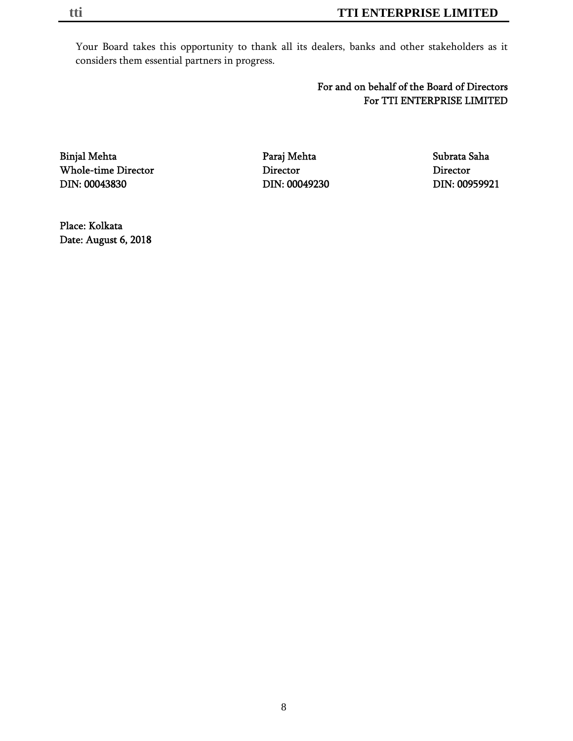Your Board takes this opportunity to thank all its dealers, banks and other stakeholders as it considers them essential partners in progress.

#### For and on behalf of the Board of Directors For TTI ENTERPRISE LIMITED

Binjal Mehta Paraj Mehta Subrata Saha Whole-time Director Director Director DIN: 00043830 DIN: 00049230 DIN: 00959921

Place: Kolkata Date: August 6, 2018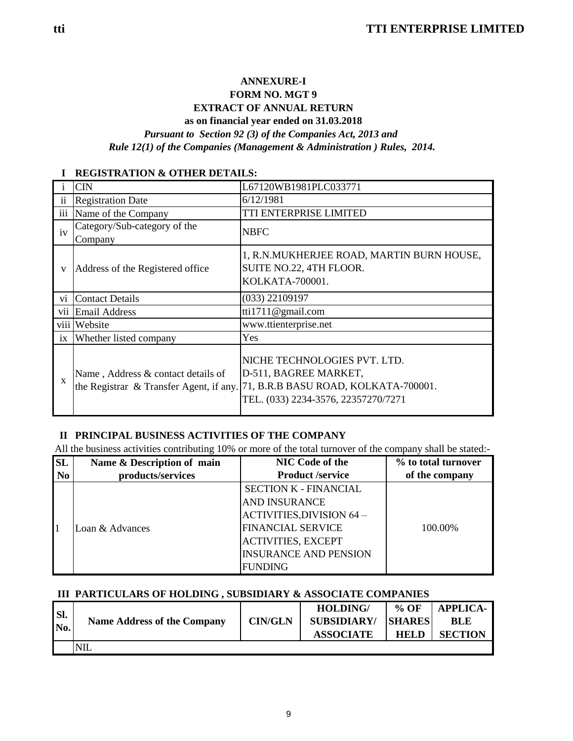#### **ANNEXURE-I FORM NO. MGT 9 EXTRACT OF ANNUAL RETURN as on financial year ended on 31.03.2018**

*Pursuant to Section 92 (3) of the Companies Act, 2013 and Rule 12(1) of the Companies (Management & Administration ) Rules, 2014.*

#### **I REGISTRATION & OTHER DETAILS:**

|     | <b>CIN</b>                         | L67120WB1981PLC033771                                                                                                                                                       |
|-----|------------------------------------|-----------------------------------------------------------------------------------------------------------------------------------------------------------------------------|
| 11  | <b>Registration Date</b>           | 6/12/1981                                                                                                                                                                   |
| iii | Name of the Company                | TTI ENTERPRISE LIMITED                                                                                                                                                      |
| iv  | Category/Sub-category of the       | <b>NBFC</b>                                                                                                                                                                 |
|     | Company                            |                                                                                                                                                                             |
|     |                                    | 1, R.N.MUKHERJEE ROAD, MARTIN BURN HOUSE,                                                                                                                                   |
| V   | Address of the Registered office   | SUITE NO.22, 4TH FLOOR.                                                                                                                                                     |
|     |                                    | KOLKATA-700001.                                                                                                                                                             |
| vi. | <b>Contact Details</b>             | $(033)$ 22109197                                                                                                                                                            |
|     | vii Email Address                  | tti1711@gmail.com                                                                                                                                                           |
|     | viii Website                       | www.ttienterprise.net                                                                                                                                                       |
|     | ix Whether listed company          | Yes                                                                                                                                                                         |
| X   | Name, Address & contact details of | NICHE TECHNOLOGIES PVT. LTD.<br>D-511, BAGREE MARKET,<br>the Registrar & Transfer Agent, if any 71, B.R.B BASU ROAD, KOLKATA-700001.<br>TEL. (033) 2234-3576, 22357270/7271 |

#### **II PRINCIPAL BUSINESS ACTIVITIES OF THE COMPANY**

All the business activities contributing 10% or more of the total turnover of the company shall be stated:-

| SL             | Name & Description of main | <b>NIC Code of the</b>           |                |  |  |
|----------------|----------------------------|----------------------------------|----------------|--|--|
| N <sub>0</sub> | products/services          | <b>Product /service</b>          | of the company |  |  |
|                |                            | <b>SECTION K - FINANCIAL</b>     |                |  |  |
|                |                            | <b>AND INSURANCE</b>             |                |  |  |
|                |                            | <b>ACTIVITIES, DIVISION 64 -</b> |                |  |  |
|                | Loan & Advances            | <b>FINANCIAL SERVICE</b>         | 100.00%        |  |  |
|                |                            | <b>ACTIVITIES, EXCEPT</b>        |                |  |  |
|                |                            | <b>INSURANCE AND PENSION</b>     |                |  |  |
|                |                            | <b>FUNDING</b>                   |                |  |  |

## **III PARTICULARS OF HOLDING , SUBSIDIARY & ASSOCIATE COMPANIES**

| SI.<br>No. | <b>Name Address of the Company</b> | <b>CIN/GLN</b> | <b>HOLDING/</b>    | $%$ OF         | <b>APPLICA-</b> |
|------------|------------------------------------|----------------|--------------------|----------------|-----------------|
|            |                                    |                | <b>SUBSIDIARY/</b> | <b>ISHARES</b> | BLE             |
|            |                                    |                | <b>ASSOCIATE</b>   | <b>HELD</b>    | <b>SECTION</b>  |
|            | <b>NIL</b>                         |                |                    |                |                 |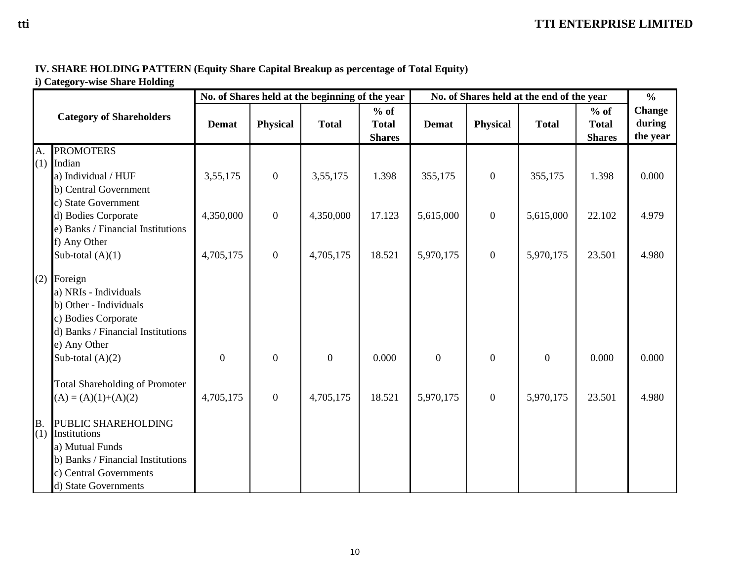## **IV. SHARE HOLDING PATTERN (Equity Share Capital Breakup as percentage of Total Equity)**

**i) Category-wise Share Holding**

| <b>Category of Shareholders</b>          |                                                                                                                                                                  | No. of Shares held at the beginning of the year |                  |                  |                                         | No. of Shares held at the end of the year |                  |              |                                         | $\frac{0}{0}$                       |
|------------------------------------------|------------------------------------------------------------------------------------------------------------------------------------------------------------------|-------------------------------------------------|------------------|------------------|-----------------------------------------|-------------------------------------------|------------------|--------------|-----------------------------------------|-------------------------------------|
|                                          |                                                                                                                                                                  | <b>Demat</b>                                    | <b>Physical</b>  | <b>Total</b>     | $%$ of<br><b>Total</b><br><b>Shares</b> | <b>Demat</b>                              | <b>Physical</b>  | <b>Total</b> | $%$ of<br><b>Total</b><br><b>Shares</b> | <b>Change</b><br>during<br>the year |
| A.                                       | <b>PROMOTERS</b>                                                                                                                                                 |                                                 |                  |                  |                                         |                                           |                  |              |                                         |                                     |
|                                          | $(1)$ Indian                                                                                                                                                     |                                                 |                  |                  |                                         |                                           |                  |              |                                         |                                     |
|                                          | a) Individual / HUF                                                                                                                                              | 3,55,175                                        | $\boldsymbol{0}$ | 3,55,175         | 1.398                                   | 355,175                                   | $\boldsymbol{0}$ | 355,175      | 1.398                                   | 0.000                               |
|                                          | b) Central Government                                                                                                                                            |                                                 |                  |                  |                                         |                                           |                  |              |                                         |                                     |
|                                          | c) State Government                                                                                                                                              |                                                 |                  |                  |                                         |                                           |                  |              |                                         |                                     |
|                                          | d) Bodies Corporate                                                                                                                                              | 4,350,000                                       | $\boldsymbol{0}$ | 4,350,000        | 17.123                                  | 5,615,000                                 | $\boldsymbol{0}$ | 5,615,000    | 22.102                                  | 4.979                               |
|                                          | e) Banks / Financial Institutions                                                                                                                                |                                                 |                  |                  |                                         |                                           |                  |              |                                         |                                     |
|                                          | f) Any Other                                                                                                                                                     |                                                 |                  |                  |                                         |                                           |                  |              |                                         |                                     |
|                                          | Sub-total $(A)(1)$                                                                                                                                               | 4,705,175                                       | $\boldsymbol{0}$ | 4,705,175        | 18.521                                  | 5,970,175                                 | $\boldsymbol{0}$ | 5,970,175    | 23.501                                  | 4.980                               |
|                                          | (2) Foreign<br>a) NRIs - Individuals<br>b) Other - Individuals<br>c) Bodies Corporate<br>d) Banks / Financial Institutions<br>e) Any Other<br>Sub-total $(A)(2)$ | $\overline{0}$                                  | $\boldsymbol{0}$ | $\boldsymbol{0}$ | 0.000                                   | $\overline{0}$                            | $\overline{0}$   | $\mathbf{0}$ | 0.000                                   | 0.000                               |
|                                          | <b>Total Shareholding of Promoter</b>                                                                                                                            |                                                 |                  |                  |                                         |                                           |                  |              |                                         |                                     |
|                                          | $(A) = (A)(1)+(A)(2)$                                                                                                                                            | 4,705,175                                       | $\boldsymbol{0}$ | 4,705,175        | 18.521                                  | 5,970,175                                 | $\boldsymbol{0}$ | 5,970,175    | 23.501                                  | 4.980                               |
|                                          |                                                                                                                                                                  |                                                 |                  |                  |                                         |                                           |                  |              |                                         |                                     |
| $\begin{bmatrix} B \\ (1) \end{bmatrix}$ | PUBLIC SHAREHOLDING<br>Institutions                                                                                                                              |                                                 |                  |                  |                                         |                                           |                  |              |                                         |                                     |
|                                          | a) Mutual Funds                                                                                                                                                  |                                                 |                  |                  |                                         |                                           |                  |              |                                         |                                     |
|                                          | b) Banks / Financial Institutions                                                                                                                                |                                                 |                  |                  |                                         |                                           |                  |              |                                         |                                     |
|                                          | c) Central Governments                                                                                                                                           |                                                 |                  |                  |                                         |                                           |                  |              |                                         |                                     |
|                                          | d) State Governments                                                                                                                                             |                                                 |                  |                  |                                         |                                           |                  |              |                                         |                                     |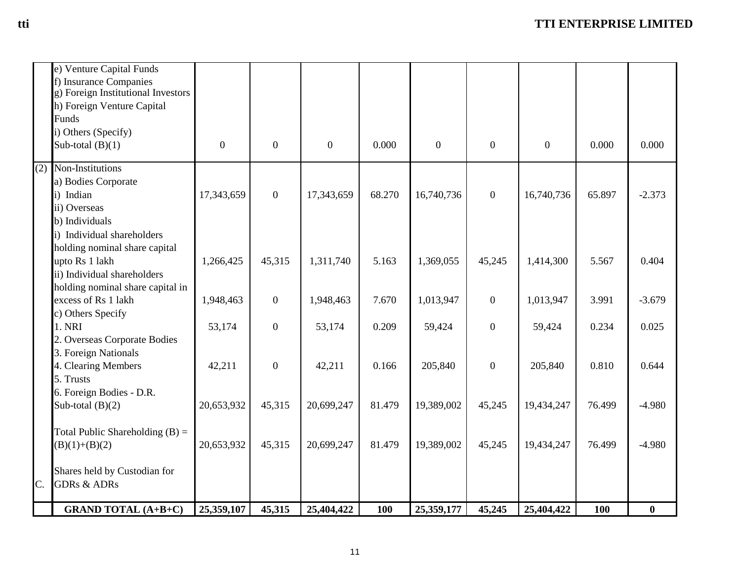|                  | f) Insurance Companies<br>g) Foreign Institutional Investors |                  |                  |                |        |                |                  |              |        |          |
|------------------|--------------------------------------------------------------|------------------|------------------|----------------|--------|----------------|------------------|--------------|--------|----------|
|                  | h) Foreign Venture Capital                                   |                  |                  |                |        |                |                  |              |        |          |
|                  | Funds                                                        |                  |                  |                |        |                |                  |              |        |          |
|                  | i) Others (Specify)                                          |                  |                  |                |        |                |                  |              |        |          |
|                  | Sub-total $(B)(1)$                                           | $\boldsymbol{0}$ | $\overline{0}$   | $\overline{0}$ | 0.000  | $\overline{0}$ | $\boldsymbol{0}$ | $\mathbf{0}$ | 0.000  | 0.000    |
| $\overline{(2)}$ | Non-Institutions                                             |                  |                  |                |        |                |                  |              |        |          |
|                  | a) Bodies Corporate                                          |                  |                  |                |        |                |                  |              |        |          |
|                  | i) Indian                                                    | 17,343,659       | $\boldsymbol{0}$ | 17,343,659     | 68.270 | 16,740,736     | $\boldsymbol{0}$ | 16,740,736   | 65.897 | $-2.373$ |
|                  | ii) Overseas                                                 |                  |                  |                |        |                |                  |              |        |          |
|                  | b) Individuals                                               |                  |                  |                |        |                |                  |              |        |          |
|                  | i) Individual shareholders                                   |                  |                  |                |        |                |                  |              |        |          |
|                  | holding nominal share capital                                |                  |                  |                |        |                |                  |              |        |          |
|                  | upto Rs 1 lakh                                               | 1,266,425        | 45,315           | 1,311,740      | 5.163  | 1,369,055      | 45,245           | 1,414,300    | 5.567  | 0.404    |
|                  | ii) Individual shareholders                                  |                  |                  |                |        |                |                  |              |        |          |
|                  | holding nominal share capital in<br>excess of Rs 1 lakh      |                  |                  |                | 7.670  |                |                  |              | 3.991  | $-3.679$ |
|                  | c) Others Specify                                            | 1,948,463        | $\boldsymbol{0}$ | 1,948,463      |        | 1,013,947      | $\boldsymbol{0}$ | 1,013,947    |        |          |
|                  | 1. NRI                                                       | 53,174           | $\boldsymbol{0}$ | 53,174         | 0.209  | 59,424         | $\boldsymbol{0}$ | 59,424       | 0.234  | 0.025    |
|                  | 2. Overseas Corporate Bodies                                 |                  |                  |                |        |                |                  |              |        |          |
|                  | 3. Foreign Nationals                                         |                  |                  |                |        |                |                  |              |        |          |
|                  | 4. Clearing Members                                          | 42,211           | $\boldsymbol{0}$ | 42,211         | 0.166  | 205,840        | $\boldsymbol{0}$ | 205,840      | 0.810  | 0.644    |
|                  | 5. Trusts                                                    |                  |                  |                |        |                |                  |              |        |          |
|                  | 6. Foreign Bodies - D.R.                                     |                  |                  |                |        |                |                  |              |        |          |
|                  | Sub-total $(B)(2)$                                           | 20,653,932       | 45,315           | 20,699,247     | 81.479 | 19,389,002     | 45,245           | 19,434,247   | 76.499 | $-4.980$ |
|                  | Total Public Shareholding $(B)$ =                            |                  |                  |                |        |                |                  |              |        |          |
|                  | $(B)(1)+(B)(2)$                                              | 20,653,932       | 45,315           | 20,699,247     | 81.479 | 19,389,002     | 45,245           | 19,434,247   | 76.499 | $-4.980$ |
|                  | Shares held by Custodian for                                 |                  |                  |                |        |                |                  |              |        |          |
| C.               | <b>GDRs &amp; ADRs</b>                                       |                  |                  |                |        |                |                  |              |        |          |
|                  | <b>GRAND TOTAL (A+B+C)</b>                                   | 25,359,107       | 45,315           | 25,404,422     | 100    | 25,359,177     | 45,245           | 25,404,422   | 100    | $\bf{0}$ |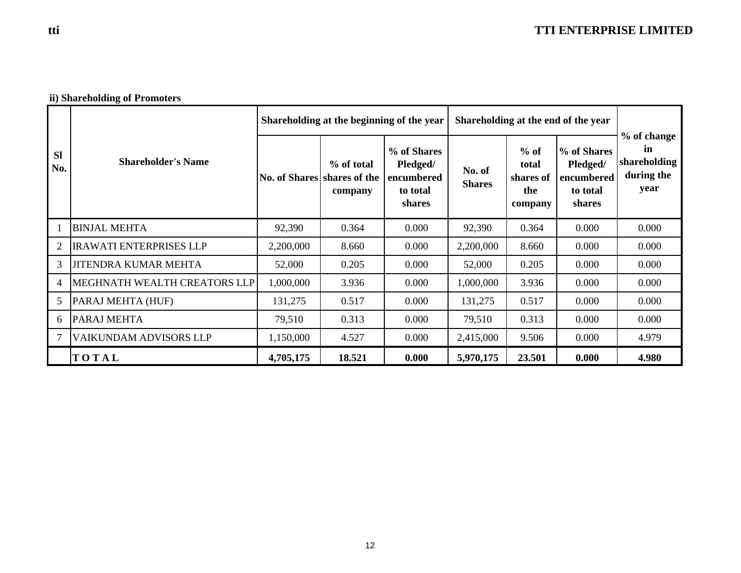#### **ii) Shareholding of Promoters**

| <b>Sl</b><br>No. | <b>Shareholder's Name</b>      |                             | Shareholding at the beginning of the year |                                                                    | Shareholding at the end of the year |                                                |                                                             |                                                         |
|------------------|--------------------------------|-----------------------------|-------------------------------------------|--------------------------------------------------------------------|-------------------------------------|------------------------------------------------|-------------------------------------------------------------|---------------------------------------------------------|
|                  |                                | No. of Shares shares of the | % of total<br>company                     | % of Shares<br>Pledged/<br>encumbered<br>to total<br><b>shares</b> | No. of<br><b>Shares</b>             | $%$ of<br>total<br>shares of<br>the<br>company | % of Shares<br>Pledged/<br>encumbered<br>to total<br>shares | % of change<br>in<br>shareholding<br>during the<br>year |
|                  | <b>BINJAL MEHTA</b>            | 92,390                      | 0.364                                     | 0.000                                                              | 92,390                              | 0.364                                          | 0.000                                                       | 0.000                                                   |
| 2                | <b>IRAWATI ENTERPRISES LLP</b> | 2,200,000                   | 8.660                                     | 0.000                                                              | 2,200,000                           | 8.660                                          | 0.000                                                       | 0.000                                                   |
| 3                | <b>JITENDRA KUMAR MEHTA</b>    | 52,000                      | 0.205                                     | 0.000                                                              | 52,000                              | 0.205                                          | 0.000                                                       | 0.000                                                   |
| $\overline{4}$   | MEGHNATH WEALTH CREATORS LLP   | 1,000,000                   | 3.936                                     | 0.000                                                              | 1,000,000                           | 3.936                                          | 0.000                                                       | 0.000                                                   |
| 5                | PARAJ MEHTA (HUF)              | 131,275                     | 0.517                                     | 0.000                                                              | 131,275                             | 0.517                                          | 0.000                                                       | 0.000                                                   |
| 6                | PARAJ MEHTA                    | 79,510                      | 0.313                                     | 0.000                                                              | 79,510                              | 0.313                                          | 0.000                                                       | 0.000                                                   |
|                  | VAIKUNDAM ADVISORS LLP         | 1,150,000                   | 4.527                                     | 0.000                                                              | 2,415,000                           | 9.506                                          | 0.000                                                       | 4.979                                                   |
|                  | TOTAL                          | 4,705,175                   | 18.521                                    | 0.000                                                              | 5,970,175                           | 23.501                                         | 0.000                                                       | 4.980                                                   |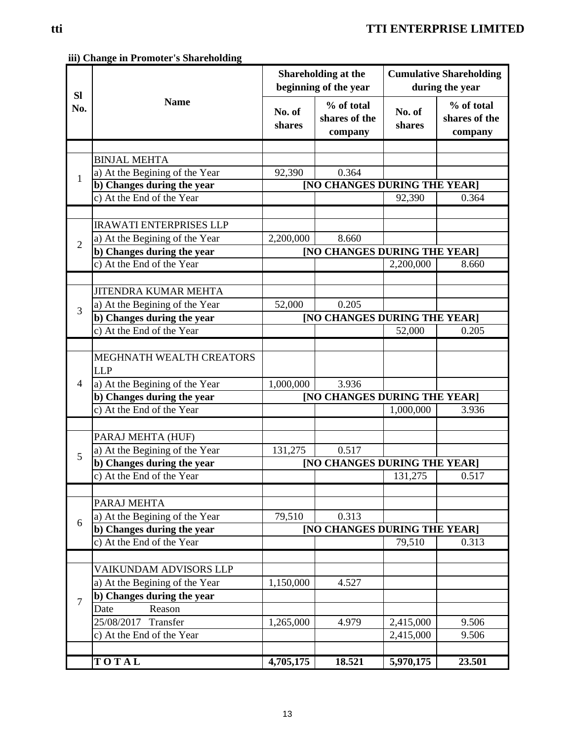**iii) Change in Promoter's Shareholding**

| <b>SI</b>      |                                                              |                  | <b>Shareholding at the</b><br>beginning of the year | <b>Cumulative Shareholding</b><br>during the year |                                        |  |
|----------------|--------------------------------------------------------------|------------------|-----------------------------------------------------|---------------------------------------------------|----------------------------------------|--|
| No.            | <b>Name</b>                                                  | No. of<br>shares | % of total<br>shares of the<br>company              | No. of<br>shares                                  | % of total<br>shares of the<br>company |  |
|                |                                                              |                  |                                                     |                                                   |                                        |  |
|                | <b>BINJAL MEHTA</b>                                          |                  |                                                     |                                                   |                                        |  |
| $\mathbf{1}$   | a) At the Begining of the Year                               | 92,390           | 0.364                                               |                                                   |                                        |  |
|                | b) Changes during the year                                   |                  | [NO CHANGES DURING THE YEAR]                        |                                                   |                                        |  |
|                | c) At the End of the Year                                    |                  |                                                     | 92,390                                            | 0.364                                  |  |
|                |                                                              |                  |                                                     |                                                   |                                        |  |
|                | <b>IRAWATI ENTERPRISES LLP</b>                               |                  | 8.660                                               |                                                   |                                        |  |
| $\overline{2}$ | a) At the Begining of the Year<br>b) Changes during the year | 2,200,000        | [NO CHANGES DURING THE YEAR]                        |                                                   |                                        |  |
|                | c) At the End of the Year                                    |                  |                                                     | 2,200,000                                         | 8.660                                  |  |
|                |                                                              |                  |                                                     |                                                   |                                        |  |
|                | <b>JITENDRA KUMAR MEHTA</b>                                  |                  |                                                     |                                                   |                                        |  |
|                | a) At the Begining of the Year                               | 52,000           | 0.205                                               |                                                   |                                        |  |
| 3              | b) Changes during the year                                   |                  | <b>[NO CHANGES DURING THE YEAR]</b>                 |                                                   |                                        |  |
|                | c) At the End of the Year                                    |                  |                                                     | 52,000                                            | 0.205                                  |  |
|                |                                                              |                  |                                                     |                                                   |                                        |  |
|                | MEGHNATH WEALTH CREATORS<br><b>LLP</b>                       |                  |                                                     |                                                   |                                        |  |
| $\overline{4}$ | a) At the Begining of the Year                               | 1,000,000        | 3.936                                               |                                                   |                                        |  |
|                | b) Changes during the year                                   |                  | [NO CHANGES DURING THE YEAR]                        |                                                   |                                        |  |
|                | c) At the End of the Year                                    |                  |                                                     | 1,000,000                                         | 3.936                                  |  |
|                |                                                              |                  |                                                     |                                                   |                                        |  |
|                | PARAJ MEHTA (HUF)                                            |                  |                                                     |                                                   |                                        |  |
| 5              | a) At the Begining of the Year                               | 131,275          | 0.517                                               |                                                   |                                        |  |
|                | b) Changes during the year                                   |                  | [NO CHANGES DURING THE YEAR]                        |                                                   |                                        |  |
|                | c) At the End of the Year                                    |                  |                                                     | 131,275                                           | 0.517                                  |  |
|                |                                                              |                  |                                                     |                                                   |                                        |  |
|                | PARAJ MEHTA                                                  |                  |                                                     |                                                   |                                        |  |
| 6              | a) At the Begining of the Year                               | 79,510           | 0.313                                               |                                                   |                                        |  |
|                | b) Changes during the year                                   |                  | [NO CHANGES DURING THE YEAR]                        |                                                   |                                        |  |
|                | c) At the End of the Year                                    |                  |                                                     | 79,510                                            | 0.313                                  |  |
|                |                                                              |                  |                                                     |                                                   |                                        |  |
|                | VAIKUNDAM ADVISORS LLP                                       |                  |                                                     |                                                   |                                        |  |
|                | a) At the Begining of the Year                               | 1,150,000        | 4.527                                               |                                                   |                                        |  |
| $\overline{7}$ | b) Changes during the year                                   |                  |                                                     |                                                   |                                        |  |
|                | Reason<br>Date                                               |                  |                                                     |                                                   |                                        |  |
|                | 25/08/2017 Transfer                                          | 1,265,000        | 4.979                                               | 2,415,000                                         | 9.506                                  |  |
|                | c) At the End of the Year                                    |                  |                                                     | 2,415,000                                         | 9.506                                  |  |
|                | TOTAL                                                        | 4,705,175        | 18.521                                              | 5,970,175                                         | 23.501                                 |  |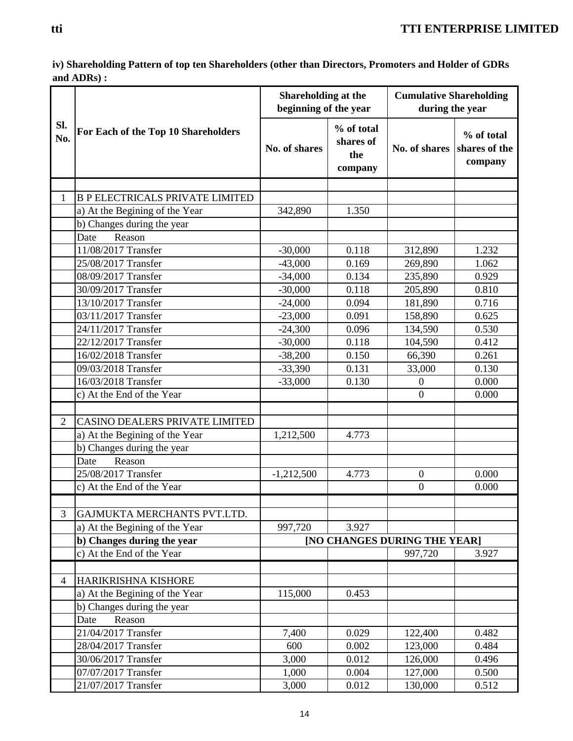|                |                                        | Shareholding at the<br>beginning of the year |                                           | <b>Cumulative Shareholding</b><br>during the year |                                        |  |
|----------------|----------------------------------------|----------------------------------------------|-------------------------------------------|---------------------------------------------------|----------------------------------------|--|
| Sl.<br>No.     | For Each of the Top 10 Shareholders    | No. of shares                                | % of total<br>shares of<br>the<br>company | No. of shares                                     | % of total<br>shares of the<br>company |  |
|                |                                        |                                              |                                           |                                                   |                                        |  |
| $\mathbf{1}$   | <b>B P ELECTRICALS PRIVATE LIMITED</b> |                                              |                                           |                                                   |                                        |  |
|                | a) At the Begining of the Year         | 342,890                                      | 1.350                                     |                                                   |                                        |  |
|                | b) Changes during the year             |                                              |                                           |                                                   |                                        |  |
|                | Reason<br>Date                         |                                              |                                           |                                                   |                                        |  |
|                | 11/08/2017 Transfer                    | $-30,000$                                    | 0.118                                     | 312,890                                           | 1.232                                  |  |
|                | 25/08/2017 Transfer                    | $-43,000$                                    | 0.169                                     | 269,890                                           | 1.062                                  |  |
|                | 08/09/2017 Transfer                    | $-34,000$                                    | 0.134                                     | 235,890                                           | 0.929                                  |  |
|                | 30/09/2017 Transfer                    | $-30,000$                                    | 0.118                                     | 205,890                                           | 0.810                                  |  |
|                | 13/10/2017 Transfer                    | $-24,000$                                    | 0.094                                     | 181,890                                           | 0.716                                  |  |
|                | 03/11/2017 Transfer                    | $-23,000$                                    | 0.091                                     | 158,890                                           | 0.625                                  |  |
|                | 24/11/2017 Transfer                    | $-24,300$                                    | 0.096                                     | 134,590                                           | 0.530                                  |  |
|                | 22/12/2017 Transfer                    | $-30,000$                                    | 0.118                                     | 104,590                                           | 0.412                                  |  |
|                | 16/02/2018 Transfer                    | $-38,200$                                    | 0.150                                     | 66,390                                            | 0.261                                  |  |
|                | 09/03/2018 Transfer                    | $-33,390$                                    | 0.131                                     | 33,000                                            | 0.130                                  |  |
|                | 16/03/2018 Transfer                    | $-33,000$                                    | 0.130                                     | $\overline{0}$                                    | 0.000                                  |  |
|                | c) At the End of the Year              |                                              |                                           | $\boldsymbol{0}$                                  | 0.000                                  |  |
|                |                                        |                                              |                                           |                                                   |                                        |  |
| $\overline{2}$ | <b>CASINO DEALERS PRIVATE LIMITED</b>  |                                              |                                           |                                                   |                                        |  |
|                | a) At the Begining of the Year         | 1,212,500                                    | 4.773                                     |                                                   |                                        |  |
|                | b) Changes during the year             |                                              |                                           |                                                   |                                        |  |
|                | Reason<br>Date                         |                                              |                                           |                                                   |                                        |  |
|                | 25/08/2017 Transfer                    | $-1,212,500$                                 | 4.773                                     | $\mathbf{0}$                                      | 0.000                                  |  |
|                | c) At the End of the Year              |                                              |                                           | $\boldsymbol{0}$                                  | 0.000                                  |  |
| 3              | GAJMUKTA MERCHANTS PVT.LTD.            |                                              |                                           |                                                   |                                        |  |
|                | a) At the Begining of the Year         | 997,720                                      | 3.927                                     |                                                   |                                        |  |
|                | b) Changes during the year             |                                              |                                           | [NO CHANGES DURING THE YEAR]                      |                                        |  |
|                | c) At the End of the Year              |                                              |                                           | 997,720                                           | 3.927                                  |  |
|                |                                        |                                              |                                           |                                                   |                                        |  |
| $\overline{4}$ | <b>HARIKRISHNA KISHORE</b>             |                                              |                                           |                                                   |                                        |  |
|                | a) At the Begining of the Year         | 115,000                                      | 0.453                                     |                                                   |                                        |  |
|                | b) Changes during the year             |                                              |                                           |                                                   |                                        |  |
|                | Reason<br>Date                         |                                              |                                           |                                                   |                                        |  |
|                | 21/04/2017 Transfer                    | 7,400                                        | 0.029                                     | 122,400                                           | 0.482                                  |  |
|                | 28/04/2017 Transfer                    | 600                                          | 0.002                                     | 123,000                                           | 0.484                                  |  |
|                |                                        |                                              |                                           |                                                   |                                        |  |
|                | 30/06/2017 Transfer                    | 3,000                                        | 0.012                                     | 126,000                                           | 0.496                                  |  |
|                | 07/07/2017 Transfer                    | 1,000                                        | 0.004                                     | 127,000                                           | 0.500                                  |  |
|                | 21/07/2017 Transfer                    | 3,000                                        | 0.012                                     | 130,000                                           | 0.512                                  |  |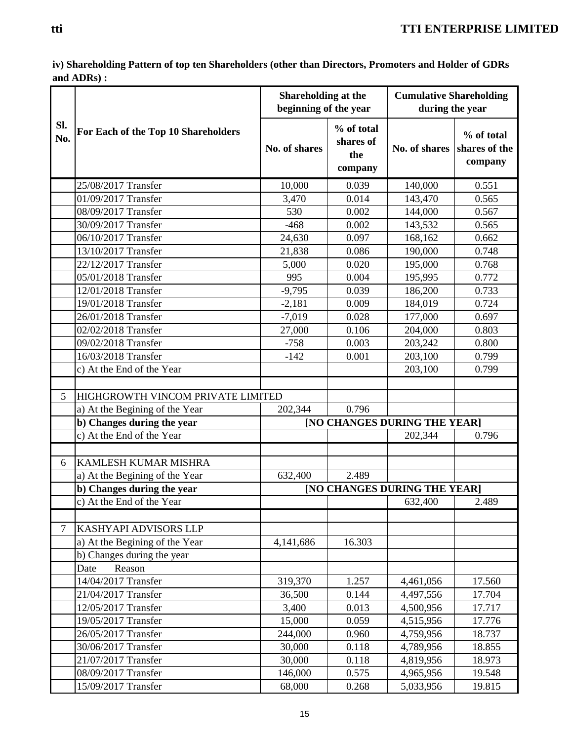|                  |                                     |               | Shareholding at the<br>beginning of the year |                              | <b>Cumulative Shareholding</b><br>during the year |  |
|------------------|-------------------------------------|---------------|----------------------------------------------|------------------------------|---------------------------------------------------|--|
| Sl.<br>No.       | For Each of the Top 10 Shareholders | No. of shares | % of total<br>shares of<br>the<br>company    | No. of shares                | % of total<br>shares of the<br>company            |  |
|                  | 25/08/2017 Transfer                 | 10,000        | 0.039                                        | 140,000                      | 0.551                                             |  |
|                  | 01/09/2017 Transfer                 | 3,470         | 0.014                                        | 143,470                      | 0.565                                             |  |
|                  | 08/09/2017 Transfer                 | 530           | 0.002                                        | 144,000                      | 0.567                                             |  |
|                  | 30/09/2017 Transfer                 | $-468$        | 0.002                                        | 143,532                      | 0.565                                             |  |
|                  | 06/10/2017 Transfer                 | 24,630        | 0.097                                        | 168,162                      | 0.662                                             |  |
|                  | 13/10/2017 Transfer                 | 21,838        | 0.086                                        | 190,000                      | 0.748                                             |  |
|                  | 22/12/2017 Transfer                 | 5,000         | 0.020                                        | 195,000                      | 0.768                                             |  |
|                  | 05/01/2018 Transfer                 | 995           | 0.004                                        | 195,995                      | 0.772                                             |  |
|                  | 12/01/2018 Transfer                 | $-9,795$      | 0.039                                        | 186,200                      | 0.733                                             |  |
|                  | 19/01/2018 Transfer                 | $-2,181$      | 0.009                                        | 184,019                      | 0.724                                             |  |
|                  | 26/01/2018 Transfer                 | $-7,019$      | 0.028                                        | 177,000                      | 0.697                                             |  |
|                  | 02/02/2018 Transfer                 | 27,000        | 0.106                                        | 204,000                      | 0.803                                             |  |
|                  | 09/02/2018 Transfer                 | $-758$        | 0.003                                        | 203,242                      | 0.800                                             |  |
|                  | 16/03/2018 Transfer                 | $-142$        | 0.001                                        | 203,100                      | 0.799                                             |  |
|                  | c) At the End of the Year           |               |                                              | 203,100                      | 0.799                                             |  |
|                  |                                     |               |                                              |                              |                                                   |  |
| 5                | HIGHGROWTH VINCOM PRIVATE LIMITED   |               |                                              |                              |                                                   |  |
|                  | a) At the Begining of the Year      | 202,344       | 0.796                                        |                              |                                                   |  |
|                  | b) Changes during the year          |               |                                              | [NO CHANGES DURING THE YEAR] |                                                   |  |
|                  | c) At the End of the Year           |               |                                              | 202,344                      | 0.796                                             |  |
|                  |                                     |               |                                              |                              |                                                   |  |
| 6                | <b>KAMLESH KUMAR MISHRA</b>         |               |                                              |                              |                                                   |  |
|                  | a) At the Begining of the Year      | 632,400       | 2.489                                        |                              |                                                   |  |
|                  | b) Changes during the year          |               |                                              | [NO CHANGES DURING THE YEAR] |                                                   |  |
|                  | c) At the End of the Year           |               |                                              | 632,400                      | 2.489                                             |  |
|                  |                                     |               |                                              |                              |                                                   |  |
| $\boldsymbol{7}$ | <b>KASHYAPI ADVISORS LLP</b>        |               |                                              |                              |                                                   |  |
|                  | a) At the Begining of the Year      | 4,141,686     | 16.303                                       |                              |                                                   |  |
|                  | b) Changes during the year          |               |                                              |                              |                                                   |  |
|                  | Date<br>Reason                      |               |                                              |                              |                                                   |  |
|                  | 14/04/2017 Transfer                 | 319,370       | 1.257                                        | 4,461,056                    | 17.560                                            |  |
|                  | 21/04/2017 Transfer                 | 36,500        | 0.144                                        | 4,497,556                    | 17.704                                            |  |
|                  | 12/05/2017 Transfer                 | 3,400         | 0.013                                        | 4,500,956                    | 17.717                                            |  |
|                  | 19/05/2017 Transfer                 | 15,000        | 0.059                                        | 4,515,956                    | 17.776                                            |  |
|                  | 26/05/2017 Transfer                 | 244,000       | 0.960                                        | 4,759,956                    | 18.737                                            |  |
|                  | 30/06/2017 Transfer                 | 30,000        | 0.118                                        | 4,789,956                    | 18.855                                            |  |
|                  | 21/07/2017 Transfer                 | 30,000        | 0.118                                        | 4,819,956                    | 18.973                                            |  |
|                  | 08/09/2017 Transfer                 | 146,000       | 0.575                                        | 4,965,956                    | 19.548                                            |  |
|                  | 15/09/2017 Transfer                 | 68,000        | 0.268                                        | 5,033,956                    | 19.815                                            |  |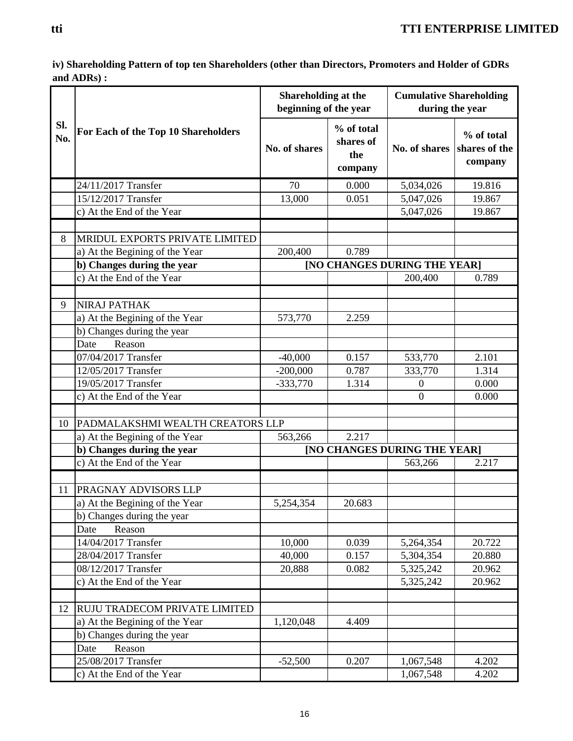|            |                                      | Shareholding at the<br>beginning of the year |                                           | <b>Cumulative Shareholding</b><br>during the year |                                        |
|------------|--------------------------------------|----------------------------------------------|-------------------------------------------|---------------------------------------------------|----------------------------------------|
| Sl.<br>No. | For Each of the Top 10 Shareholders  | No. of shares                                | % of total<br>shares of<br>the<br>company | No. of shares                                     | % of total<br>shares of the<br>company |
|            | 24/11/2017 Transfer                  | 70                                           | 0.000                                     | 5,034,026                                         | 19.816                                 |
|            | 15/12/2017 Transfer                  | 13,000                                       | 0.051                                     | 5,047,026                                         | 19.867                                 |
|            | c) At the End of the Year            |                                              |                                           | 5,047,026                                         | 19.867                                 |
|            |                                      |                                              |                                           |                                                   |                                        |
| 8          | MRIDUL EXPORTS PRIVATE LIMITED       |                                              |                                           |                                                   |                                        |
|            | a) At the Begining of the Year       | 200,400                                      | 0.789                                     |                                                   |                                        |
|            | b) Changes during the year           |                                              |                                           | [NO CHANGES DURING THE YEAR]                      |                                        |
|            | c) At the End of the Year            |                                              |                                           | 200,400                                           | 0.789                                  |
|            |                                      |                                              |                                           |                                                   |                                        |
| 9          | <b>NIRAJ PATHAK</b>                  |                                              |                                           |                                                   |                                        |
|            | a) At the Begining of the Year       | 573,770                                      | 2.259                                     |                                                   |                                        |
|            | b) Changes during the year           |                                              |                                           |                                                   |                                        |
|            | Date<br>Reason                       |                                              |                                           |                                                   |                                        |
|            | 07/04/2017 Transfer                  | $-40,000$                                    | 0.157                                     | 533,770                                           | 2.101                                  |
|            | 12/05/2017 Transfer                  | $-200,000$                                   | 0.787                                     | 333,770                                           | 1.314                                  |
|            | 19/05/2017 Transfer                  | $-333,770$                                   | 1.314                                     | $\mathbf{0}$                                      | 0.000                                  |
|            | c) At the End of the Year            |                                              |                                           | $\overline{0}$                                    | 0.000                                  |
|            |                                      |                                              |                                           |                                                   |                                        |
| 10         | PADMALAKSHMI WEALTH CREATORS LLP     |                                              |                                           |                                                   |                                        |
|            | a) At the Begining of the Year       | 563,266                                      | 2.217                                     |                                                   |                                        |
|            | b) Changes during the year           | [NO CHANGES DURING THE YEAR]                 |                                           |                                                   |                                        |
|            | c) At the End of the Year            |                                              |                                           | 563,266                                           | 2.217                                  |
|            |                                      |                                              |                                           |                                                   |                                        |
| 11         | PRAGNAY ADVISORS LLP                 |                                              |                                           |                                                   |                                        |
|            | a) At the Begining of the Year       | 5,254,354                                    | 20.683                                    |                                                   |                                        |
|            | b) Changes during the year           |                                              |                                           |                                                   |                                        |
|            | Reason<br>Date                       |                                              |                                           |                                                   |                                        |
|            | 14/04/2017 Transfer                  | 10,000                                       | 0.039                                     | 5,264,354                                         | 20.722                                 |
|            | 28/04/2017 Transfer                  | 40,000                                       | 0.157                                     | 5,304,354                                         | 20.880                                 |
|            | 08/12/2017 Transfer                  | 20,888                                       | 0.082                                     | 5,325,242                                         | 20.962                                 |
|            | c) At the End of the Year            |                                              |                                           | 5,325,242                                         | 20.962                                 |
|            |                                      |                                              |                                           |                                                   |                                        |
| 12         | <b>RUJU TRADECOM PRIVATE LIMITED</b> |                                              |                                           |                                                   |                                        |
|            | a) At the Begining of the Year       | 1,120,048                                    | 4.409                                     |                                                   |                                        |
|            | b) Changes during the year           |                                              |                                           |                                                   |                                        |
|            | Reason<br>Date                       |                                              |                                           |                                                   |                                        |
|            | 25/08/2017 Transfer                  | $-52,500$                                    | 0.207                                     | 1,067,548                                         | 4.202                                  |
|            | c) At the End of the Year            |                                              |                                           | 1,067,548                                         | 4.202                                  |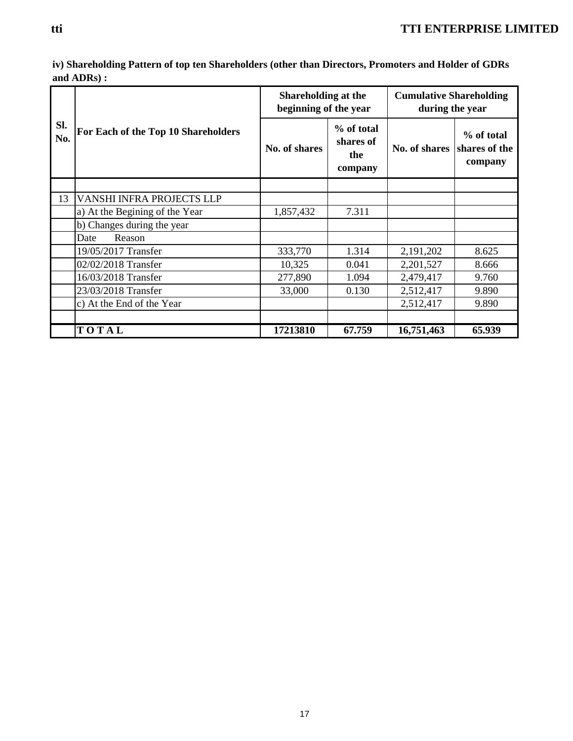|            | For Each of the Top 10 Shareholders | Shareholding at the<br>beginning of the year |                                           | <b>Cumulative Shareholding</b><br>during the year |                                        |
|------------|-------------------------------------|----------------------------------------------|-------------------------------------------|---------------------------------------------------|----------------------------------------|
| Sl.<br>No. |                                     | No. of shares                                | % of total<br>shares of<br>the<br>company | No. of shares                                     | % of total<br>shares of the<br>company |
|            |                                     |                                              |                                           |                                                   |                                        |
| 13         | VANSHI INFRA PROJECTS LLP           |                                              |                                           |                                                   |                                        |
|            | a) At the Begining of the Year      | 1,857,432                                    | 7.311                                     |                                                   |                                        |
|            | b) Changes during the year          |                                              |                                           |                                                   |                                        |
|            | Reason<br>Date                      |                                              |                                           |                                                   |                                        |
|            | 19/05/2017 Transfer                 | 333,770                                      | 1.314                                     | 2,191,202                                         | 8.625                                  |
|            | 02/02/2018 Transfer                 | 10,325                                       | 0.041                                     | 2,201,527                                         | 8.666                                  |
|            | 16/03/2018 Transfer                 | 277,890                                      | 1.094                                     | 2,479,417                                         | 9.760                                  |
|            | 23/03/2018 Transfer                 | 33,000                                       | 0.130                                     | 2,512,417                                         | 9.890                                  |
|            | c) At the End of the Year           |                                              |                                           | 2,512,417                                         | 9.890                                  |
|            |                                     |                                              |                                           |                                                   |                                        |
|            | TOTAL                               | 17213810                                     | 67.759                                    | 16,751,463                                        | 65.939                                 |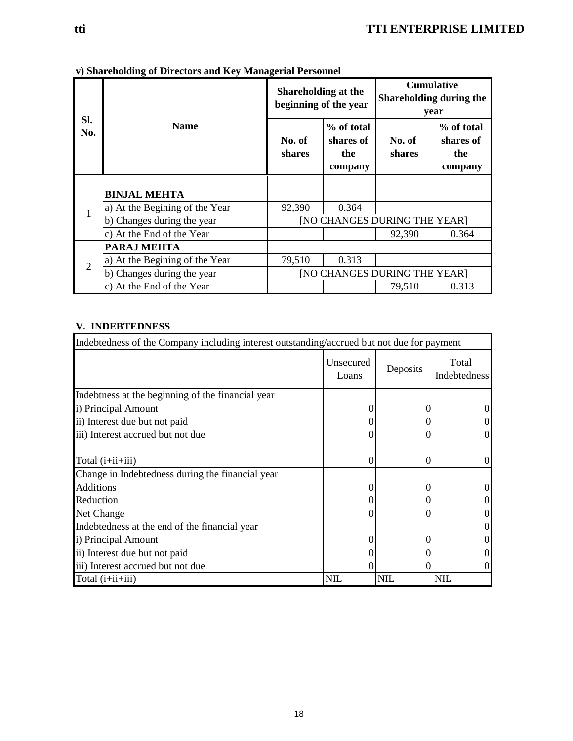|              | <b>Name</b>                    | Shareholding at the<br>beginning of the year |                                           | <b>Cumulative</b><br><b>Shareholding during the</b><br>year |                                           |  |
|--------------|--------------------------------|----------------------------------------------|-------------------------------------------|-------------------------------------------------------------|-------------------------------------------|--|
| SI.<br>No.   |                                | No. of<br><b>shares</b>                      | % of total<br>shares of<br>the<br>company | No. of<br>shares                                            | % of total<br>shares of<br>the<br>company |  |
|              |                                |                                              |                                           |                                                             |                                           |  |
|              | BINJAL MEHTA                   |                                              |                                           |                                                             |                                           |  |
| $\mathbf{1}$ | a) At the Begining of the Year | 92,390                                       | 0.364                                     |                                                             |                                           |  |
|              | b) Changes during the year     | [NO CHANGES DURING THE YEAR]                 |                                           |                                                             |                                           |  |
|              | c) At the End of the Year      |                                              |                                           | 92,390                                                      | 0.364                                     |  |
|              | PARAJ MEHTA                    |                                              |                                           |                                                             |                                           |  |
| 2            | a) At the Begining of the Year | 79,510                                       | 0.313                                     |                                                             |                                           |  |
|              | b) Changes during the year     |                                              |                                           | [NO CHANGES DURING THE YEAR]                                |                                           |  |
|              | c) At the End of the Year      |                                              |                                           | 79,510                                                      | 0.313                                     |  |

#### **v) Shareholding of Directors and Key Managerial Personnel**

## **V. INDEBTEDNESS**

| Indebtedness of the Company including interest outstanding/accrued but not due for payment |                    |            |                              |  |  |
|--------------------------------------------------------------------------------------------|--------------------|------------|------------------------------|--|--|
|                                                                                            | Unsecured<br>Loans | Deposits   | Total<br><b>Indebtedness</b> |  |  |
| Indebtness at the beginning of the financial year                                          |                    |            |                              |  |  |
| i) Principal Amount                                                                        |                    |            |                              |  |  |
| ii) Interest due but not paid                                                              |                    |            |                              |  |  |
| iii) Interest accrued but not due                                                          |                    |            |                              |  |  |
| Total $(i+iii+iii)$                                                                        |                    | $\Omega$   |                              |  |  |
| Change in Indebtedness during the financial year                                           |                    |            |                              |  |  |
| <b>Additions</b>                                                                           |                    |            |                              |  |  |
| Reduction                                                                                  |                    |            |                              |  |  |
| Net Change                                                                                 |                    |            |                              |  |  |
| Indebtedness at the end of the financial year                                              |                    |            |                              |  |  |
| i) Principal Amount                                                                        |                    |            |                              |  |  |
| ii) Interest due but not paid                                                              |                    |            |                              |  |  |
| iii) Interest accrued but not due                                                          |                    |            |                              |  |  |
| Total (i+ii+iii)                                                                           | <b>NIL</b>         | <b>NIL</b> | <b>NIL</b>                   |  |  |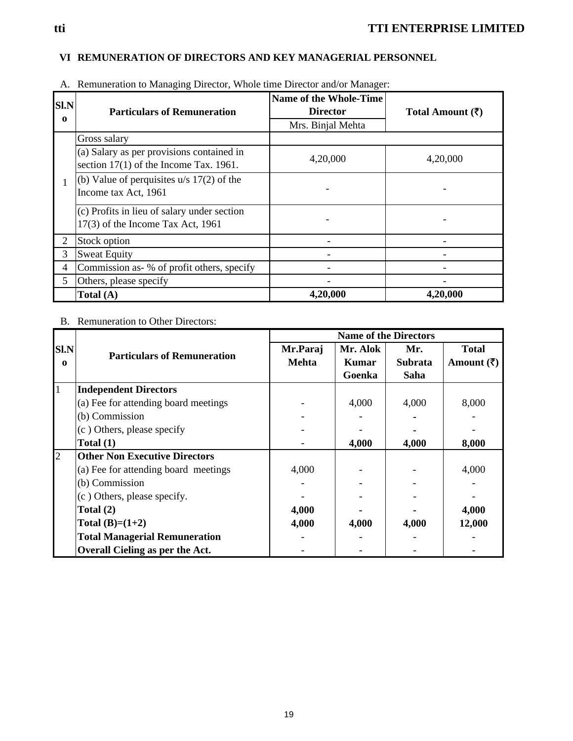#### **VI REMUNERATION OF DIRECTORS AND KEY MANAGERIAL PERSONNEL**

| Sl.N<br>$\bf{0}$ | <b>Particulars of Remuneration</b>                                                    | <b>Name of the Whole-Time</b><br><b>Director</b><br>Mrs. Binjal Mehta | Total Amount $(\bar{\zeta})$ |
|------------------|---------------------------------------------------------------------------------------|-----------------------------------------------------------------------|------------------------------|
|                  | Gross salary                                                                          |                                                                       |                              |
|                  | (a) Salary as per provisions contained in<br>section $17(1)$ of the Income Tax. 1961. | 4,20,000                                                              | 4,20,000                     |
|                  | (b) Value of perquisites $u/s$ 17(2) of the<br>Income tax Act, 1961                   |                                                                       |                              |
|                  | (c) Profits in lieu of salary under section<br>$17(3)$ of the Income Tax Act, 1961    |                                                                       |                              |
| 2                | Stock option                                                                          |                                                                       |                              |
| 3                | <b>Sweat Equity</b>                                                                   |                                                                       |                              |
| 4                | Commission as- % of profit others, specify                                            |                                                                       |                              |
| 5                | Others, please specify                                                                |                                                                       |                              |
|                  | Total (A)                                                                             | 4,20,000                                                              | 4,20,000                     |

A. Remuneration to Managing Director, Whole time Director and/or Manager:

#### B. Remuneration to Other Directors:

|                |                                        | <b>Name of the Directors</b> |          |                |                        |  |
|----------------|----------------------------------------|------------------------------|----------|----------------|------------------------|--|
| Sl.N           |                                        | Mr.Paraj                     | Mr. Alok | Mr.            | <b>Total</b>           |  |
| $\mathbf 0$    | <b>Particulars of Remuneration</b>     | <b>Mehta</b>                 | Kumar    | <b>Subrata</b> | Amount $(\bar{\zeta})$ |  |
|                |                                        |                              | Goenka   | Saha           |                        |  |
| 1              | <b>Independent Directors</b>           |                              |          |                |                        |  |
|                | (a) Fee for attending board meetings   |                              | 4,000    | 4,000          | 8,000                  |  |
|                | (b) Commission                         |                              |          |                |                        |  |
|                | (c) Others, please specify             |                              |          |                |                        |  |
|                | Total $(1)$                            |                              | 4,000    | 4,000          | 8,000                  |  |
| $\overline{2}$ | <b>Other Non Executive Directors</b>   |                              |          |                |                        |  |
|                | (a) Fee for attending board meetings   | 4,000                        |          |                | 4,000                  |  |
|                | (b) Commission                         |                              |          |                |                        |  |
|                | (c) Others, please specify.            |                              |          |                |                        |  |
|                | Total $(2)$                            | 4,000                        |          |                | 4,000                  |  |
|                | Total $(B)=(1+2)$                      | 4,000                        | 4,000    | 4,000          | 12,000                 |  |
|                | <b>Total Managerial Remuneration</b>   |                              |          |                |                        |  |
|                | <b>Overall Cieling as per the Act.</b> |                              |          |                |                        |  |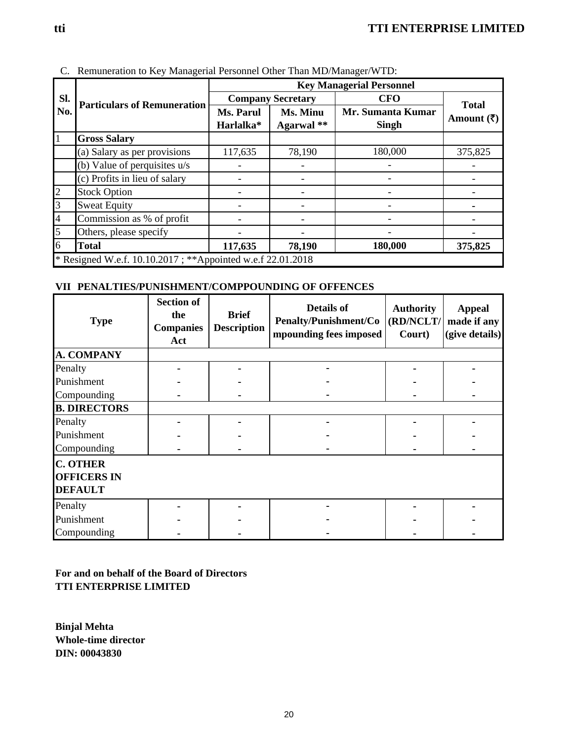|                |                                                             | <b>Key Managerial Personnel</b> |            |                   |                                  |  |
|----------------|-------------------------------------------------------------|---------------------------------|------------|-------------------|----------------------------------|--|
| Sl.            |                                                             | <b>Company Secretary</b>        |            | <b>CFO</b>        |                                  |  |
| No.            | <b>Particulars of Remuneration</b>                          | <b>Ms. Parul</b>                | Ms. Minu   | Mr. Sumanta Kumar | <b>Total</b>                     |  |
|                |                                                             | Harlalka*                       | Agarwal ** | <b>Singh</b>      | Amount $(\overline{\mathbf{z}})$ |  |
| $\mathbf{1}$   | <b>Gross Salary</b>                                         |                                 |            |                   |                                  |  |
|                | (a) Salary as per provisions                                | 117,635                         | 78,190     | 180,000           | 375,825                          |  |
|                | (b) Value of perquisites u/s                                |                                 |            |                   |                                  |  |
|                | (c) Profits in lieu of salary                               |                                 |            |                   |                                  |  |
| $\overline{c}$ | <b>Stock Option</b>                                         |                                 |            |                   |                                  |  |
| $\overline{3}$ | <b>Sweat Equity</b>                                         |                                 |            |                   |                                  |  |
| $\overline{4}$ | Commission as % of profit                                   |                                 |            |                   |                                  |  |
| $\overline{5}$ | Others, please specify                                      |                                 |            |                   |                                  |  |
| 6              | <b>Total</b>                                                | 117,635                         | 78,190     | 180,000           | 375,825                          |  |
|                | * Resigned W.e.f. 10.10.2017; ** Appointed w.e.f 22.01.2018 |                                 |            |                   |                                  |  |

C. Remuneration to Key Managerial Personnel Other Than MD/Manager/WTD:

#### **VII PENALTIES/PUNISHMENT/COMPPOUNDING OF OFFENCES**

| <b>Type</b>                                             | <b>Section of</b><br>the<br><b>Companies</b><br>Act | <b>Brief</b><br><b>Description</b> | <b>Details of</b><br>Penalty/Punishment/Co<br>mpounding fees imposed | <b>Authority</b><br>(RD/NCLT/<br>Court) | <b>Appeal</b><br>made if any<br>(give details) |  |  |
|---------------------------------------------------------|-----------------------------------------------------|------------------------------------|----------------------------------------------------------------------|-----------------------------------------|------------------------------------------------|--|--|
| A. COMPANY                                              |                                                     |                                    |                                                                      |                                         |                                                |  |  |
| Penalty                                                 |                                                     |                                    |                                                                      |                                         |                                                |  |  |
| Punishment                                              |                                                     |                                    |                                                                      |                                         |                                                |  |  |
| Compounding                                             |                                                     |                                    |                                                                      |                                         |                                                |  |  |
| <b>B. DIRECTORS</b>                                     |                                                     |                                    |                                                                      |                                         |                                                |  |  |
| Penalty                                                 |                                                     |                                    |                                                                      |                                         |                                                |  |  |
| Punishment                                              |                                                     |                                    |                                                                      |                                         |                                                |  |  |
| Compounding                                             |                                                     |                                    |                                                                      |                                         |                                                |  |  |
| <b>C. OTHER</b><br><b>OFFICERS IN</b><br><b>DEFAULT</b> |                                                     |                                    |                                                                      |                                         |                                                |  |  |
| Penalty                                                 |                                                     |                                    |                                                                      |                                         |                                                |  |  |
| Punishment                                              |                                                     |                                    |                                                                      |                                         |                                                |  |  |
| Compounding                                             |                                                     |                                    |                                                                      |                                         |                                                |  |  |

**For and on behalf of the Board of Directors TTI ENTERPRISE LIMITED**

**Binjal Mehta Whole-time director DIN: 00043830**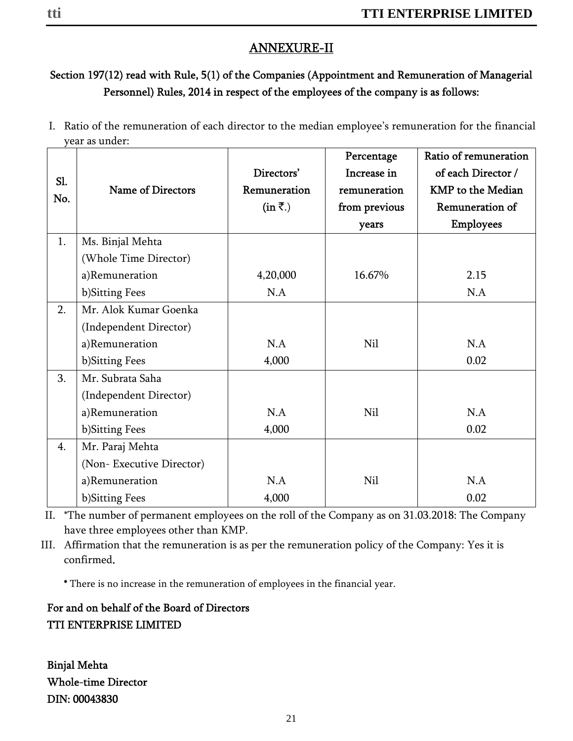# ANNEXURE-II

# Section 197(12) read with Rule, 5(1) of the Companies (Appointment and Remuneration of Managerial Personnel) Rules, 2014 in respect of the employees of the company is as follows:

I. Ratio of the remuneration of each director to the median employee's remuneration for the financial year as under:

|     |                          |                | Percentage    | Ratio of remuneration    |
|-----|--------------------------|----------------|---------------|--------------------------|
| Sl. |                          | Directors'     | Increase in   | of each Director /       |
| No. | <b>Name of Directors</b> | Remuneration   | remuneration  | <b>KMP</b> to the Median |
|     |                          | $(in \bar{z})$ | from previous | Remuneration of          |
|     |                          |                | years         | <b>Employees</b>         |
| 1.  | Ms. Binjal Mehta         |                |               |                          |
|     | (Whole Time Director)    |                |               |                          |
|     | a)Remuneration           | 4,20,000       | 16.67%        | 2.15                     |
|     | b)Sitting Fees           | N.A            |               | N.A                      |
| 2.  | Mr. Alok Kumar Goenka    |                |               |                          |
|     | (Independent Director)   |                |               |                          |
|     | a)Remuneration           | N.A            | <b>Nil</b>    | N.A                      |
|     | b)Sitting Fees           | 4,000          |               | 0.02                     |
| 3.  | Mr. Subrata Saha         |                |               |                          |
|     | (Independent Director)   |                |               |                          |
|     | a)Remuneration           | N.A            | Nil           | N.A                      |
|     | b)Sitting Fees           | 4,000          |               | 0.02                     |
| 4.  | Mr. Paraj Mehta          |                |               |                          |
|     | (Non-Executive Director) |                |               |                          |
|     | a)Remuneration           | N.A            | <b>Nil</b>    | N.A                      |
|     | b)Sitting Fees           | 4,000          |               | 0.02                     |

II. \*The number of permanent employees on the roll of the Company as on 31.03.2018: The Company have three employees other than KMP.

III. Affirmation that the remuneration is as per the remuneration policy of the Company: Yes it is confirmed.

\* There is no increase in the remuneration of employees in the financial year.

# For and on behalf of the Board of Directors TTI ENTERPRISE LIMITED

Binjal Mehta Whole-time Director DIN: 00043830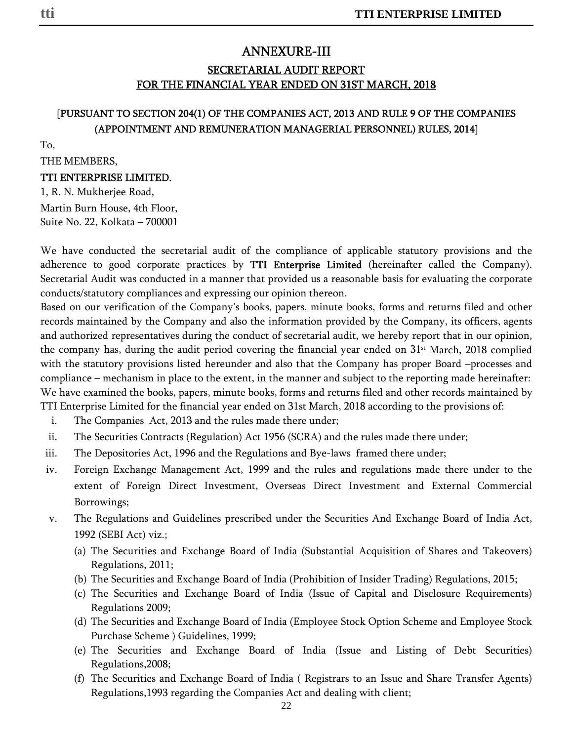# ANNEXURE-III SECRETARIAL AUDIT REPORT FOR THE FINANCIAL YEAR ENDED ON 31ST MARCH, 2018

## [PURSUANT TO SECTION 204(1) OF THE COMPANIES ACT, 2013 AND RULE 9 OF THE COMPANIES (APPOINTMENT AND REMUNERATION MANAGERIAL PERSONNEL) RULES, 2014]

To,

THE MEMBERS,

#### TTI ENTERPRISE LIMITED.

1, R. N. Mukherjee Road, Martin Burn House, 4th Floor, Suite No. 22, Kolkata – 700001

We have conducted the secretarial audit of the compliance of applicable statutory provisions and the adherence to good corporate practices by TTI Enterprise Limited (hereinafter called the Company). Secretarial Audit was conducted in a manner that provided us a reasonable basis for evaluating the corporate conducts/statutory compliances and expressing our opinion thereon.

Based on our verification of the Company's books, papers, minute books, forms and returns filed and other records maintained by the Company and also the information provided by the Company, its officers, agents and authorized representatives during the conduct of secretarial audit, we hereby report that in our opinion, the company has, during the audit period covering the financial year ended on 31<sup>st</sup> March, 2018 complied with the statutory provisions listed hereunder and also that the Company has proper Board –processes and compliance – mechanism in place to the extent, in the manner and subject to the reporting made hereinafter: We have examined the books, papers, minute books, forms and returns filed and other records maintained by TTI Enterprise Limited for the financial year ended on 31st March, 2018 according to the provisions of:

- i. The Companies Act, 2013 and the rules made there under;
- ii. The Securities Contracts (Regulation) Act 1956 (SCRA) and the rules made there under;
- iii. The Depositories Act, 1996 and the Regulations and Bye-laws framed there under;
- iv. Foreign Exchange Management Act, 1999 and the rules and regulations made there under to the extent of Foreign Direct Investment, Overseas Direct Investment and External Commercial Borrowings;
- v. The Regulations and Guidelines prescribed under the Securities And Exchange Board of India Act, 1992 (SEBI Act) viz.;
	- (a) The Securities and Exchange Board of India (Substantial Acquisition of Shares and Takeovers) Regulations, 2011;
	- (b) The Securities and Exchange Board of India (Prohibition of Insider Trading) Regulations, 2015;
	- (c) The Securities and Exchange Board of India (Issue of Capital and Disclosure Requirements) Regulations 2009;
	- (d) The Securities and Exchange Board of India (Employee Stock Option Scheme and Employee Stock Purchase Scheme ) Guidelines, 1999;
	- (e) The Securities and Exchange Board of India (Issue and Listing of Debt Securities) Regulations,2008;
	- (f) The Securities and Exchange Board of India ( Registrars to an Issue and Share Transfer Agents) Regulations,1993 regarding the Companies Act and dealing with client;

22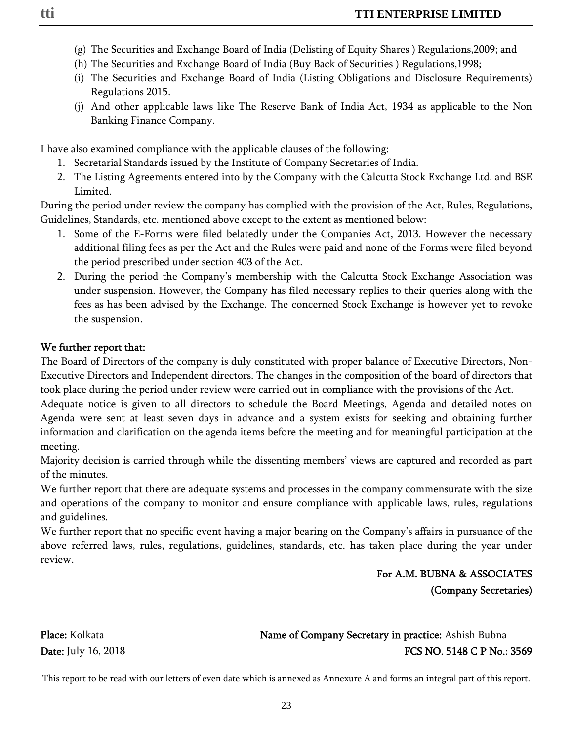- (g) The Securities and Exchange Board of India (Delisting of Equity Shares ) Regulations,2009; and
- (h) The Securities and Exchange Board of India (Buy Back of Securities ) Regulations,1998;
- (i) The Securities and Exchange Board of India (Listing Obligations and Disclosure Requirements) Regulations 2015.
- (j) And other applicable laws like The Reserve Bank of India Act, 1934 as applicable to the Non Banking Finance Company.

I have also examined compliance with the applicable clauses of the following:

- 1. Secretarial Standards issued by the Institute of Company Secretaries of India.
- 2. The Listing Agreements entered into by the Company with the Calcutta Stock Exchange Ltd. and BSE Limited.

During the period under review the company has complied with the provision of the Act, Rules, Regulations, Guidelines, Standards, etc. mentioned above except to the extent as mentioned below:

- 1. Some of the E-Forms were filed belatedly under the Companies Act, 2013. However the necessary additional filing fees as per the Act and the Rules were paid and none of the Forms were filed beyond the period prescribed under section 403 of the Act.
- 2. During the period the Company's membership with the Calcutta Stock Exchange Association was under suspension. However, the Company has filed necessary replies to their queries along with the fees as has been advised by the Exchange. The concerned Stock Exchange is however yet to revoke the suspension.

#### We further report that:

The Board of Directors of the company is duly constituted with proper balance of Executive Directors, Non-Executive Directors and Independent directors. The changes in the composition of the board of directors that took place during the period under review were carried out in compliance with the provisions of the Act.

Adequate notice is given to all directors to schedule the Board Meetings, Agenda and detailed notes on Agenda were sent at least seven days in advance and a system exists for seeking and obtaining further information and clarification on the agenda items before the meeting and for meaningful participation at the meeting.

Majority decision is carried through while the dissenting members' views are captured and recorded as part of the minutes.

We further report that there are adequate systems and processes in the company commensurate with the size and operations of the company to monitor and ensure compliance with applicable laws, rules, regulations and guidelines.

We further report that no specific event having a major bearing on the Company's affairs in pursuance of the above referred laws, rules, regulations, guidelines, standards, etc. has taken place during the year under review.

# For A.M. BUBNA & ASSOCIATES (Company Secretaries)

Place: Kolkata Name of Company Secretary in practice: Ashish Bubna Date: July 16, 2018 **FCS NO. 5148 C P No.: 3569** 

This report to be read with our letters of even date which is annexed as Annexure A and forms an integral part of this report.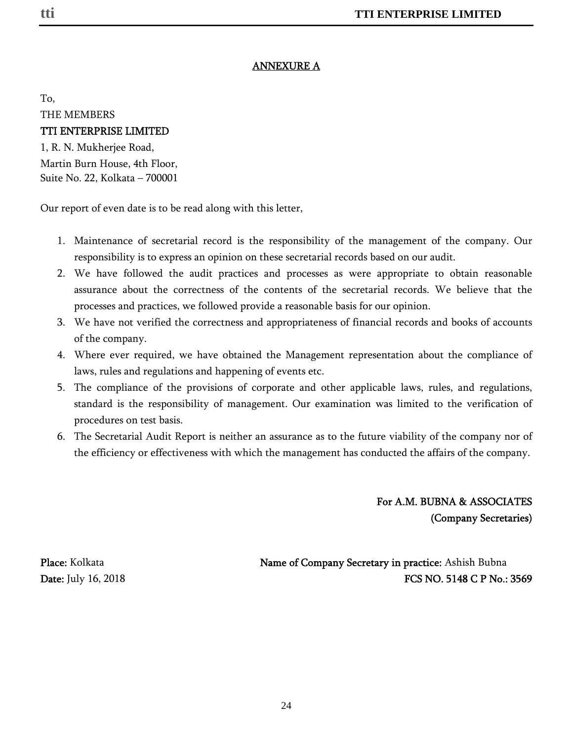## ANNEXURE A

To,

THE MEMBERS

#### TTI ENTERPRISE LIMITED

1, R. N. Mukherjee Road, Martin Burn House, 4th Floor, Suite No. 22, Kolkata – 700001

Our report of even date is to be read along with this letter,

- 1. Maintenance of secretarial record is the responsibility of the management of the company. Our responsibility is to express an opinion on these secretarial records based on our audit.
- 2. We have followed the audit practices and processes as were appropriate to obtain reasonable assurance about the correctness of the contents of the secretarial records. We believe that the processes and practices, we followed provide a reasonable basis for our opinion.
- 3. We have not verified the correctness and appropriateness of financial records and books of accounts of the company.
- 4. Where ever required, we have obtained the Management representation about the compliance of laws, rules and regulations and happening of events etc.
- 5. The compliance of the provisions of corporate and other applicable laws, rules, and regulations, standard is the responsibility of management. Our examination was limited to the verification of procedures on test basis.
- 6. The Secretarial Audit Report is neither an assurance as to the future viability of the company nor of the efficiency or effectiveness with which the management has conducted the affairs of the company.

For A.M. BUBNA & ASSOCIATES (Company Secretaries)

Place: Kolkata Name of Company Secretary in practice: Ashish Bubna Date: July 16, 2018 **FCS NO. 5148 C P No.: 3569**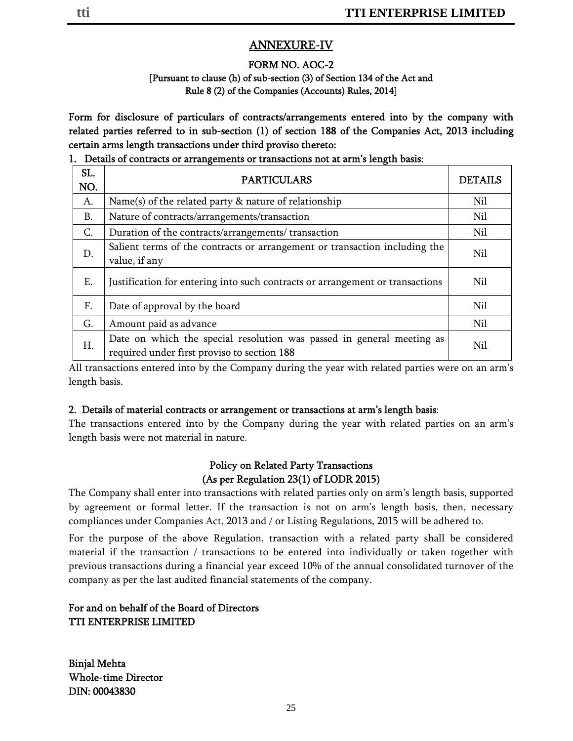## ANNEXURE-IV

## FORM NO. AOC-2

#### [Pursuant to clause (h) of sub-section (3) of Section 134 of the Act and Rule 8 (2) of the Companies (Accounts) Rules, 2014]

Form for disclosure of particulars of contracts/arrangements entered into by the company with related parties referred to in sub-section (1) of section 188 of the Companies Act, 2013 including certain arms length transactions under third proviso thereto:

#### 1. Details of contracts or arrangements or transactions not at arm's length basis:

| SL.<br>NO. | <b>PARTICULARS</b>                                                                                                   | <b>DETAILS</b> |
|------------|----------------------------------------------------------------------------------------------------------------------|----------------|
| A.         | Name(s) of the related party $\&$ nature of relationship                                                             | Nil            |
| B.         | Nature of contracts/arrangements/transaction                                                                         | Nil            |
| C.         | Duration of the contracts/arrangements/ transaction                                                                  | Nil            |
| D.         | Salient terms of the contracts or arrangement or transaction including the<br>value, if any                          | Nil            |
| Ε.         | Justification for entering into such contracts or arrangement or transactions                                        | Nil            |
| F.         | Date of approval by the board                                                                                        | Nil            |
| G.         | Amount paid as advance                                                                                               | Nil            |
| H.         | Date on which the special resolution was passed in general meeting as<br>required under first proviso to section 188 | Nil            |

All transactions entered into by the Company during the year with related parties were on an arm's length basis.

#### 2. Details of material contracts or arrangement or transactions at arm's length basis:

The transactions entered into by the Company during the year with related parties on an arm's length basis were not material in nature.

## Policy on Related Party Transactions (As per Regulation 23(1) of LODR 2015)

The Company shall enter into transactions with related parties only on arm's length basis, supported by agreement or formal letter. If the transaction is not on arm's length basis, then, necessary compliances under Companies Act, 2013 and / or Listing Regulations, 2015 will be adhered to.

For the purpose of the above Regulation, transaction with a related party shall be considered material if the transaction / transactions to be entered into individually or taken together with previous transactions during a financial year exceed 10% of the annual consolidated turnover of the company as per the last audited financial statements of the company.

## For and on behalf of the Board of Directors TTI ENTERPRISE LIMITED

Binjal Mehta Whole-time Director DIN: 00043830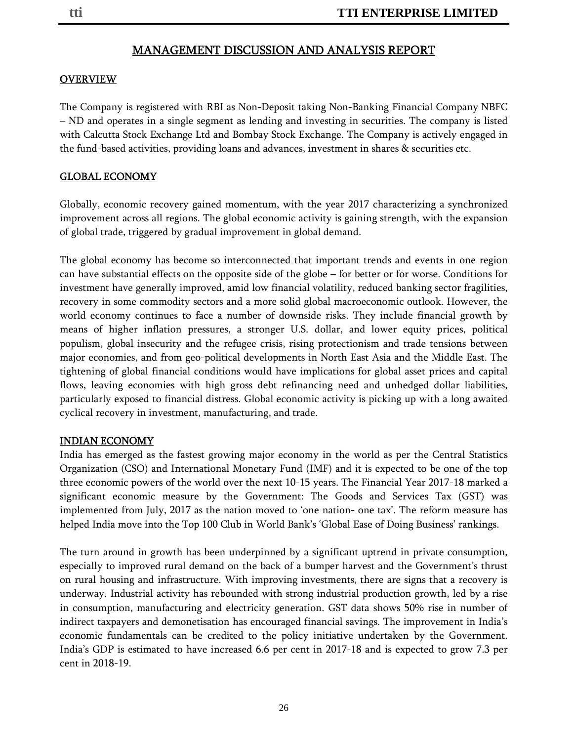## MANAGEMENT DISCUSSION AND ANALYSIS REPORT

#### OVERVIEW

The Company is registered with RBI as Non-Deposit taking Non-Banking Financial Company NBFC – ND and operates in a single segment as lending and investing in securities. The company is listed with Calcutta Stock Exchange Ltd and Bombay Stock Exchange. The Company is actively engaged in the fund-based activities, providing loans and advances, investment in shares & securities etc.

#### GLOBAL ECONOMY

Globally, economic recovery gained momentum, with the year 2017 characterizing a synchronized improvement across all regions. The global economic activity is gaining strength, with the expansion of global trade, triggered by gradual improvement in global demand.

The global economy has become so interconnected that important trends and events in one region can have substantial effects on the opposite side of the globe – for better or for worse. Conditions for investment have generally improved, amid low financial volatility, reduced banking sector fragilities, recovery in some commodity sectors and a more solid global macroeconomic outlook. However, the world economy continues to face a number of downside risks. They include financial growth by means of higher inflation pressures, a stronger U.S. dollar, and lower equity prices, political populism, global insecurity and the refugee crisis, rising protectionism and trade tensions between major economies, and from geo-political developments in North East Asia and the Middle East. The tightening of global financial conditions would have implications for global asset prices and capital flows, leaving economies with high gross debt refinancing need and unhedged dollar liabilities, particularly exposed to financial distress. Global economic activity is picking up with a long awaited cyclical recovery in investment, manufacturing, and trade.

#### INDIAN ECONOMY

India has emerged as the fastest growing major economy in the world as per the Central Statistics Organization (CSO) and International Monetary Fund (IMF) and it is expected to be one of the top three economic powers of the world over the next 10-15 years. The Financial Year 2017-18 marked a significant economic measure by the Government: The Goods and Services Tax (GST) was implemented from July, 2017 as the nation moved to 'one nation- one tax'. The reform measure has helped India move into the Top 100 Club in World Bank's 'Global Ease of Doing Business' rankings.

The turn around in growth has been underpinned by a significant uptrend in private consumption, especially to improved rural demand on the back of a bumper harvest and the Government's thrust on rural housing and infrastructure. With improving investments, there are signs that a recovery is underway. Industrial activity has rebounded with strong industrial production growth, led by a rise in consumption, manufacturing and electricity generation. GST data shows 50% rise in number of indirect taxpayers and demonetisation has encouraged financial savings. The improvement in India's economic fundamentals can be credited to the policy initiative undertaken by the Government. India's GDP is estimated to have increased 6.6 per cent in 2017-18 and is expected to grow 7.3 per cent in 2018-19.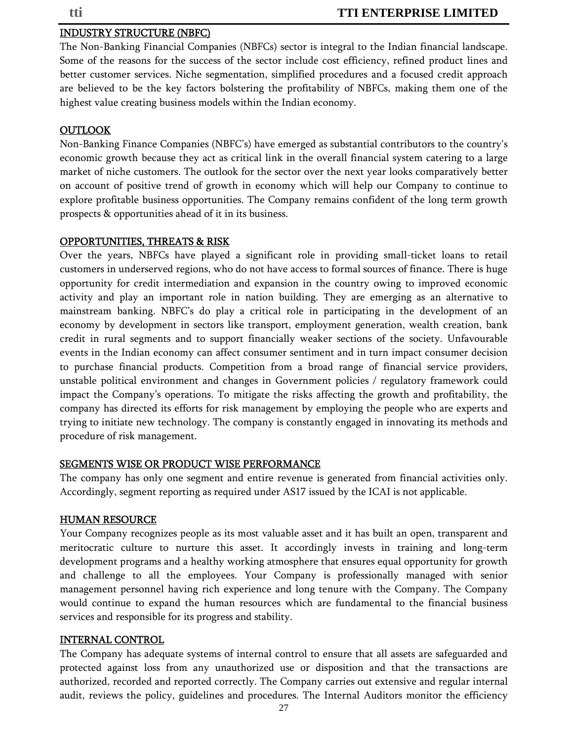#### INDUSTRY STRUCTURE (NBFC)

The Non-Banking Financial Companies (NBFCs) sector is integral to the Indian financial landscape. Some of the reasons for the success of the sector include cost efficiency, refined product lines and better customer services. Niche segmentation, simplified procedures and a focused credit approach are believed to be the key factors bolstering the profitability of NBFCs, making them one of the highest value creating business models within the Indian economy.

## **OUTLOOK**

Non-Banking Finance Companies (NBFC's) have emerged as substantial contributors to the country's economic growth because they act as critical link in the overall financial system catering to a large market of niche customers. The outlook for the sector over the next year looks comparatively better on account of positive trend of growth in economy which will help our Company to continue to explore profitable business opportunities. The Company remains confident of the long term growth prospects & opportunities ahead of it in its business.

#### OPPORTUNITIES, THREATS & RISK

Over the years, NBFCs have played a significant role in providing small-ticket loans to retail customers in underserved regions, who do not have access to formal sources of finance. There is huge opportunity for credit intermediation and expansion in the country owing to improved economic activity and play an important role in nation building. They are emerging as an alternative to mainstream banking. NBFC's do play a critical role in participating in the development of an economy by development in sectors like transport, employment generation, wealth creation, bank credit in rural segments and to support financially weaker sections of the society. Unfavourable events in the Indian economy can affect consumer sentiment and in turn impact consumer decision to purchase financial products. Competition from a broad range of financial service providers, unstable political environment and changes in Government policies / regulatory framework could impact the Company's operations. To mitigate the risks affecting the growth and profitability, the company has directed its efforts for risk management by employing the people who are experts and trying to initiate new technology. The company is constantly engaged in innovating its methods and procedure of risk management.

#### SEGMENTS WISE OR PRODUCT WISE PERFORMANCE

The company has only one segment and entire revenue is generated from financial activities only. Accordingly, segment reporting as required under AS17 issued by the ICAI is not applicable.

#### HUMAN RESOURCE

Your Company recognizes people as its most valuable asset and it has built an open, transparent and meritocratic culture to nurture this asset. It accordingly invests in training and long-term development programs and a healthy working atmosphere that ensures equal opportunity for growth and challenge to all the employees. Your Company is professionally managed with senior management personnel having rich experience and long tenure with the Company. The Company would continue to expand the human resources which are fundamental to the financial business services and responsible for its progress and stability.

#### INTERNAL CONTROL

The Company has adequate systems of internal control to ensure that all assets are safeguarded and protected against loss from any unauthorized use or disposition and that the transactions are authorized, recorded and reported correctly. The Company carries out extensive and regular internal audit, reviews the policy, guidelines and procedures. The Internal Auditors monitor the efficiency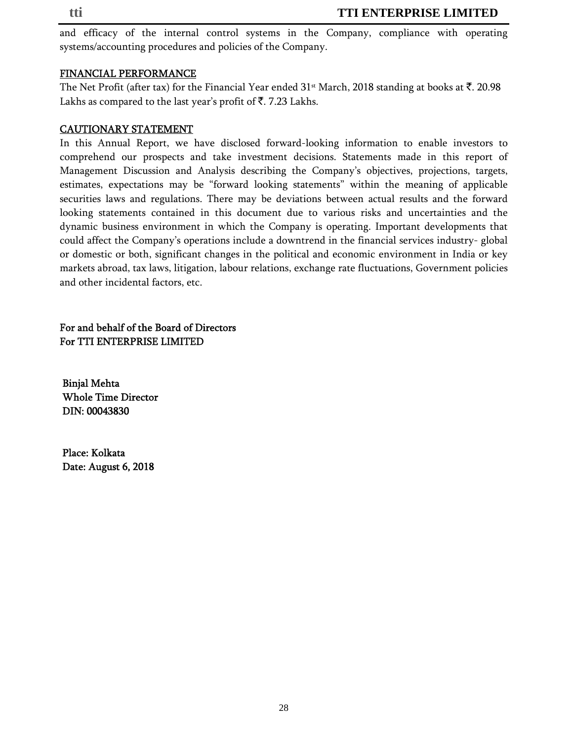and efficacy of the internal control systems in the Company, compliance with operating systems/accounting procedures and policies of the Company.

## FINANCIAL PERFORMANCE

The Net Profit (after tax) for the Financial Year ended  $31<sup>st</sup>$  March, 2018 standing at books at  $\bar{\tau}$ . 20.98 Lakhs as compared to the last year's profit of  $\bar{\tau}$ . 7.23 Lakhs.

## CAUTIONARY STATEMENT

In this Annual Report, we have disclosed forward-looking information to enable investors to comprehend our prospects and take investment decisions. Statements made in this report of Management Discussion and Analysis describing the Company's objectives, projections, targets, estimates, expectations may be "forward looking statements" within the meaning of applicable securities laws and regulations. There may be deviations between actual results and the forward looking statements contained in this document due to various risks and uncertainties and the dynamic business environment in which the Company is operating. Important developments that could affect the Company's operations include a downtrend in the financial services industry- global or domestic or both, significant changes in the political and economic environment in India or key markets abroad, tax laws, litigation, labour relations, exchange rate fluctuations, Government policies and other incidental factors, etc.

For and behalf of the Board of Directors For TTI ENTERPRISE LIMITED

 Binjal Mehta Whole Time Director DIN: 00043830

 Place: Kolkata Date: August 6, 2018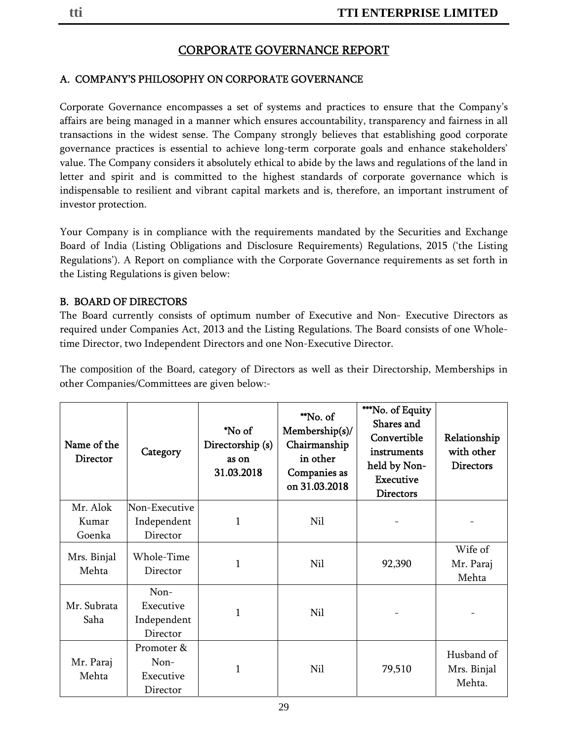## CORPORATE GOVERNANCE REPORT

## A. COMPANY'S PHILOSOPHY ON CORPORATE GOVERNANCE

Corporate Governance encompasses a set of systems and practices to ensure that the Company's affairs are being managed in a manner which ensures accountability, transparency and fairness in all transactions in the widest sense. The Company strongly believes that establishing good corporate governance practices is essential to achieve long-term corporate goals and enhance stakeholders' value. The Company considers it absolutely ethical to abide by the laws and regulations of the land in letter and spirit and is committed to the highest standards of corporate governance which is indispensable to resilient and vibrant capital markets and is, therefore, an important instrument of investor protection.

Your Company is in compliance with the requirements mandated by the Securities and Exchange Board of India (Listing Obligations and Disclosure Requirements) Regulations, 2015 ('the Listing Regulations'). A Report on compliance with the Corporate Governance requirements as set forth in the Listing Regulations is given below:

## B. BOARD OF DIRECTORS

The Board currently consists of optimum number of Executive and Non- Executive Directors as required under Companies Act, 2013 and the Listing Regulations. The Board consists of one Wholetime Director, two Independent Directors and one Non-Executive Director.

The composition of the Board, category of Directors as well as their Directorship, Memberships in other Companies/Committees are given below:-

| Name of the<br>Director     | Category                                     | *No of<br>Directorship (s)<br>as on<br>31.03.2018 | **No. of<br>Membership(s)/<br>Chairmanship<br>in other<br>Companies as<br>on 31.03.2018 | ***No. of Equity<br>Shares and<br>Convertible<br>instruments<br>held by Non-<br><b>Executive</b><br><b>Directors</b> | Relationship<br>with other<br><b>Directors</b> |
|-----------------------------|----------------------------------------------|---------------------------------------------------|-----------------------------------------------------------------------------------------|----------------------------------------------------------------------------------------------------------------------|------------------------------------------------|
| Mr. Alok<br>Kumar<br>Goenka | Non-Executive<br>Independent<br>Director     | 1                                                 | Nil                                                                                     |                                                                                                                      |                                                |
| Mrs. Binjal<br>Mehta        | Whole-Time<br>Director                       | 1                                                 | Nil                                                                                     | 92,390                                                                                                               | Wife of<br>Mr. Paraj<br>Mehta                  |
| Mr. Subrata<br>Saha         | Non-<br>Executive<br>Independent<br>Director | $\mathbf{1}$                                      | Nil                                                                                     |                                                                                                                      |                                                |
| Mr. Paraj<br>Mehta          | Promoter &<br>Non-<br>Executive<br>Director  | 1                                                 | Nil                                                                                     | 79,510                                                                                                               | Husband of<br>Mrs. Binjal<br>Mehta.            |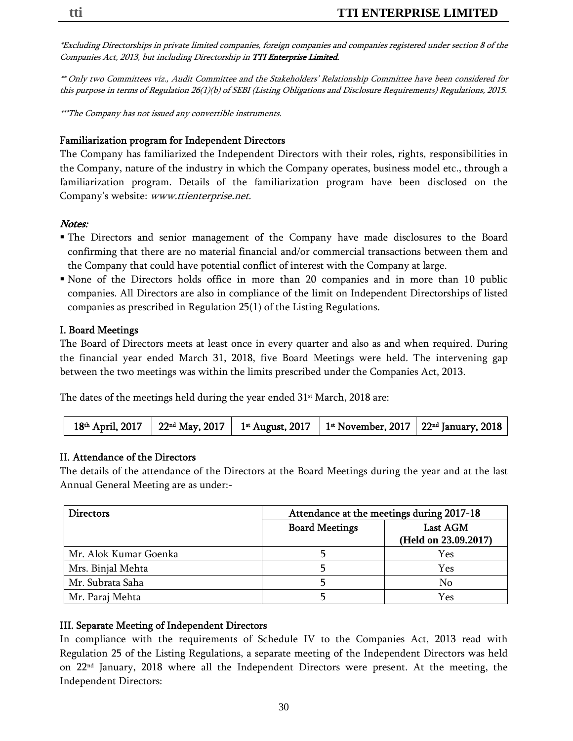\*Excluding Directorships in private limited companies, foreign companies and companies registered under section 8 of the Companies Act, 2013, but including Directorship in TTI Enterprise Limited.

\*\* Only two Committees viz., Audit Committee and the Stakeholders' Relationship Committee have been considered for this purpose in terms of Regulation 26(1)(b) of SEBI (Listing Obligations and Disclosure Requirements) Regulations, 2015.

\*\*\*The Company has not issued any convertible instruments.

#### Familiarization program for Independent Directors

The Company has familiarized the Independent Directors with their roles, rights, responsibilities in the Company, nature of the industry in which the Company operates, business model etc., through a familiarization program. Details of the familiarization program have been disclosed on the Company's website: www.ttienterprise.net.

#### Notes:

- The Directors and senior management of the Company have made disclosures to the Board confirming that there are no material financial and/or commercial transactions between them and the Company that could have potential conflict of interest with the Company at large.
- None of the Directors holds office in more than 20 companies and in more than 10 public companies. All Directors are also in compliance of the limit on Independent Directorships of listed companies as prescribed in Regulation 25(1) of the Listing Regulations.

#### I. Board Meetings

The Board of Directors meets at least once in every quarter and also as and when required. During the financial year ended March 31, 2018, five Board Meetings were held. The intervening gap between the two meetings was within the limits prescribed under the Companies Act, 2013.

The dates of the meetings held during the year ended  $31<sup>st</sup>$  March, 2018 are:

|  |  |  | $18th$ April, 2017   22 <sup>nd</sup> May, 2017   1 <sup>st</sup> August, 2017   1 <sup>st</sup> November, 2017   22 <sup>nd</sup> January, 2018 |  |
|--|--|--|--------------------------------------------------------------------------------------------------------------------------------------------------|--|
|--|--|--|--------------------------------------------------------------------------------------------------------------------------------------------------|--|

#### II. Attendance of the Directors

The details of the attendance of the Directors at the Board Meetings during the year and at the last Annual General Meeting are as under:-

| <b>Directors</b>      | Attendance at the meetings during 2017-18 |                      |  |
|-----------------------|-------------------------------------------|----------------------|--|
|                       | <b>Board Meetings</b>                     | Last AGM             |  |
|                       |                                           | (Held on 23.09.2017) |  |
| Mr. Alok Kumar Goenka |                                           | Yes                  |  |
| Mrs. Binjal Mehta     |                                           | Yes                  |  |
| Mr. Subrata Saha      |                                           | No                   |  |
| Mr. Paraj Mehta       |                                           | Yes                  |  |

#### III. Separate Meeting of Independent Directors

In compliance with the requirements of Schedule IV to the Companies Act, 2013 read with Regulation 25 of the Listing Regulations, a separate meeting of the Independent Directors was held on 22nd January, 2018 where all the Independent Directors were present. At the meeting, the Independent Directors: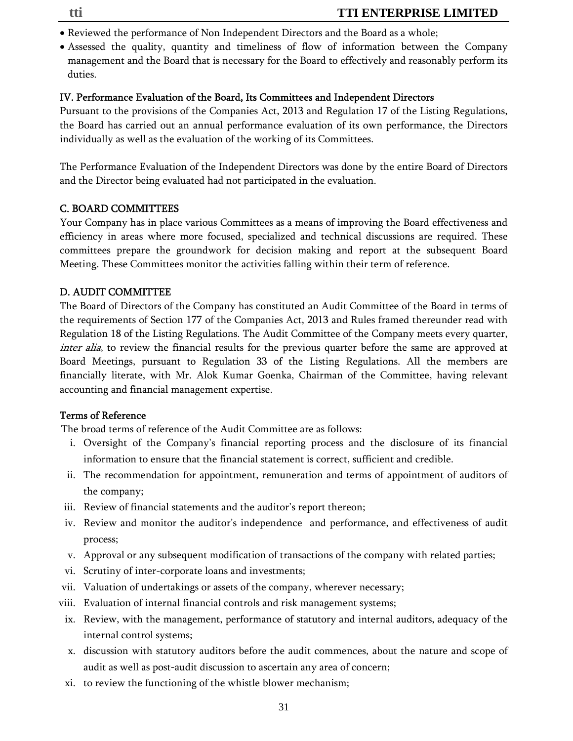- Reviewed the performance of Non Independent Directors and the Board as a whole;
- Assessed the quality, quantity and timeliness of flow of information between the Company management and the Board that is necessary for the Board to effectively and reasonably perform its duties.

#### IV. Performance Evaluation of the Board, Its Committees and Independent Directors

Pursuant to the provisions of the Companies Act, 2013 and Regulation 17 of the Listing Regulations, the Board has carried out an annual performance evaluation of its own performance, the Directors individually as well as the evaluation of the working of its Committees.

The Performance Evaluation of the Independent Directors was done by the entire Board of Directors and the Director being evaluated had not participated in the evaluation.

## C. BOARD COMMITTEES

Your Company has in place various Committees as a means of improving the Board effectiveness and efficiency in areas where more focused, specialized and technical discussions are required. These committees prepare the groundwork for decision making and report at the subsequent Board Meeting. These Committees monitor the activities falling within their term of reference.

## D. AUDIT COMMITTEE

The Board of Directors of the Company has constituted an Audit Committee of the Board in terms of the requirements of Section 177 of the Companies Act, 2013 and Rules framed thereunder read with Regulation 18 of the Listing Regulations. The Audit Committee of the Company meets every quarter, *inter alia*, to review the financial results for the previous quarter before the same are approved at Board Meetings, pursuant to Regulation 33 of the Listing Regulations. All the members are financially literate, with Mr. Alok Kumar Goenka, Chairman of the Committee, having relevant accounting and financial management expertise.

## Terms of Reference

The broad terms of reference of the Audit Committee are as follows:

- i. Oversight of the Company's financial reporting process and the disclosure of its financial information to ensure that the financial statement is correct, sufficient and credible.
- ii. The recommendation for appointment, remuneration and terms of appointment of auditors of the company;
- iii. Review of financial statements and the auditor's report thereon;
- iv. Review and monitor the auditor's independence and performance, and effectiveness of audit process;
- v. Approval or any subsequent modification of transactions of the company with related parties;
- vi. Scrutiny of inter-corporate loans and investments;
- vii. Valuation of undertakings or assets of the company, wherever necessary;
- viii. Evaluation of internal financial controls and risk management systems;
	- ix. Review, with the management, performance of statutory and internal auditors, adequacy of the internal control systems;
	- x. discussion with statutory auditors before the audit commences, about the nature and scope of audit as well as post-audit discussion to ascertain any area of concern;
	- xi. to review the functioning of the whistle blower mechanism;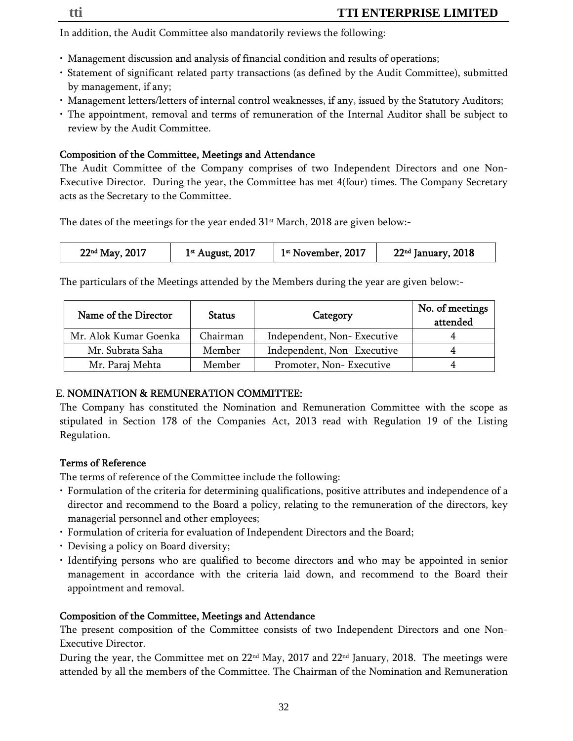In addition, the Audit Committee also mandatorily reviews the following:

- Management discussion and analysis of financial condition and results of operations;
- Statement of significant related party transactions (as defined by the Audit Committee), submitted by management, if any;
- Management letters/letters of internal control weaknesses, if any, issued by the Statutory Auditors;
- The appointment, removal and terms of remuneration of the Internal Auditor shall be subject to review by the Audit Committee.

## Composition of the Committee, Meetings and Attendance

The Audit Committee of the Company comprises of two Independent Directors and one Non-Executive Director. During the year, the Committee has met 4(four) times. The Company Secretary acts as the Secretary to the Committee.

The dates of the meetings for the year ended  $31<sup>st</sup>$  March, 2018 are given below:-

$$
22nd May, 2017
$$
 1<sup>st</sup> August, 2017 1<sup>st</sup> November, 2017 22<sup>nd</sup> January, 2018

The particulars of the Meetings attended by the Members during the year are given below:-

| Name of the Director  | <b>Status</b> | Category                   | No. of meetings<br>attended |
|-----------------------|---------------|----------------------------|-----------------------------|
| Mr. Alok Kumar Goenka | Chairman      | Independent, Non-Executive |                             |
| Mr. Subrata Saha      | Member        | Independent, Non-Executive |                             |
| Mr. Paraj Mehta       | Member        | Promoter, Non-Executive    |                             |

## E. NOMINATION & REMUNERATION COMMITTEE:

The Company has constituted the Nomination and Remuneration Committee with the scope as stipulated in Section 178 of the Companies Act, 2013 read with Regulation 19 of the Listing Regulation.

## Terms of Reference

The terms of reference of the Committee include the following:

- Formulation of the criteria for determining qualifications, positive attributes and independence of a director and recommend to the Board a policy, relating to the remuneration of the directors, key managerial personnel and other employees;
- Formulation of criteria for evaluation of Independent Directors and the Board;
- Devising a policy on Board diversity;
- Identifying persons who are qualified to become directors and who may be appointed in senior management in accordance with the criteria laid down, and recommend to the Board their appointment and removal.

## Composition of the Committee, Meetings and Attendance

The present composition of the Committee consists of two Independent Directors and one Non-Executive Director.

During the year, the Committee met on 22<sup>nd</sup> May, 2017 and 22<sup>nd</sup> January, 2018. The meetings were attended by all the members of the Committee. The Chairman of the Nomination and Remuneration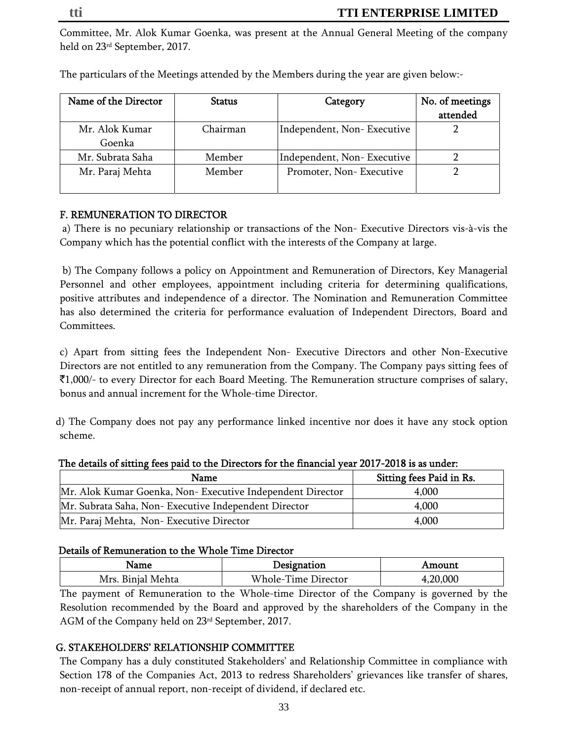Committee, Mr. Alok Kumar Goenka, was present at the Annual General Meeting of the company held on 23rd September, 2017.

| Name of the Director     | <b>Status</b> | Category                   | No. of meetings<br>attended |
|--------------------------|---------------|----------------------------|-----------------------------|
| Mr. Alok Kumar<br>Goenka | Chairman      | Independent, Non-Executive |                             |
| Mr. Subrata Saha         | Member        | Independent, Non-Executive |                             |
| Mr. Paraj Mehta          | Member        | Promoter, Non-Executive    |                             |

The particulars of the Meetings attended by the Members during the year are given below:-

## F. REMUNERATION TO DIRECTOR

 a) There is no pecuniary relationship or transactions of the Non- Executive Directors vis-à-vis the Company which has the potential conflict with the interests of the Company at large.

 b) The Company follows a policy on Appointment and Remuneration of Directors, Key Managerial Personnel and other employees, appointment including criteria for determining qualifications, positive attributes and independence of a director. The Nomination and Remuneration Committee has also determined the criteria for performance evaluation of Independent Directors, Board and Committees.

c) Apart from sitting fees the Independent Non- Executive Directors and other Non-Executive Directors are not entitled to any remuneration from the Company. The Company pays sitting fees of  $\bar{\xi}$ 1,000/- to every Director for each Board Meeting. The Remuneration structure comprises of salary, bonus and annual increment for the Whole-time Director.

d) The Company does not pay any performance linked incentive nor does it have any stock option scheme.

| Name                                                      | Sitting fees Paid in Rs. |
|-----------------------------------------------------------|--------------------------|
| Mr. Alok Kumar Goenka, Non-Executive Independent Director | 4,000                    |
| Mr. Subrata Saha, Non-Executive Independent Director      | 4,000                    |
| Mr. Paraj Mehta, Non- Executive Director                  | 4,000                    |

The details of sitting fees paid to the Directors for the financial year 2017-2018 is as under:

#### Details of Remuneration to the Whole Time Director

| Name              | Designation         | Amount   |
|-------------------|---------------------|----------|
| Mrs. Binjal Mehta | Whole-Time Director | 4,20,000 |

The payment of Remuneration to the Whole-time Director of the Company is governed by the Resolution recommended by the Board and approved by the shareholders of the Company in the AGM of the Company held on 23rd September, 2017.

## G. STAKEHOLDERS' RELATIONSHIP COMMITTEE

The Company has a duly constituted Stakeholders' and Relationship Committee in compliance with Section 178 of the Companies Act, 2013 to redress Shareholders' grievances like transfer of shares, non-receipt of annual report, non-receipt of dividend, if declared etc.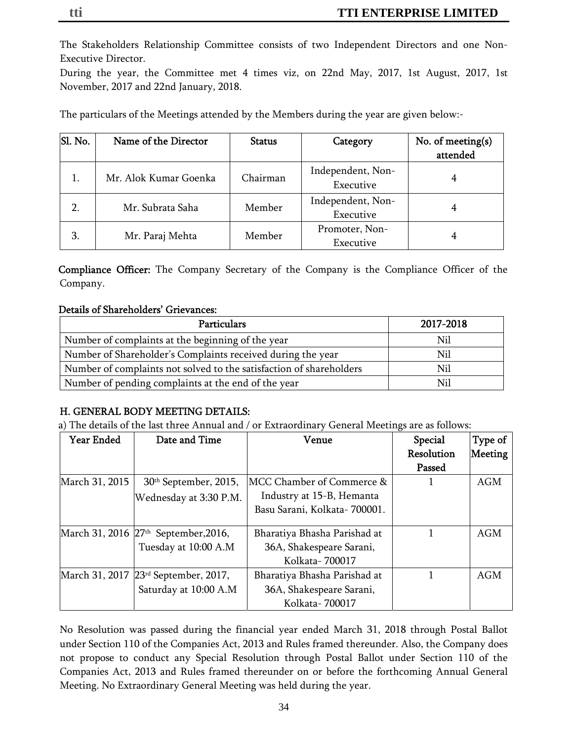The Stakeholders Relationship Committee consists of two Independent Directors and one Non-Executive Director.

During the year, the Committee met 4 times viz, on 22nd May, 2017, 1st August, 2017, 1st November, 2017 and 22nd January, 2018.

The particulars of the Meetings attended by the Members during the year are given below:-

| Sl. No. | Name of the Director  | <b>Status</b> | Category                       | No. of meeting(s)<br>attended |
|---------|-----------------------|---------------|--------------------------------|-------------------------------|
|         | Mr. Alok Kumar Goenka | Chairman      | Independent, Non-<br>Executive | 4                             |
| 2.      | Mr. Subrata Saha      | Member        | Independent, Non-<br>Executive | 4                             |
| 3.      | Mr. Paraj Mehta       | Member        | Promoter, Non-<br>Executive    | 4                             |

 Compliance Officer: The Company Secretary of the Company is the Compliance Officer of the Company.

#### Details of Shareholders' Grievances:

| Particulars                                                         | 2017-2018 |
|---------------------------------------------------------------------|-----------|
| Number of complaints at the beginning of the year                   | Nil       |
| Number of Shareholder's Complaints received during the year         | Nil       |
| Number of complaints not solved to the satisfaction of shareholders | Nil       |
| Number of pending complaints at the end of the year                 | Nil       |

#### H. GENERAL BODY MEETING DETAILS:

a) The details of the last three Annual and / or Extraordinary General Meetings are as follows:

| <b>Year Ended</b> | Date and Time                                    | Venue                         | Special    | Type of |
|-------------------|--------------------------------------------------|-------------------------------|------------|---------|
|                   |                                                  |                               | Resolution | Meeting |
|                   |                                                  |                               | Passed     |         |
| March 31, 2015    | 30 <sup>th</sup> September, 2015,                | MCC Chamber of Commerce &     |            | AGM     |
|                   | Wednesday at 3:30 P.M.                           | Industry at 15-B, Hemanta     |            |         |
|                   |                                                  | Basu Sarani, Kolkata- 700001. |            |         |
|                   |                                                  |                               |            |         |
|                   | March 31, 2016 27 <sup>th</sup> September, 2016, | Bharatiya Bhasha Parishad at  |            | AGM     |
|                   | Tuesday at 10:00 A.M                             | 36A, Shakespeare Sarani,      |            |         |
|                   |                                                  | Kolkata-700017                |            |         |
|                   | March 31, 2017 23 <sup>rd</sup> September, 2017, | Bharatiya Bhasha Parishad at  |            | AGM     |
|                   | Saturday at 10:00 A.M                            | 36A, Shakespeare Sarani,      |            |         |
|                   |                                                  | Kolkata-700017                |            |         |

No Resolution was passed during the financial year ended March 31, 2018 through Postal Ballot under Section 110 of the Companies Act, 2013 and Rules framed thereunder. Also, the Company does not propose to conduct any Special Resolution through Postal Ballot under Section 110 of the Companies Act, 2013 and Rules framed thereunder on or before the forthcoming Annual General Meeting. No Extraordinary General Meeting was held during the year.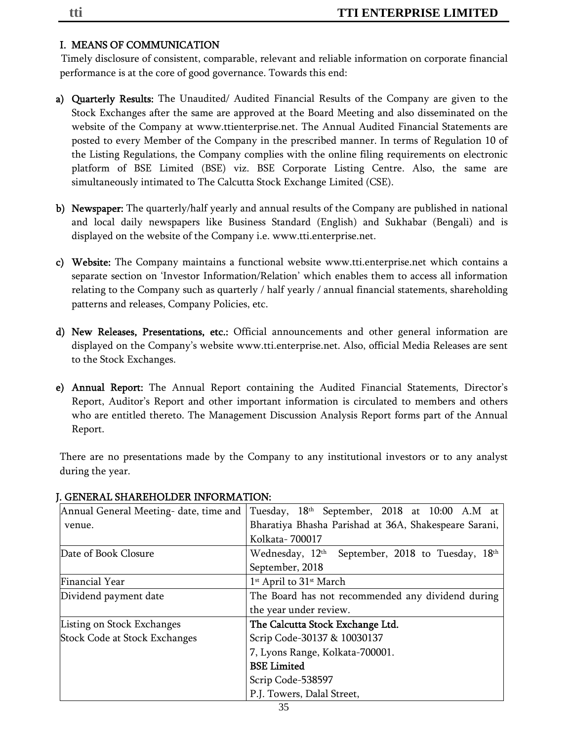## I. MEANS OF COMMUNICATION

 Timely disclosure of consistent, comparable, relevant and reliable information on corporate financial performance is at the core of good governance. Towards this end:

- a) Quarterly Results: The Unaudited/ Audited Financial Results of the Company are given to the Stock Exchanges after the same are approved at the Board Meeting and also disseminated on the website of the Company at www.ttienterprise.net. The Annual Audited Financial Statements are posted to every Member of the Company in the prescribed manner. In terms of Regulation 10 of the Listing Regulations, the Company complies with the online filing requirements on electronic platform of BSE Limited (BSE) viz. BSE Corporate Listing Centre. Also, the same are simultaneously intimated to The Calcutta Stock Exchange Limited (CSE).
- b) Newspaper: The quarterly/half yearly and annual results of the Company are published in national and local daily newspapers like Business Standard (English) and Sukhabar (Bengali) and is displayed on the website of the Company i.e. www.tti.enterprise.net.
- c) Website: The Company maintains a functional website www.tti.enterprise.net which contains a separate section on 'Investor Information/Relation' which enables them to access all information relating to the Company such as quarterly / half yearly / annual financial statements, shareholding patterns and releases, Company Policies, etc.
- d) New Releases, Presentations, etc.: Official announcements and other general information are displayed on the Company's website www.tti.enterprise.net. Also, official Media Releases are sent to the Stock Exchanges.
- e) Annual Report: The Annual Report containing the Audited Financial Statements, Director's Report, Auditor's Report and other important information is circulated to members and others who are entitled thereto. The Management Discussion Analysis Report forms part of the Annual Report.

There are no presentations made by the Company to any institutional investors or to any analyst during the year.

| Annual General Meeting- date, time and | Tuesday, 18 <sup>th</sup> September, 2018 at 10:00 A.M at                |  |  |
|----------------------------------------|--------------------------------------------------------------------------|--|--|
| venue.                                 | Bharatiya Bhasha Parishad at 36A, Shakespeare Sarani,                    |  |  |
|                                        | Kolkata-700017                                                           |  |  |
| Date of Book Closure                   | Wednesday, 12 <sup>th</sup> September, 2018 to Tuesday, 18 <sup>th</sup> |  |  |
|                                        | September, 2018                                                          |  |  |
| Financial Year                         | 1 <sup>st</sup> April to 31 <sup>st</sup> March                          |  |  |
| Dividend payment date                  | The Board has not recommended any dividend during                        |  |  |
|                                        | the year under review.                                                   |  |  |
| Listing on Stock Exchanges             | The Calcutta Stock Exchange Ltd.                                         |  |  |
| <b>Stock Code at Stock Exchanges</b>   | Scrip Code-30137 & 10030137                                              |  |  |
|                                        | 7, Lyons Range, Kolkata-700001.                                          |  |  |
|                                        | <b>BSE</b> Limited                                                       |  |  |
|                                        | Scrip Code-538597                                                        |  |  |
|                                        | P.J. Towers, Dalal Street,                                               |  |  |

## J. GENERAL SHAREHOLDER INFORMATION: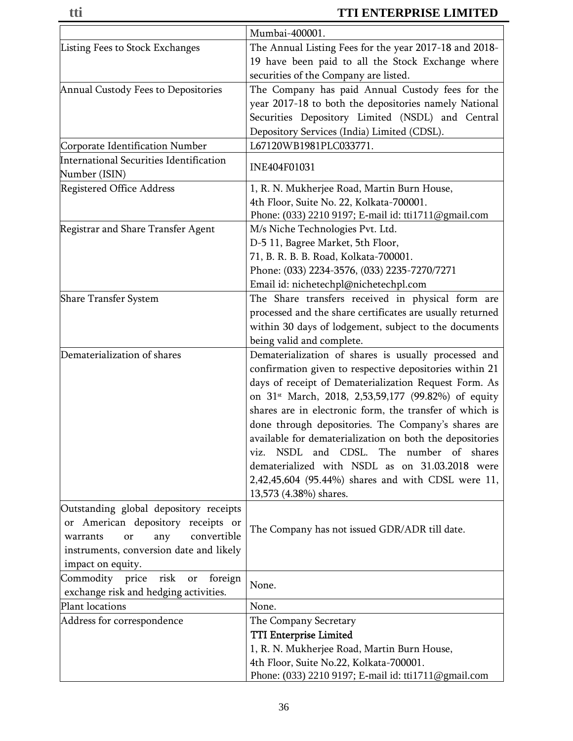|                                          | Mumbai-400001.                                                  |
|------------------------------------------|-----------------------------------------------------------------|
| Listing Fees to Stock Exchanges          | The Annual Listing Fees for the year 2017-18 and 2018-          |
|                                          | 19 have been paid to all the Stock Exchange where               |
|                                          | securities of the Company are listed.                           |
| Annual Custody Fees to Depositories      | The Company has paid Annual Custody fees for the                |
|                                          | year 2017-18 to both the depositories namely National           |
|                                          | Securities Depository Limited (NSDL) and Central                |
|                                          | Depository Services (India) Limited (CDSL).                     |
| Corporate Identification Number          | L67120WB1981PLC033771.                                          |
| International Securities Identification  | INE404F01031                                                    |
| Number (ISIN)                            |                                                                 |
| <b>Registered Office Address</b>         | 1, R. N. Mukherjee Road, Martin Burn House,                     |
|                                          | 4th Floor, Suite No. 22, Kolkata-700001.                        |
|                                          | Phone: (033) 2210 9197; E-mail id: tti1711@gmail.com            |
| Registrar and Share Transfer Agent       | M/s Niche Technologies Pvt. Ltd.                                |
|                                          | D-5 11, Bagree Market, 5th Floor,                               |
|                                          | 71, B. R. B. B. Road, Kolkata-700001.                           |
|                                          | Phone: (033) 2234-3576, (033) 2235-7270/7271                    |
|                                          | Email id: nichetechpl@nichetechpl.com                           |
| <b>Share Transfer System</b>             | The Share transfers received in physical form are               |
|                                          | processed and the share certificates are usually returned       |
|                                          | within 30 days of lodgement, subject to the documents           |
|                                          | being valid and complete.                                       |
| Dematerialization of shares              | Dematerialization of shares is usually processed and            |
|                                          | confirmation given to respective depositories within 21         |
|                                          | days of receipt of Dematerialization Request Form. As           |
|                                          | on 31 <sup>st</sup> March, 2018, 2,53,59,177 (99.82%) of equity |
|                                          | shares are in electronic form, the transfer of which is         |
|                                          | done through depositories. The Company's shares are             |
|                                          | available for dematerialization on both the depositories        |
|                                          | and CDSL.<br>The number of shares<br>NSDL<br>viz.               |
|                                          | dematerialized with NSDL as on 31.03.2018 were                  |
|                                          | 2,42,45,604 (95.44%) shares and with CDSL were 11,              |
|                                          | 13,573 (4.38%) shares.                                          |
| Outstanding global depository receipts   |                                                                 |
| or American depository receipts or       | The Company has not issued GDR/ADR till date.                   |
| convertible<br>any<br>warrants<br>or     |                                                                 |
| instruments, conversion date and likely  |                                                                 |
| impact on equity.                        |                                                                 |
| risk<br>Commodity price<br>foreign<br>or | None.                                                           |
| exchange risk and hedging activities.    |                                                                 |
| <b>Plant locations</b>                   | None.                                                           |
| Address for correspondence               | The Company Secretary                                           |
|                                          | <b>TTI Enterprise Limited</b>                                   |
|                                          | 1, R. N. Mukherjee Road, Martin Burn House,                     |
|                                          | 4th Floor, Suite No.22, Kolkata-700001.                         |
|                                          | Phone: (033) 2210 9197; E-mail id: tti1711@gmail.com            |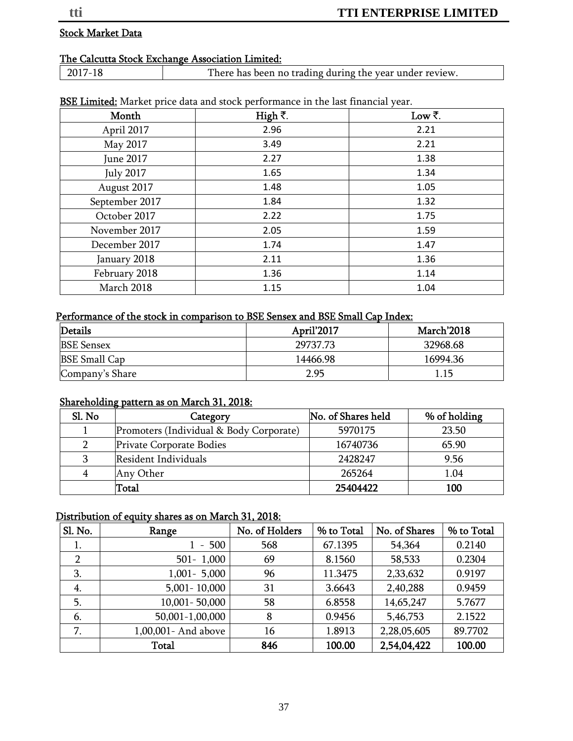#### **Stock Market Data**

## The Calcutta Stock Exchange Association Limited:

| 2017-18<br>There has been no trading during the year under review. |  |
|--------------------------------------------------------------------|--|
|--------------------------------------------------------------------|--|

## **BSE Limited:** Market price data and stock performance in the last financial year.

| Month            | High $\bar{z}$ . | Low ₹. |
|------------------|------------------|--------|
| April 2017       | 2.96             | 2.21   |
| May 2017         | 3.49             | 2.21   |
| June 2017        | 2.27             | 1.38   |
| <b>July 2017</b> | 1.65             | 1.34   |
| August 2017      | 1.48             | 1.05   |
| September 2017   | 1.84             | 1.32   |
| October 2017     | 2.22             | 1.75   |
| November 2017    | 2.05             | 1.59   |
| December 2017    | 1.74             | 1.47   |
| January 2018     | 2.11             | 1.36   |
| February 2018    | 1.36             | 1.14   |
| March 2018       | 1.15             | 1.04   |

## Performance of the stock in comparison to BSE Sensex and BSE Small Cap Index:

| Details              | April'2017 | March'2018 |
|----------------------|------------|------------|
| <b>BSE Sensex</b>    | 29737.73   | 32968.68   |
| <b>BSE Small Cap</b> | 14466.98   | 16994.36   |
| Company's Share      | 2.95       | 1.15       |

#### Shareholding pattern as on March 31, 2018:

| Sl. No | --<br>Category                          | No. of Shares held | % of holding |
|--------|-----------------------------------------|--------------------|--------------|
|        | Promoters (Individual & Body Corporate) | 5970175            | 23.50        |
| 7      | Private Corporate Bodies                | 16740736           | 65.90        |
| 3      | Resident Individuals                    | 2428247            | 9.56         |
| 4      | Any Other                               | 265264             | 1.04         |
|        | Total                                   | 25404422           | 100          |

## Distribution of equity shares as on March 31, 2018:

| Sl. No.        | -<br>Range           | No. of Holders | % to Total | No. of Shares | % to Total |
|----------------|----------------------|----------------|------------|---------------|------------|
| 1.             | $-500$               | 568            | 67.1395    | 54,364        | 0.2140     |
| $\overline{2}$ | $501 - 1,000$        | 69             | 8.1560     | 58,533        | 0.2304     |
| 3.             | $1,001 - 5,000$      | 96             | 11.3475    | 2,33,632      | 0.9197     |
| 4.             | 5,001 - 10,000       | 31             | 3.6643     | 2,40,288      | 0.9459     |
| 5.             | 10,001 - 50,000      | 58             | 6.8558     | 14,65,247     | 5.7677     |
| 6.             | 50,001-1,00,000      | 8              | 0.9456     | 5,46,753      | 2.1522     |
| 7.             | 1,00,001 - And above | 16             | 1.8913     | 2,28,05,605   | 89.7702    |
|                | Total                | 846            | 100.00     | 2,54,04,422   | 100.00     |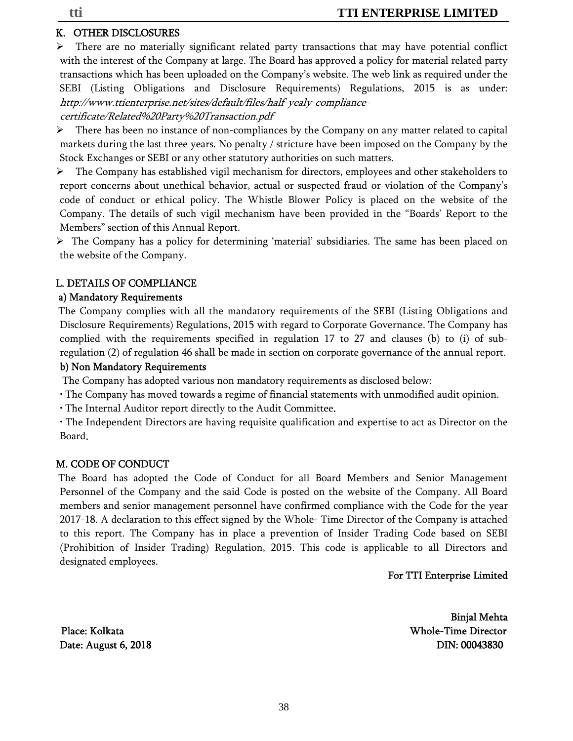# K. OTHER DISCLOSURES

 $\triangleright$  There are no materially significant related party transactions that may have potential conflict with the interest of the Company at large. The Board has approved a policy for material related party transactions which has been uploaded on the Company's website. The web link as required under the SEBI (Listing Obligations and Disclosure Requirements) Regulations, 2015 is as under: http://www.ttienterprise.net/sites/default/files/half-yealy-compliance-

certificate/Related%20Party%20Transaction.pdf

 $\triangleright$  There has been no instance of non-compliances by the Company on any matter related to capital markets during the last three years. No penalty / stricture have been imposed on the Company by the Stock Exchanges or SEBI or any other statutory authorities on such matters.

 $\triangleright$  The Company has established vigil mechanism for directors, employees and other stakeholders to report concerns about unethical behavior, actual or suspected fraud or violation of the Company's code of conduct or ethical policy. The Whistle Blower Policy is placed on the website of the Company. The details of such vigil mechanism have been provided in the "Boards' Report to the Members" section of this Annual Report.

¾ The Company has a policy for determining 'material' subsidiaries. The same has been placed on the website of the Company.

## L. DETAILS OF COMPLIANCE

## a) Mandatory Requirements

 The Company complies with all the mandatory requirements of the SEBI (Listing Obligations and Disclosure Requirements) Regulations, 2015 with regard to Corporate Governance. The Company has complied with the requirements specified in regulation 17 to 27 and clauses (b) to (i) of subregulation (2) of regulation 46 shall be made in section on corporate governance of the annual report.

## b) Non Mandatory Requirements

The Company has adopted various non mandatory requirements as disclosed below:

• The Company has moved towards a regime of financial statements with unmodified audit opinion.

• The Internal Auditor report directly to the Audit Committee.

• The Independent Directors are having requisite qualification and expertise to act as Director on the Board.

## M. CODE OF CONDUCT

 The Board has adopted the Code of Conduct for all Board Members and Senior Management Personnel of the Company and the said Code is posted on the website of the Company. All Board members and senior management personnel have confirmed compliance with the Code for the year 2017-18. A declaration to this effect signed by the Whole- Time Director of the Company is attached to this report. The Company has in place a prevention of Insider Trading Code based on SEBI (Prohibition of Insider Trading) Regulation, 2015. This code is applicable to all Directors and designated employees.

## For TTI Enterprise Limited

 Binjal Mehta Place: Kolkata Whole-Time Director Date: August 6, 2018 **DIN: 00043830**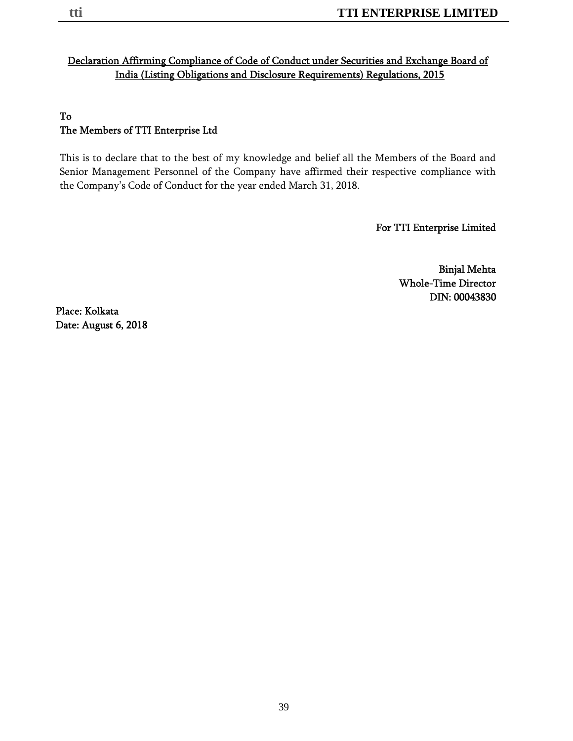## Declaration Affirming Compliance of Code of Conduct under Securities and Exchange Board of India (Listing Obligations and Disclosure Requirements) Regulations, 2015

## To The Members of TTI Enterprise Ltd

This is to declare that to the best of my knowledge and belief all the Members of the Board and Senior Management Personnel of the Company have affirmed their respective compliance with the Company's Code of Conduct for the year ended March 31, 2018.

For TTI Enterprise Limited

 Binjal Mehta Whole-Time Director DIN: 00043830

Place: Kolkata Date: August 6, 2018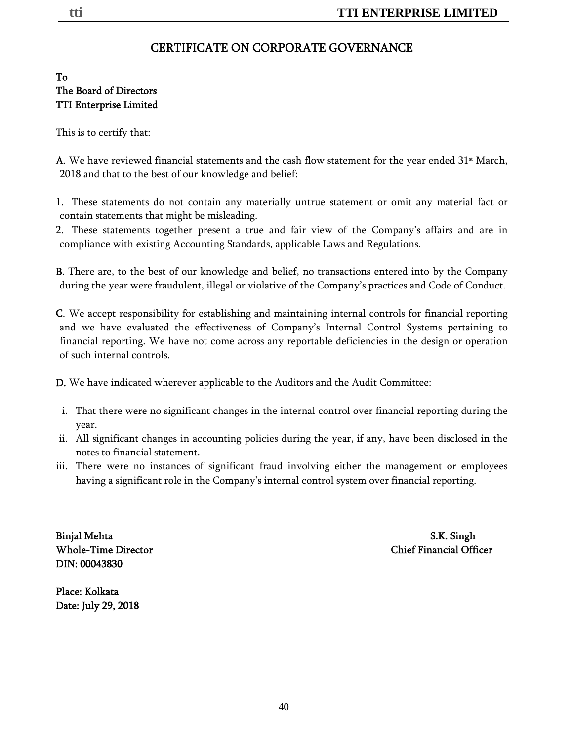# CERTIFICATE ON CORPORATE GOVERNANCE

## To The Board of Directors TTI Enterprise Limited

This is to certify that:

A. We have reviewed financial statements and the cash flow statement for the year ended  $31<sup>st</sup>$  March, 2018 and that to the best of our knowledge and belief:

1. These statements do not contain any materially untrue statement or omit any material fact or contain statements that might be misleading.

2. These statements together present a true and fair view of the Company's affairs and are in compliance with existing Accounting Standards, applicable Laws and Regulations.

B. There are, to the best of our knowledge and belief, no transactions entered into by the Company during the year were fraudulent, illegal or violative of the Company's practices and Code of Conduct.

C. We accept responsibility for establishing and maintaining internal controls for financial reporting and we have evaluated the effectiveness of Company's Internal Control Systems pertaining to financial reporting. We have not come across any reportable deficiencies in the design or operation of such internal controls.

D. We have indicated wherever applicable to the Auditors and the Audit Committee:

- i. That there were no significant changes in the internal control over financial reporting during the year.
- ii. All significant changes in accounting policies during the year, if any, have been disclosed in the notes to financial statement.
- iii. There were no instances of significant fraud involving either the management or employees having a significant role in the Company's internal control system over financial reporting.

Binjal Mehta S.K. Singh Whole-Time Director Chief Financial Officer DIN: 00043830

Place: Kolkata Date: July 29, 2018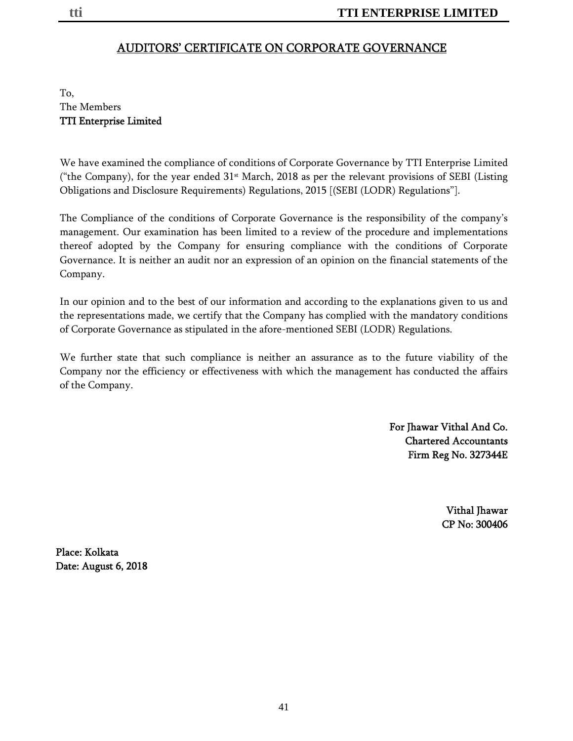## AUDITORS' CERTIFICATE ON CORPORATE GOVERNANCE

To, The Members TTI Enterprise Limited

We have examined the compliance of conditions of Corporate Governance by TTI Enterprise Limited ("the Company), for the year ended  $31<sup>st</sup>$  March, 2018 as per the relevant provisions of SEBI (Listing Obligations and Disclosure Requirements) Regulations, 2015 [(SEBI (LODR) Regulations"].

The Compliance of the conditions of Corporate Governance is the responsibility of the company's management. Our examination has been limited to a review of the procedure and implementations thereof adopted by the Company for ensuring compliance with the conditions of Corporate Governance. It is neither an audit nor an expression of an opinion on the financial statements of the Company.

In our opinion and to the best of our information and according to the explanations given to us and the representations made, we certify that the Company has complied with the mandatory conditions of Corporate Governance as stipulated in the afore-mentioned SEBI (LODR) Regulations.

We further state that such compliance is neither an assurance as to the future viability of the Company nor the efficiency or effectiveness with which the management has conducted the affairs of the Company.

> For Jhawar Vithal And Co. Chartered Accountants Firm Reg No. 327344E

> > Vithal Jhawar CP No: 300406

Place: Kolkata Date: August 6, 2018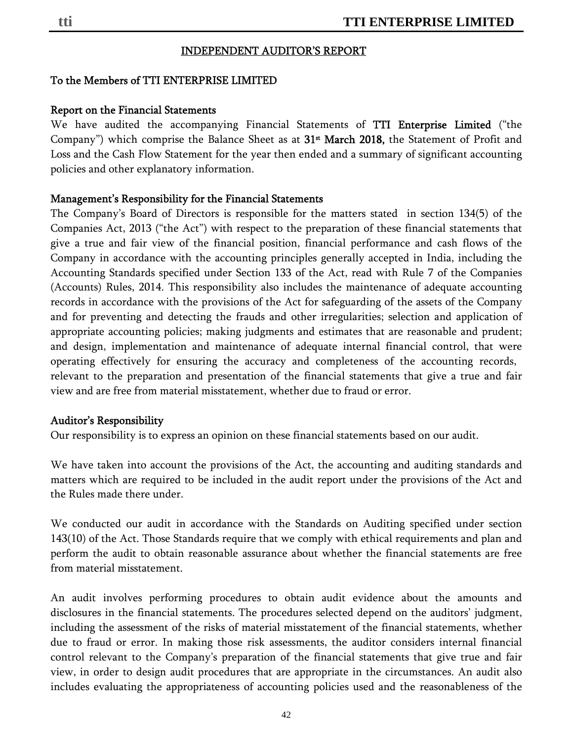#### INDEPENDENT AUDITOR'S REPORT

#### To the Members of TTI ENTERPRISE LIMITED

#### Report on the Financial Statements

We have audited the accompanying Financial Statements of TTI Enterprise Limited ("the Company") which comprise the Balance Sheet as at  $31<sup>st</sup>$  March 2018, the Statement of Profit and Loss and the Cash Flow Statement for the year then ended and a summary of significant accounting policies and other explanatory information.

#### Management's Responsibility for the Financial Statements

The Company's Board of Directors is responsible for the matters stated in section 134(5) of the Companies Act, 2013 ("the Act") with respect to the preparation of these financial statements that give a true and fair view of the financial position, financial performance and cash flows of the Company in accordance with the accounting principles generally accepted in India, including the Accounting Standards specified under Section 133 of the Act, read with Rule 7 of the Companies (Accounts) Rules, 2014. This responsibility also includes the maintenance of adequate accounting records in accordance with the provisions of the Act for safeguarding of the assets of the Company and for preventing and detecting the frauds and other irregularities; selection and application of appropriate accounting policies; making judgments and estimates that are reasonable and prudent; and design, implementation and maintenance of adequate internal financial control, that were operating effectively for ensuring the accuracy and completeness of the accounting records, relevant to the preparation and presentation of the financial statements that give a true and fair view and are free from material misstatement, whether due to fraud or error.

#### Auditor's Responsibility

Our responsibility is to express an opinion on these financial statements based on our audit.

We have taken into account the provisions of the Act, the accounting and auditing standards and matters which are required to be included in the audit report under the provisions of the Act and the Rules made there under.

We conducted our audit in accordance with the Standards on Auditing specified under section 143(10) of the Act. Those Standards require that we comply with ethical requirements and plan and perform the audit to obtain reasonable assurance about whether the financial statements are free from material misstatement.

An audit involves performing procedures to obtain audit evidence about the amounts and disclosures in the financial statements. The procedures selected depend on the auditors' judgment, including the assessment of the risks of material misstatement of the financial statements, whether due to fraud or error. In making those risk assessments, the auditor considers internal financial control relevant to the Company's preparation of the financial statements that give true and fair view, in order to design audit procedures that are appropriate in the circumstances. An audit also includes evaluating the appropriateness of accounting policies used and the reasonableness of the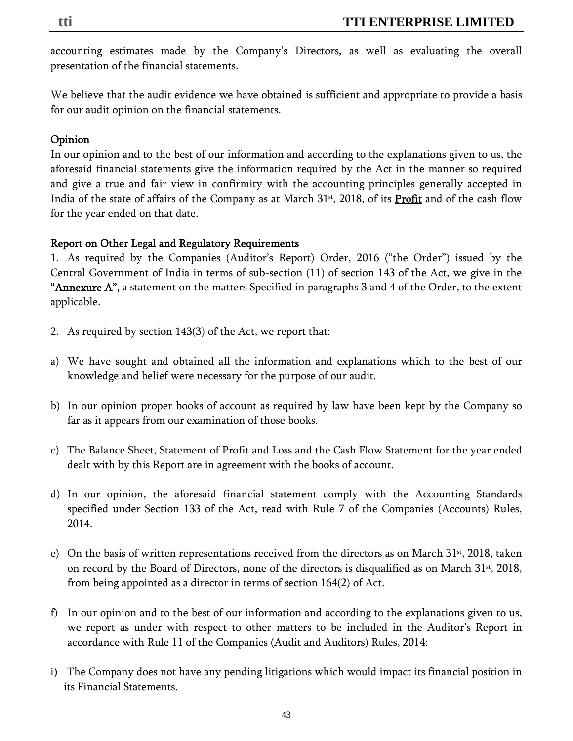accounting estimates made by the Company's Directors, as well as evaluating the overall presentation of the financial statements.

We believe that the audit evidence we have obtained is sufficient and appropriate to provide a basis for our audit opinion on the financial statements.

## Opinion

In our opinion and to the best of our information and according to the explanations given to us, the aforesaid financial statements give the information required by the Act in the manner so required and give a true and fair view in confirmity with the accounting principles generally accepted in India of the state of affairs of the Company as at March  $31<sup>st</sup>$ , 2018, of its **Profit** and of the cash flow for the year ended on that date.

## Report on Other Legal and Regulatory Requirements

1. As required by the Companies (Auditor's Report) Order, 2016 ("the Order") issued by the Central Government of India in terms of sub-section (11) of section 143 of the Act, we give in the "Annexure A", a statement on the matters Specified in paragraphs 3 and 4 of the Order, to the extent applicable.

- 2. As required by section 143(3) of the Act, we report that:
- a) We have sought and obtained all the information and explanations which to the best of our knowledge and belief were necessary for the purpose of our audit.
- b) In our opinion proper books of account as required by law have been kept by the Company so far as it appears from our examination of those books.
- c) The Balance Sheet, Statement of Profit and Loss and the Cash Flow Statement for the year ended dealt with by this Report are in agreement with the books of account.
- d) In our opinion, the aforesaid financial statement comply with the Accounting Standards specified under Section 133 of the Act, read with Rule 7 of the Companies (Accounts) Rules, 2014.
- e) On the basis of written representations received from the directors as on March  $31<sup>st</sup>$ , 2018, taken on record by the Board of Directors, none of the directors is disqualified as on March  $31<sup>st</sup>$ , 2018, from being appointed as a director in terms of section 164(2) of Act.
- f) In our opinion and to the best of our information and according to the explanations given to us, we report as under with respect to other matters to be included in the Auditor's Report in accordance with Rule 11 of the Companies (Audit and Auditors) Rules, 2014:
- i) The Company does not have any pending litigations which would impact its financial position in its Financial Statements.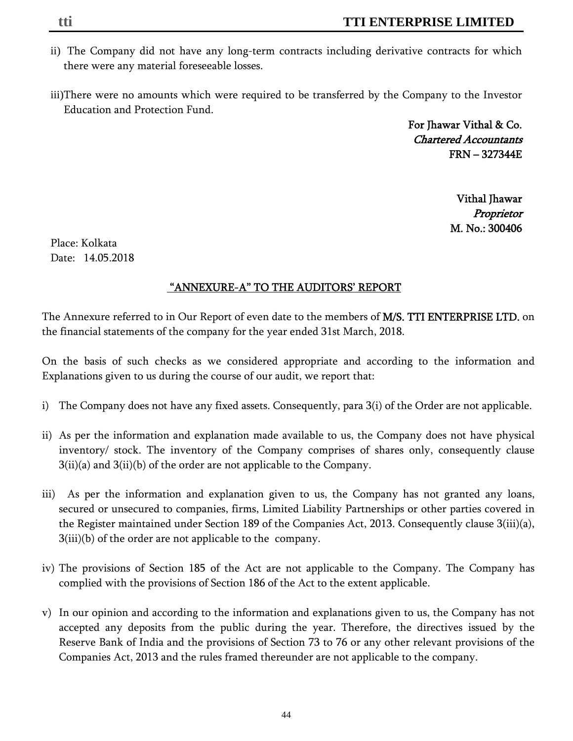- ii) The Company did not have any long-term contracts including derivative contracts for which there were any material foreseeable losses.
- iii)There were no amounts which were required to be transferred by the Company to the Investor Education and Protection Fund.

 For Jhawar Vithal & Co. Chartered Accountants FRN – 327344E

> Vithal Jhawar Proprietor M. No.: 300406

Place: Kolkata Date: 14.05.2018

## "ANNEXURE-A" TO THE AUDITORS' REPORT

The Annexure referred to in Our Report of even date to the members of M/S. TTI ENTERPRISE LTD. on the financial statements of the company for the year ended 31st March, 2018.

On the basis of such checks as we considered appropriate and according to the information and Explanations given to us during the course of our audit, we report that:

- i) The Company does not have any fixed assets. Consequently, para 3(i) of the Order are not applicable.
- ii) As per the information and explanation made available to us, the Company does not have physical inventory/ stock. The inventory of the Company comprises of shares only, consequently clause 3(ii)(a) and 3(ii)(b) of the order are not applicable to the Company.
- iii) As per the information and explanation given to us, the Company has not granted any loans, secured or unsecured to companies, firms, Limited Liability Partnerships or other parties covered in the Register maintained under Section 189 of the Companies Act, 2013. Consequently clause 3(iii)(a), 3(iii)(b) of the order are not applicable to the company.
- iv) The provisions of Section 185 of the Act are not applicable to the Company. The Company has complied with the provisions of Section 186 of the Act to the extent applicable.
- v) In our opinion and according to the information and explanations given to us, the Company has not accepted any deposits from the public during the year. Therefore, the directives issued by the Reserve Bank of India and the provisions of Section 73 to 76 or any other relevant provisions of the Companies Act, 2013 and the rules framed thereunder are not applicable to the company.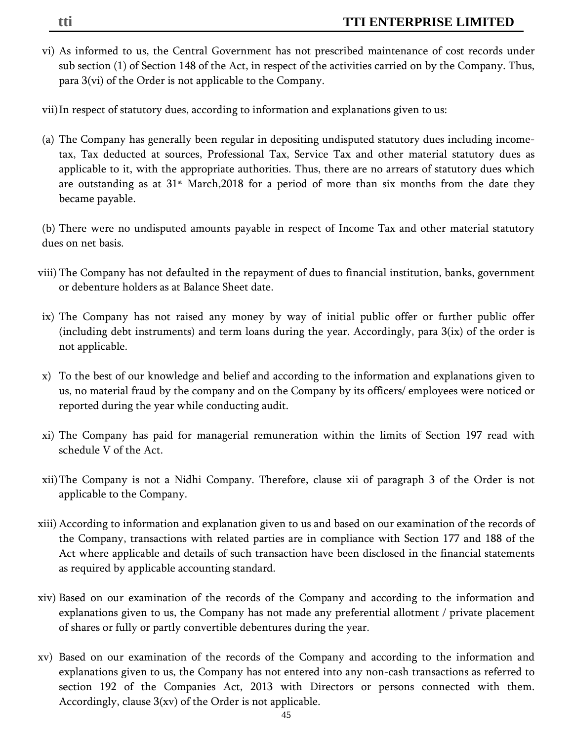- vi) As informed to us, the Central Government has not prescribed maintenance of cost records under sub section (1) of Section 148 of the Act, in respect of the activities carried on by the Company. Thus, para 3(vi) of the Order is not applicable to the Company.
- vii)In respect of statutory dues, according to information and explanations given to us:
- (a) The Company has generally been regular in depositing undisputed statutory dues including incometax, Tax deducted at sources, Professional Tax, Service Tax and other material statutory dues as applicable to it, with the appropriate authorities. Thus, there are no arrears of statutory dues which are outstanding as at  $31<sup>st</sup>$  March, 2018 for a period of more than six months from the date they became payable.

(b) There were no undisputed amounts payable in respect of Income Tax and other material statutory dues on net basis.

- viii) The Company has not defaulted in the repayment of dues to financial institution, banks, government or debenture holders as at Balance Sheet date.
- ix) The Company has not raised any money by way of initial public offer or further public offer (including debt instruments) and term loans during the year. Accordingly, para 3(ix) of the order is not applicable.
- x) To the best of our knowledge and belief and according to the information and explanations given to us, no material fraud by the company and on the Company by its officers/ employees were noticed or reported during the year while conducting audit.
- xi) The Company has paid for managerial remuneration within the limits of Section 197 read with schedule V of the Act.
- xii)The Company is not a Nidhi Company. Therefore, clause xii of paragraph 3 of the Order is not applicable to the Company.
- xiii) According to information and explanation given to us and based on our examination of the records of the Company, transactions with related parties are in compliance with Section 177 and 188 of the Act where applicable and details of such transaction have been disclosed in the financial statements as required by applicable accounting standard.
- xiv) Based on our examination of the records of the Company and according to the information and explanations given to us, the Company has not made any preferential allotment / private placement of shares or fully or partly convertible debentures during the year.
- xv) Based on our examination of the records of the Company and according to the information and explanations given to us, the Company has not entered into any non-cash transactions as referred to section 192 of the Companies Act, 2013 with Directors or persons connected with them. Accordingly, clause 3(xv) of the Order is not applicable.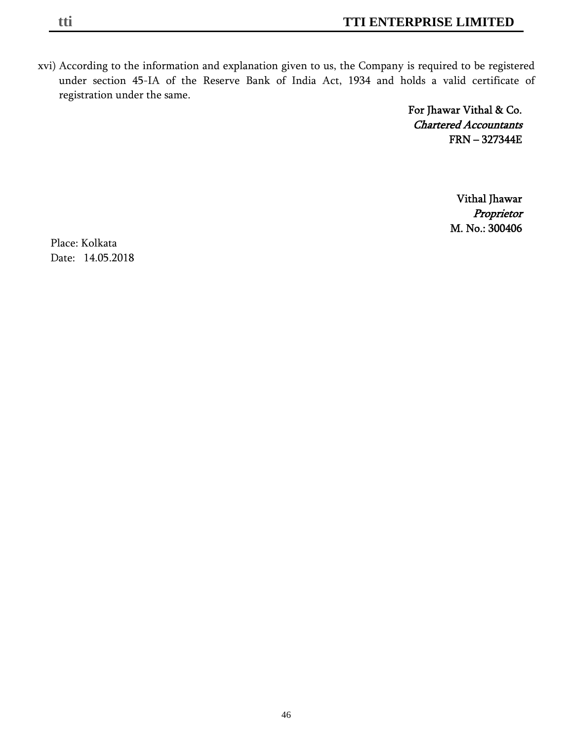xvi) According to the information and explanation given to us, the Company is required to be registered under section 45-IA of the Reserve Bank of India Act, 1934 and holds a valid certificate of registration under the same.

> For Jhawar Vithal & Co. Chartered Accountants FRN – 327344E

> > Vithal Jhawar Proprietor M. No.: 300406

Place: Kolkata Date: 14.05.2018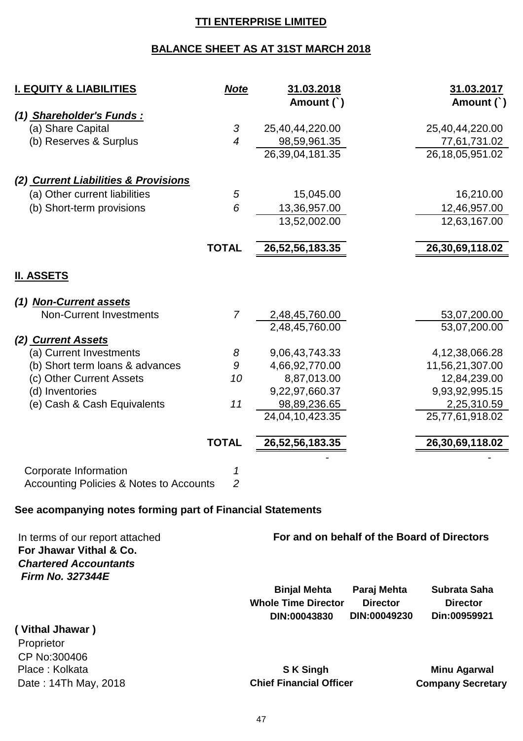# **BALANCE SHEET AS AT 31ST MARCH 2018**

| <b>I. EQUITY &amp; LIABILITIES</b>      | <b>Note</b>    | 31.03.2018<br>Amount (`) | 31.03.2017<br>Amount (`) |
|-----------------------------------------|----------------|--------------------------|--------------------------|
| (1) Shareholder's Funds:                |                |                          |                          |
| (a) Share Capital                       | $\sqrt{3}$     | 25,40,44,220.00          | 25,40,44,220.00          |
| (b) Reserves & Surplus                  | $\overline{4}$ | 98,59,961.35             | 77,61,731.02             |
|                                         |                | 26,39,04,181.35          | 26,18,05,951.02          |
| (2) Current Liabilities & Provisions    |                |                          |                          |
| (a) Other current liabilities           | $\sqrt{5}$     | 15,045.00                | 16,210.00                |
| (b) Short-term provisions               | 6              | 13,36,957.00             | 12,46,957.00             |
|                                         |                | 13,52,002.00             | 12,63,167.00             |
|                                         | <b>TOTAL</b>   | 26,52,56,183.35          | 26,30,69,118.02          |
| <u>II. ASSETS</u>                       |                |                          |                          |
| (1) Non-Current assets                  |                |                          |                          |
| <b>Non-Current Investments</b>          | $\overline{7}$ | 2,48,45,760.00           | 53,07,200.00             |
|                                         |                | 2,48,45,760.00           | 53,07,200.00             |
| (2) Current Assets                      |                |                          |                          |
| (a) Current Investments                 | 8              | 9,06,43,743.33           | 4,12,38,066.28           |
| (b) Short term loans & advances         | 9              | 4,66,92,770.00           | 11,56,21,307.00          |
| (c) Other Current Assets                | 10             | 8,87,013.00              | 12,84,239.00             |
| (d) Inventories                         |                | 9,22,97,660.37           | 9,93,92,995.15           |
| (e) Cash & Cash Equivalents             | 11             | 98,89,236.65             | 2,25,310.59              |
|                                         |                | 24,04,10,423.35          | 25,77,61,918.02          |
|                                         | <b>TOTAL</b>   | 26,52,56,183.35          | 26,30,69,118.02          |
| Corporate Information                   | 1              |                          |                          |
| Accounting Policies & Notes to Accounts | $\overline{2}$ |                          |                          |

# **See acompanying notes forming part of Financial Statements**

| In terms of our report attached<br>For Jhawar Vithal & Co.<br><b>Chartered Accountants</b><br><b>Firm No. 327344E</b> | For and on behalf of the Board of Directors                       |                                                |                                                 |
|-----------------------------------------------------------------------------------------------------------------------|-------------------------------------------------------------------|------------------------------------------------|-------------------------------------------------|
|                                                                                                                       | <b>Binjal Mehta</b><br><b>Whole Time Director</b><br>DIN:00043830 | Paraj Mehta<br><b>Director</b><br>DIN:00049230 | Subrata Saha<br><b>Director</b><br>Din:00959921 |
| (Vithal Jhawar)<br>Proprietor                                                                                         |                                                                   |                                                |                                                 |
| CP No:300406<br>Place: Kolkata<br>Date: 14Th May, 2018                                                                | S K Singh<br><b>Chief Financial Officer</b>                       |                                                | Minu Agarwal<br><b>Company Secretary</b>        |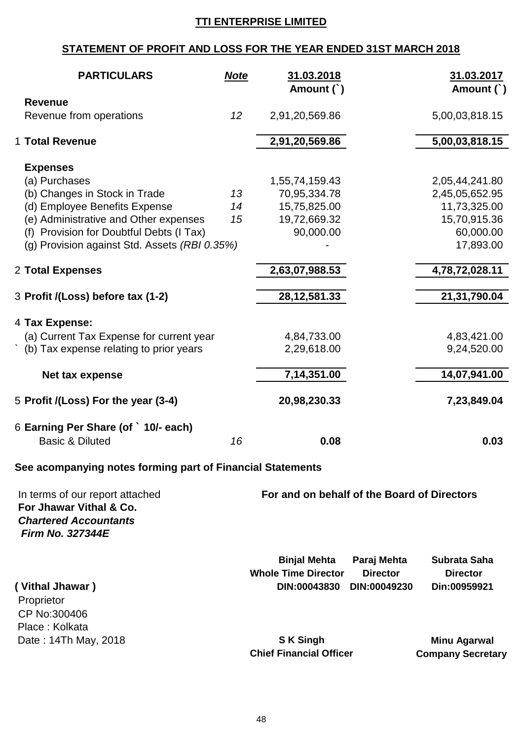# **STATEMENT OF PROFIT AND LOSS FOR THE YEAR ENDED 31ST MARCH 2018**

| <b>PARTICULARS</b>                                                                                                    | <b>Note</b> | 31.03.2018<br>Amount $( )$                    | 31.03.2017<br>Amount (`) |
|-----------------------------------------------------------------------------------------------------------------------|-------------|-----------------------------------------------|--------------------------|
| <b>Revenue</b>                                                                                                        |             |                                               |                          |
| Revenue from operations                                                                                               | 12          | 2,91,20,569.86                                | 5,00,03,818.15           |
| 1 Total Revenue                                                                                                       |             | 2,91,20,569.86                                | 5,00,03,818.15           |
| <b>Expenses</b>                                                                                                       |             |                                               |                          |
| (a) Purchases                                                                                                         |             | 1,55,74,159.43                                | 2,05,44,241.80           |
| (b) Changes in Stock in Trade                                                                                         | 13          | 70,95,334.78                                  | 2,45,05,652.95           |
| (d) Employee Benefits Expense                                                                                         | 14          | 15,75,825.00                                  | 11,73,325.00             |
| (e) Administrative and Other expenses                                                                                 | 15          | 19,72,669.32                                  | 15,70,915.36             |
| (f) Provision for Doubtful Debts (I Tax)                                                                              |             | 90,000.00                                     | 60,000.00                |
| (g) Provision against Std. Assets (RBI 0.35%)                                                                         |             |                                               | 17,893.00                |
| 2 Total Expenses                                                                                                      |             | 2,63,07,988.53                                | 4,78,72,028.11           |
|                                                                                                                       |             |                                               |                          |
| 3 Profit /(Loss) before tax (1-2)                                                                                     |             | 28, 12, 581. 33                               | 21,31,790.04             |
| 4 Tax Expense:                                                                                                        |             |                                               |                          |
| (a) Current Tax Expense for current year                                                                              |             | 4,84,733.00                                   | 4,83,421.00              |
| (b) Tax expense relating to prior years                                                                               |             | 2,29,618.00                                   | 9,24,520.00              |
| Net tax expense                                                                                                       |             | 7,14,351.00                                   | 14,07,941.00             |
| 5 Profit /(Loss) For the year (3-4)                                                                                   |             | 20,98,230.33                                  | 7,23,849.04              |
| 6 Earning Per Share (of ` 10/- each)                                                                                  |             |                                               |                          |
| <b>Basic &amp; Diluted</b>                                                                                            | 16          | 0.08                                          | 0.03                     |
| See acompanying notes forming part of Financial Statements                                                            |             |                                               |                          |
| In terms of our report attached<br>For Jhawar Vithal & Co.<br><b>Chartered Accountants</b><br><b>Firm No. 327344E</b> |             | For and on behalf of the Board of Directors   |                          |
|                                                                                                                       |             | <b>Binjal Mehta</b><br>Paraj Mehta            | Subrata Saha             |
|                                                                                                                       |             | <b>Whole Time Director</b><br><b>Director</b> | <b>Director</b>          |
|                                                                                                                       |             | DIN:00049230                                  | Din:00959921             |
| (Vithal Jhawar)                                                                                                       |             | DIN:00043830                                  |                          |
| Proprietor                                                                                                            |             |                                               |                          |
| CP No:300406                                                                                                          |             |                                               |                          |
| Place: Kolkata                                                                                                        |             |                                               |                          |
| Date: 14Th May, 2018                                                                                                  |             | <b>SK Singh</b>                               | <b>Minu Agarwal</b>      |
|                                                                                                                       |             | <b>Chief Financial Officer</b>                | <b>Company Secretary</b> |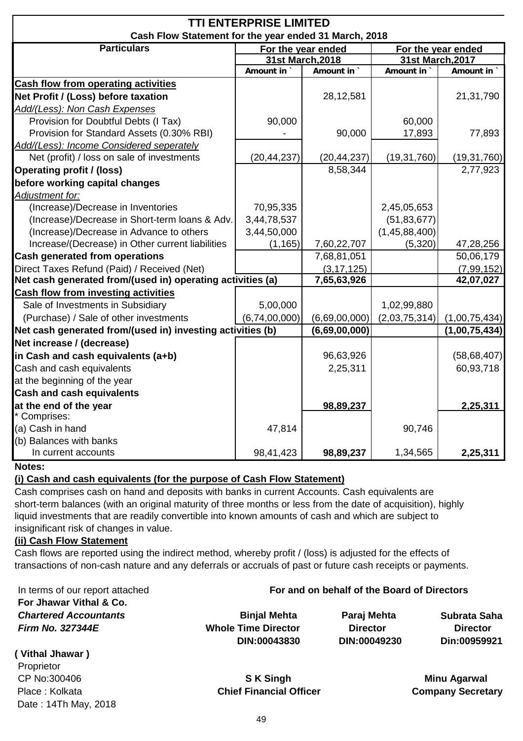| <b>TTI ENTERPRISE LIMITED</b>                              |                    |                  |               |                    |  |  |
|------------------------------------------------------------|--------------------|------------------|---------------|--------------------|--|--|
| Cash Flow Statement for the year ended 31 March, 2018      |                    |                  |               |                    |  |  |
| <b>Particulars</b>                                         | For the year ended |                  |               | For the year ended |  |  |
|                                                            |                    | 31st March, 2018 |               | 31st March, 2017   |  |  |
|                                                            | Amount in          | Amount in        | Amount in     | Amount in          |  |  |
| <b>Cash flow from operating activities</b>                 |                    |                  |               |                    |  |  |
| Net Profit / (Loss) before taxation                        |                    | 28,12,581        |               | 21,31,790          |  |  |
| Add/(Less): Non Cash Expenses                              |                    |                  |               |                    |  |  |
| Provision for Doubtful Debts (I Tax)                       | 90,000             |                  | 60,000        |                    |  |  |
| Provision for Standard Assets (0.30% RBI)                  |                    | 90,000           | 17,893        | 77,893             |  |  |
| Add/(Less): Income Considered seperately                   |                    |                  |               |                    |  |  |
| Net (profit) / loss on sale of investments                 | (20, 44, 237)      | (20, 44, 237)    | (19, 31, 760) | (19, 31, 760)      |  |  |
| <b>Operating profit / (loss)</b>                           |                    | 8,58,344         |               | 2,77,923           |  |  |
| before working capital changes                             |                    |                  |               |                    |  |  |
| Adjustment for:                                            |                    |                  |               |                    |  |  |
| (Increase)/Decrease in Inventories                         | 70,95,335          |                  | 2,45,05,653   |                    |  |  |
| (Increase)/Decrease in Short-term loans & Adv.             | 3,44,78,537        |                  | (51, 83, 677) |                    |  |  |
| (Increase)/Decrease in Advance to others                   | 3,44,50,000        |                  | (1,45,88,400) |                    |  |  |
| Increase/(Decrease) in Other current liabilities           | (1, 165)           | 7,60,22,707      | (5,320)       | 47,28,256          |  |  |
| <b>Cash generated from operations</b>                      |                    | 7,68,81,051      |               | 50,06,179          |  |  |
| Direct Taxes Refund (Paid) / Received (Net)                |                    | (3, 17, 125)     |               | (7,99,152)         |  |  |
| Net cash generated from/(used in) operating activities (a) |                    | 7,65,63,926      |               | 42,07,027          |  |  |
| <b>Cash flow from investing activities</b>                 |                    |                  |               |                    |  |  |
| Sale of Investments in Subsidiary                          | 5,00,000           |                  | 1,02,99,880   |                    |  |  |
| (Purchase) / Sale of other investments                     | (6,74,00,000)      | (6,69,00,000)    | (2,03,75,314) | (1,00,75,434)      |  |  |
| Net cash generated from/(used in) investing activities (b) |                    | (6,69,00,000)    |               | (1,00,75,434)      |  |  |
| Net increase / (decrease)                                  |                    |                  |               |                    |  |  |
| in Cash and cash equivalents (a+b)                         |                    | 96,63,926        |               | (58, 68, 407)      |  |  |
| Cash and cash equivalents                                  |                    | 2,25,311         |               | 60,93,718          |  |  |
| at the beginning of the year                               |                    |                  |               |                    |  |  |
| <b>Cash and cash equivalents</b>                           |                    |                  |               |                    |  |  |
| at the end of the year                                     |                    | 98,89,237        |               | 2,25,311           |  |  |
| * Comprises:                                               |                    |                  |               |                    |  |  |
| (a) Cash in hand                                           | 47,814             |                  | 90,746        |                    |  |  |
| (b) Balances with banks                                    |                    |                  |               |                    |  |  |
| In current accounts                                        | 98,41,423          | 98,89,237        | 1,34,565      | 2,25,311           |  |  |

#### **Notes:**

## **(i) Cash and cash equivalents (for the purpose of Cash Flow Statement)**

Cash comprises cash on hand and deposits with banks in current Accounts. Cash equivalents are short-term balances (with an original maturity of three months or less from the date of acquisition), highly liquid investments that are readily convertible into known amounts of cash and which are subject to insignificant risk of changes in value.

## **(ii) Cash Flow Statement**

Cash flows are reported using the indirect method, whereby profit / (loss) is adjusted for the effects of transactions of non-cash nature and any deferrals or accruals of past or future cash receipts or payments.

| In terms of our report attached | For and on behalf of the Board of Directors |                 |                     |  |  |
|---------------------------------|---------------------------------------------|-----------------|---------------------|--|--|
| For Jhawar Vithal & Co.         |                                             |                 |                     |  |  |
| <b>Chartered Accountants</b>    | <b>Binjal Mehta</b>                         | Paraj Mehta     | Subrata Saha        |  |  |
| <b>Firm No. 327344E</b>         | <b>Whole Time Director</b>                  | <b>Director</b> | <b>Director</b>     |  |  |
|                                 | DIN:00043830                                | DIN:00049230    | Din:00959921        |  |  |
| (Vithal Jhawar)                 |                                             |                 |                     |  |  |
| Proprietor                      |                                             |                 |                     |  |  |
| CP No:300406                    | S K Singh                                   |                 | <b>Minu Agarwal</b> |  |  |

Date : 14Th May, 2018

Place : Kolkata **Chief Financial Officer**

 **Company Secretary Minu Agarwal**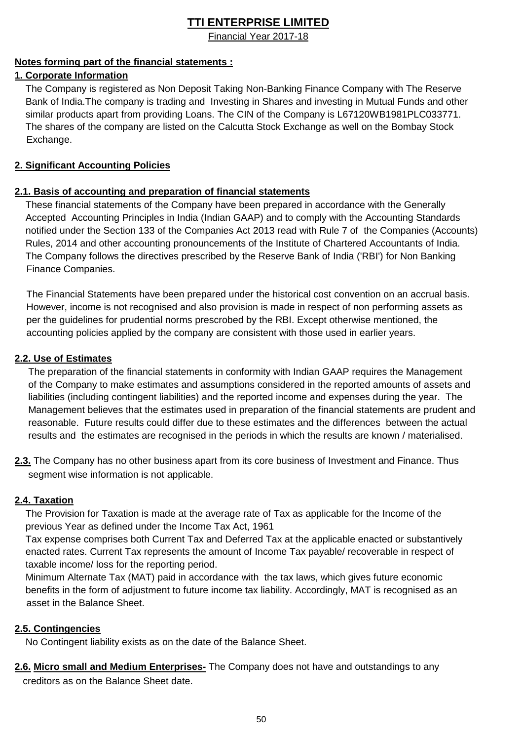Financial Year 2017-18

## **Notes forming part of the financial statements :**

## **1. Corporate Information**

 The Company is registered as Non Deposit Taking Non-Banking Finance Company with The Reserve Bank of India.The company is trading and Investing in Shares and investing in Mutual Funds and other similar products apart from providing Loans. The CIN of the Company is L67120WB1981PLC033771. The shares of the company are listed on the Calcutta Stock Exchange as well on the Bombay Stock Exchange.

## **2. Significant Accounting Policies**

## **2.1. Basis of accounting and preparation of financial statements**

 These financial statements of the Company have been prepared in accordance with the Generally Accepted Accounting Principles in India (Indian GAAP) and to comply with the Accounting Standards notified under the Section 133 of the Companies Act 2013 read with Rule 7 of the Companies (Accounts) Rules, 2014 and other accounting pronouncements of the Institute of Chartered Accountants of India. The Company follows the directives prescribed by the Reserve Bank of India ('RBI') for Non Banking Finance Companies.

The Financial Statements have been prepared under the historical cost convention on an accrual basis. However, income is not recognised and also provision is made in respect of non performing assets as per the guidelines for prudential norms prescrobed by the RBI. Except otherwise mentioned, the accounting policies applied by the company are consistent with those used in earlier years.

## **2.2. Use of Estimates**

 The preparation of the financial statements in conformity with Indian GAAP requires the Management of the Company to make estimates and assumptions considered in the reported amounts of assets and liabilities (including contingent liabilities) and the reported income and expenses during the year. The Management believes that the estimates used in preparation of the financial statements are prudent and reasonable. Future results could differ due to these estimates and the differences between the actual results and the estimates are recognised in the periods in which the results are known / materialised.

2.3. The Company has no other business apart from its core business of Investment and Finance. Thus segment wise information is not applicable.

## **2.4. Taxation**

 The Provision for Taxation is made at the average rate of Tax as applicable for the Income of the previous Year as defined under the Income Tax Act, 1961

 Tax expense comprises both Current Tax and Deferred Tax at the applicable enacted or substantively enacted rates. Current Tax represents the amount of Income Tax payable/ recoverable in respect of taxable income/ loss for the reporting period.

 Minimum Alternate Tax (MAT) paid in accordance with the tax laws, which gives future economic benefits in the form of adjustment to future income tax liability. Accordingly, MAT is recognised as an asset in the Balance Sheet.

## **2.5. Contingencies**

No Contingent liability exists as on the date of the Balance Sheet.

**2.6. Micro small and Medium Enterprises-** The Company does not have and outstandings to any creditors as on the Balance Sheet date.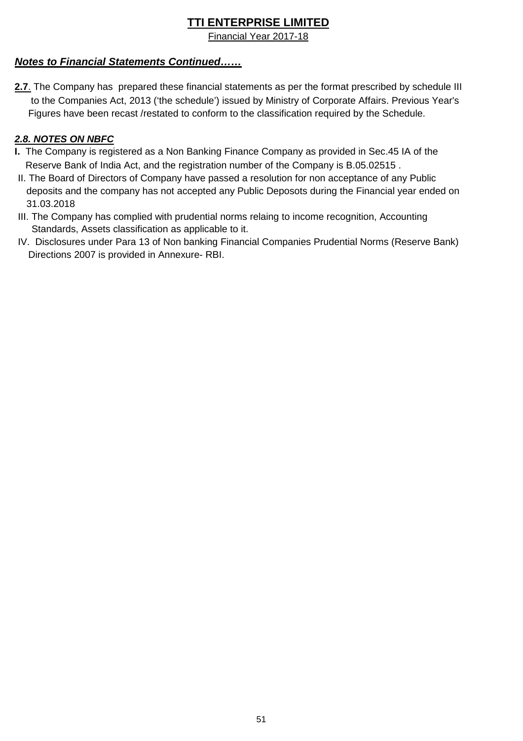Financial Year 2017-18

## *Notes to Financial Statements Continued……*

**2.7**. The Company has prepared these financial statements as per the format prescribed by schedule III to the Companies Act, 2013 ('the schedule') issued by Ministry of Corporate Affairs. Previous Year's Figures have been recast /restated to conform to the classification required by the Schedule.

## *2.8. NOTES ON NBFC*

- **I.** The Company is registered as a Non Banking Finance Company as provided in Sec.45 IA of the Reserve Bank of India Act, and the registration number of the Company is B.05.02515 .
- II. The Board of Directors of Company have passed a resolution for non acceptance of any Public deposits and the company has not accepted any Public Deposots during the Financial year ended on 31.03.2018
- III. The Company has complied with prudential norms relaing to income recognition, Accounting Standards, Assets classification as applicable to it.
- IV. Disclosures under Para 13 of Non banking Financial Companies Prudential Norms (Reserve Bank) Directions 2007 is provided in Annexure- RBI.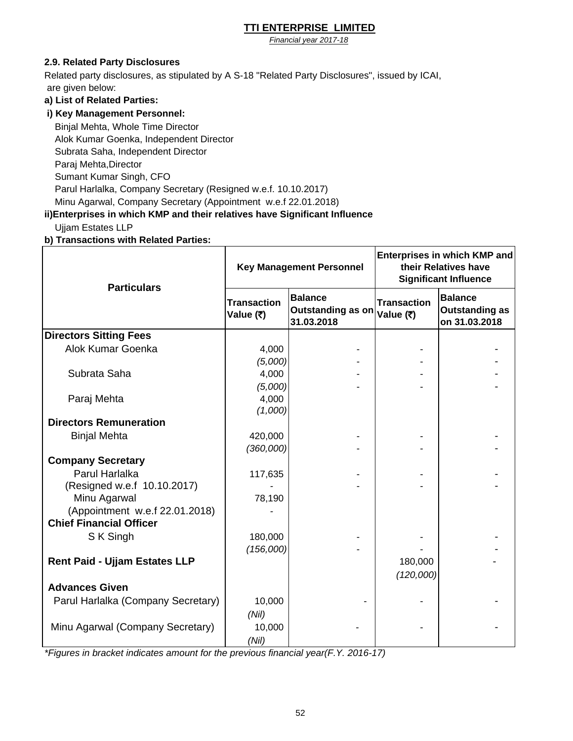*Financial year 2017-18*

#### **2.9. Related Party Disclosures**

Related party disclosures, as stipulated by A S-18 "Related Party Disclosures", issued by ICAI, are given below:

#### **a) List of Related Parties:**

#### **i) Key Management Personnel:**

 Binjal Mehta, Whole Time Director Alok Kumar Goenka, Independent Director Subrata Saha, Independent Director Paraj Mehta,Director Sumant Kumar Singh, CFO Parul Harlalka, Company Secretary (Resigned w.e.f. 10.10.2017) Minu Agarwal, Company Secretary (Appointment w.e.f 22.01.2018)

#### **ii)Enterprises in which KMP and their relatives have Significant Influence**

#### Ujjam Estates LLP

#### **b) Transactions with Related Parties:**

| <b>Particulars</b>                   |                                 | <b>Key Management Personnel</b>                          | <b>Enterprises in which KMP and</b><br>their Relatives have<br><b>Significant Influence</b> |                                                          |
|--------------------------------------|---------------------------------|----------------------------------------------------------|---------------------------------------------------------------------------------------------|----------------------------------------------------------|
|                                      | <b>Transaction</b><br>Value (₹) | <b>Balance</b><br><b>Outstanding as on</b><br>31.03.2018 | <b>Transaction</b><br>Value (₹)                                                             | <b>Balance</b><br><b>Outstanding as</b><br>on 31.03.2018 |
| <b>Directors Sitting Fees</b>        |                                 |                                                          |                                                                                             |                                                          |
| Alok Kumar Goenka                    | 4,000                           |                                                          |                                                                                             |                                                          |
|                                      | (5,000)                         |                                                          |                                                                                             |                                                          |
| Subrata Saha                         | 4,000                           |                                                          |                                                                                             |                                                          |
|                                      | (5,000)                         |                                                          |                                                                                             |                                                          |
| Paraj Mehta                          | 4,000                           |                                                          |                                                                                             |                                                          |
|                                      | (1,000)                         |                                                          |                                                                                             |                                                          |
| <b>Directors Remuneration</b>        |                                 |                                                          |                                                                                             |                                                          |
| <b>Binjal Mehta</b>                  | 420,000                         |                                                          |                                                                                             |                                                          |
|                                      | (360,000)                       |                                                          |                                                                                             |                                                          |
| <b>Company Secretary</b>             |                                 |                                                          |                                                                                             |                                                          |
| Parul Harlalka                       | 117,635                         |                                                          |                                                                                             |                                                          |
| (Resigned w.e.f 10.10.2017)          |                                 |                                                          |                                                                                             |                                                          |
| Minu Agarwal                         | 78,190                          |                                                          |                                                                                             |                                                          |
| (Appointment w.e.f 22.01.2018)       |                                 |                                                          |                                                                                             |                                                          |
| <b>Chief Financial Officer</b>       |                                 |                                                          |                                                                                             |                                                          |
| S K Singh                            | 180,000                         |                                                          |                                                                                             |                                                          |
|                                      | (156,000)                       |                                                          |                                                                                             |                                                          |
| <b>Rent Paid - Ujjam Estates LLP</b> |                                 |                                                          | 180,000                                                                                     |                                                          |
|                                      |                                 |                                                          | (120,000)                                                                                   |                                                          |
| <b>Advances Given</b>                |                                 |                                                          |                                                                                             |                                                          |
| Parul Harlalka (Company Secretary)   | 10,000                          |                                                          |                                                                                             |                                                          |
|                                      | (Nil)                           |                                                          |                                                                                             |                                                          |
| Minu Agarwal (Company Secretary)     | 10,000                          |                                                          |                                                                                             |                                                          |
|                                      | (Nil)                           |                                                          |                                                                                             |                                                          |

*\*Figures in bracket indicates amount for the previous financial year(F.Y. 2016-17)*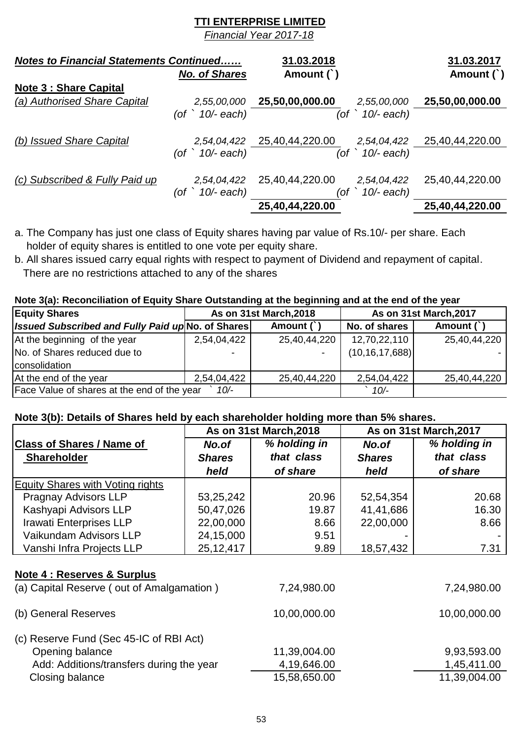*Financial Year 2017-18*

| <b>Notes to Financial Statements Continued</b> |                      | 31.03.2018                     | 31.03.2017                  |
|------------------------------------------------|----------------------|--------------------------------|-----------------------------|
|                                                | <b>No. of Shares</b> | Amount (`)                     | Amount $( )$                |
| <b>Note 3: Share Capital</b>                   |                      |                                |                             |
| (a) Authorised Share Capital                   | 2,55,00,000          | 25,50,00,000.00<br>2,55,00,000 | 25,50,00,000.00             |
|                                                | $10/-$ each)<br>(of  | $\hat{10}$ each)<br>(of        |                             |
| (b) Issued Share Capital                       |                      | 2,54,04,422 25,40,44,220.00    | 2,54,04,422 25,40,44,220.00 |
|                                                | (of $\hat{10}$ each) | (of $\hat{10}$ each)           |                             |
| (c) Subscribed & Fully Paid up                 | 2,54,04,422          | 25,40,44,220.00<br>2,54,04,422 | 25,40,44,220.00             |
|                                                | $10/-$ each)<br>(of  | 10/- each)<br>(of              |                             |
|                                                |                      | 25,40,44,220.00                | 25,40,44,220.00             |

- a. The Company has just one class of Equity shares having par value of Rs.10/- per share. Each holder of equity shares is entitled to one vote per equity share.
- b. All shares issued carry equal rights with respect to payment of Dividend and repayment of capital. There are no restrictions attached to any of the shares

#### **Note 3(a): Reconciliation of Equity Share Outstanding at the beginning and at the end of the year**

| <b>Equity Shares</b>                                     |             | As on 31st March, 2018 |                   | As on 31st March, 2017 |  |
|----------------------------------------------------------|-------------|------------------------|-------------------|------------------------|--|
| <b>Issued Subscribed and Fully Paid up No. of Shares</b> |             | Amount $( )$           | No. of shares     | Amount $( )$           |  |
| At the beginning of the year                             | 2,54,04,422 | 25,40,44,220           | 12,70,22,110      | 25,40,44,220           |  |
| No. of Shares reduced due to                             | ۰.          |                        | (10, 16, 17, 688) |                        |  |
| consolidation                                            |             |                        |                   |                        |  |
| At the end of the year                                   | 2,54,04,422 | 25,40,44,220           | 2,54,04,422       | 25,40,44,220           |  |
| Face Value of shares at the end of the year              | $10/-$      |                        | $10/-$            |                        |  |

## **Note 3(b): Details of Shares held by each shareholder holding more than 5% shares.**

|                                                        | As on 31st March, 2018 |                            | As on 31st March, 2017 |                            |  |
|--------------------------------------------------------|------------------------|----------------------------|------------------------|----------------------------|--|
| <b>Class of Shares / Name of</b><br><b>Shareholder</b> | No.of<br><b>Shares</b> | % holding in<br>that class | No.of<br><b>Shares</b> | % holding in<br>that class |  |
|                                                        | held                   | of share                   | held                   | of share                   |  |
| Equity Shares with Voting rights                       |                        |                            |                        |                            |  |
| <b>Pragnay Advisors LLP</b>                            | 53,25,242              | 20.96                      | 52,54,354              | 20.68                      |  |
| Kashyapi Advisors LLP                                  | 50,47,026              | 19.87                      | 41,41,686              | 16.30                      |  |
| <b>Irawati Enterprises LLP</b>                         | 22,00,000              | 8.66                       | 22,00,000              | 8.66                       |  |
| Vaikundam Advisors LLP                                 | 24,15,000              | 9.51                       |                        |                            |  |
| Vanshi Infra Projects LLP                              | 25, 12, 417            | 9.89                       | 18,57,432              | 7.31                       |  |

## **Note 4 : Reserves & Surplus**

| (a) Capital Reserve (out of Amalgamation)                                                                                 | 7,24,980.00                                 | 7,24,980.00                                |
|---------------------------------------------------------------------------------------------------------------------------|---------------------------------------------|--------------------------------------------|
| (b) General Reserves                                                                                                      | 10,00,000.00                                | 10,00,000.00                               |
| (c) Reserve Fund (Sec 45-IC of RBI Act)<br>Opening balance<br>Add: Additions/transfers during the year<br>Closing balance | 11,39,004.00<br>4,19,646.00<br>15,58,650.00 | 9,93,593.00<br>1,45,411.00<br>11,39,004.00 |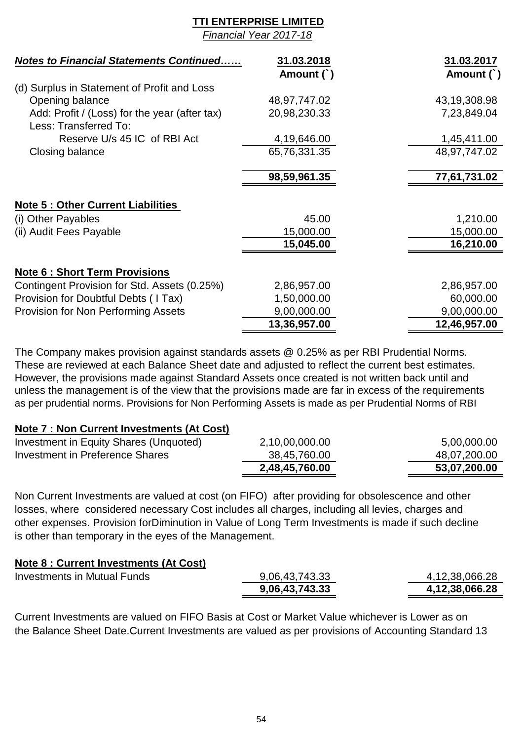*Financial Year 2017-18*

| <b>Notes to Financial Statements Continued</b>                         | 31.03.2018<br>Amount (`) | 31.03.2017<br>Amount $( )$ |
|------------------------------------------------------------------------|--------------------------|----------------------------|
| (d) Surplus in Statement of Profit and Loss                            |                          |                            |
| Opening balance                                                        | 48,97,747.02             | 43,19,308.98               |
| Add: Profit / (Loss) for the year (after tax)<br>Less: Transferred To: | 20,98,230.33             | 7,23,849.04                |
| Reserve U/s 45 IC of RBI Act                                           |                          |                            |
|                                                                        | 4,19,646.00              | 1,45,411.00                |
| Closing balance                                                        | 65,76,331.35             | 48,97,747.02               |
|                                                                        | 98,59,961.35             | 77,61,731.02               |
|                                                                        |                          |                            |
| <b>Note 5: Other Current Liabilities</b>                               |                          |                            |
| (i) Other Payables                                                     | 45.00                    | 1,210.00                   |
| (ii) Audit Fees Payable                                                | 15,000.00                | 15,000.00                  |
|                                                                        | 15,045.00                | 16,210.00                  |
| <b>Note 6: Short Term Provisions</b>                                   |                          |                            |
| Contingent Provision for Std. Assets (0.25%)                           | 2,86,957.00              | 2,86,957.00                |
| Provision for Doubtful Debts (I Tax)                                   | 1,50,000.00              | 60,000.00                  |
| Provision for Non Performing Assets                                    | 9,00,000.00              | 9,00,000.00                |
|                                                                        |                          |                            |
|                                                                        | 13,36,957.00             | 12,46,957.00               |

The Company makes provision against standards assets @ 0.25% as per RBI Prudential Norms. These are reviewed at each Balance Sheet date and adjusted to reflect the current best estimates. However, the provisions made against Standard Assets once created is not written back until and unless the management is of the view that the provisions made are far in excess of the requirements as per prudential norms. Provisions for Non Performing Assets is made as per Prudential Norms of RBI

#### **Note 7 : Non Current Investments (At Cost)**

|                                        | 2,48,45,760.00 | 53,07,200.00 |
|----------------------------------------|----------------|--------------|
| Investment in Preference Shares        | 38,45,760.00   | 48,07,200.00 |
| Investment in Equity Shares (Unquoted) | 2,10,00,000.00 | 5,00,000.00  |

Non Current Investments are valued at cost (on FIFO) after providing for obsolescence and other losses, where considered necessary Cost includes all charges, including all levies, charges and other expenses. Provision forDiminution in Value of Long Term Investments is made if such decline is other than temporary in the eyes of the Management.

#### **Note 8 : Current Investments (At Cost)**

| Investments in Mutual Funds | 9,06,43,743.33 | 4,12,38,066.28 |
|-----------------------------|----------------|----------------|
|                             | 9,06,43,743.33 | 4,12,38,066.28 |

Current Investments are valued on FIFO Basis at Cost or Market Value whichever is Lower as on the Balance Sheet Date.Current Investments are valued as per provisions of Accounting Standard 13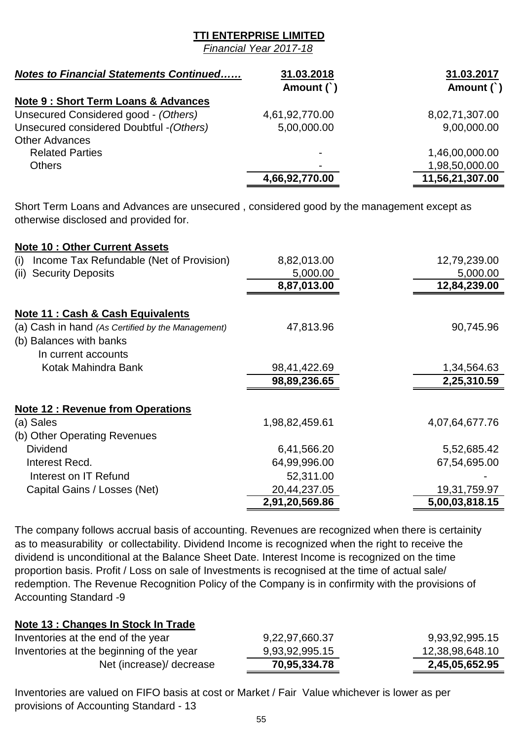*Financial Year 2017-18*

| <b>Notes to Financial Statements Continued</b> | 31.03.2018     | 31.03.2017      |
|------------------------------------------------|----------------|-----------------|
|                                                | Amount (`)     | Amount (`)      |
| <b>Note 9: Short Term Loans &amp; Advances</b> |                |                 |
| Unsecured Considered good - (Others)           | 4,61,92,770.00 | 8,02,71,307.00  |
| Unsecured considered Doubtful - (Others)       | 5,00,000.00    | 9,00,000.00     |
| <b>Other Advances</b>                          |                |                 |
| <b>Related Parties</b>                         | $\blacksquare$ | 1,46,00,000.00  |
| <b>Others</b>                                  |                | 1,98,50,000.00  |
|                                                | 4,66,92,770.00 | 11,56,21,307.00 |
|                                                |                |                 |

Short Term Loans and Advances are unsecured , considered good by the management except as otherwise disclosed and provided for.

## **Note 10 : Other Current Assets**

| Income Tax Refundable (Net of Provision)<br>(i)<br><b>Security Deposits</b><br>(ii) | 8,82,013.00<br>5,000.00<br>8,87,013.00 | 12,79,239.00<br>5,000.00<br>12,84,239.00 |
|-------------------------------------------------------------------------------------|----------------------------------------|------------------------------------------|
| Note 11 : Cash & Cash Equivalents                                                   |                                        |                                          |
| (a) Cash in hand (As Certified by the Management)                                   | 47,813.96                              | 90,745.96                                |
| (b) Balances with banks<br>In current accounts                                      |                                        |                                          |
| Kotak Mahindra Bank                                                                 | 98,41,422.69                           | 1,34,564.63                              |
|                                                                                     | 98,89,236.65                           | 2,25,310.59                              |
|                                                                                     |                                        |                                          |
| <b>Note 12: Revenue from Operations</b>                                             |                                        |                                          |
| (a) Sales                                                                           | 1,98,82,459.61                         | 4,07,64,677.76                           |
| (b) Other Operating Revenues                                                        |                                        |                                          |
| <b>Dividend</b>                                                                     | 6,41,566.20                            | 5,52,685.42                              |
| Interest Recd.                                                                      | 64,99,996.00                           | 67,54,695.00                             |
| Interest on IT Refund                                                               | 52,311.00                              |                                          |
| Capital Gains / Losses (Net)                                                        | 20,44,237.05                           | 19,31,759.97                             |
|                                                                                     | 2,91,20,569.86                         | 5,00,03,818.15                           |

The company follows accrual basis of accounting. Revenues are recognized when there is certainity as to measurability or collectability. Dividend Income is recognized when the right to receive the dividend is unconditional at the Balance Sheet Date. Interest Income is recognized on the time proportion basis. Profit / Loss on sale of Investments is recognised at the time of actual sale/ redemption. The Revenue Recognition Policy of the Company is in confirmity with the provisions of Accounting Standard -9

## **Note 13 : Changes In Stock In Trade**

| Inventories at the end of the year       | 9,22,97,660.37 | 9,93,92,995.15  |
|------------------------------------------|----------------|-----------------|
| Inventories at the beginning of the year | 9,93,92,995.15 | 12,38,98,648.10 |
| Net (increase)/ decrease                 | 70,95,334.78   | 2,45,05,652.95  |

Inventories are valued on FIFO basis at cost or Market / Fair Value whichever is lower as per provisions of Accounting Standard - 13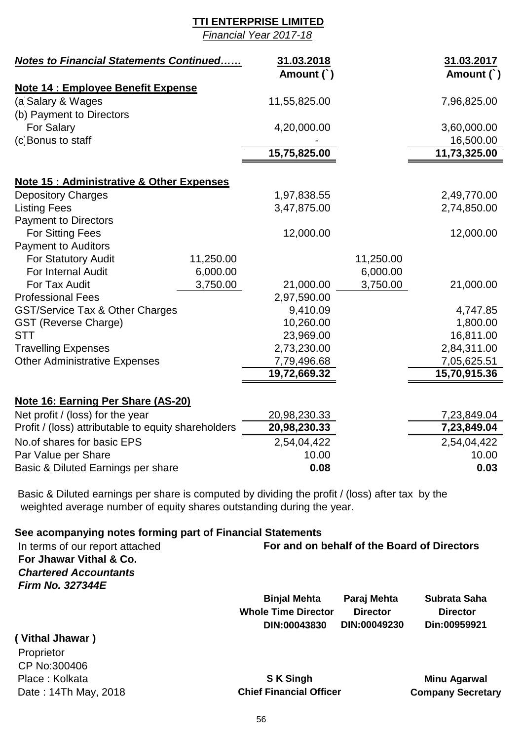*Financial Year 2017-18*

| <b>Notes to Financial Statements Continued</b><br>31.03.2018<br>Amount (`) | 31.03.2017<br>Amount (`) |
|----------------------------------------------------------------------------|--------------------------|
| Note 14 : Employee Benefit Expense                                         |                          |
| 11,55,825.00<br>(a Salary & Wages                                          | 7,96,825.00              |
| (b) Payment to Directors                                                   |                          |
| For Salary<br>4,20,000.00                                                  | 3,60,000.00              |
| (c Bonus to staff                                                          | 16,500.00                |
| 15,75,825.00                                                               | 11,73,325.00             |
|                                                                            |                          |
| <u><b>Note 15: Administrative &amp; Other Expenses</b></u>                 |                          |
| <b>Depository Charges</b><br>1,97,838.55                                   | 2,49,770.00              |
| <b>Listing Fees</b><br>3,47,875.00                                         | 2,74,850.00              |
| <b>Payment to Directors</b>                                                |                          |
| <b>For Sitting Fees</b><br>12,000.00                                       | 12,000.00                |
| <b>Payment to Auditors</b>                                                 |                          |
| <b>For Statutory Audit</b><br>11,250.00                                    | 11,250.00                |
| For Internal Audit<br>6,000.00                                             | 6,000.00                 |
| For Tax Audit<br>3,750.00<br>21,000.00                                     | 3,750.00<br>21,000.00    |
| 2,97,590.00<br><b>Professional Fees</b>                                    |                          |
| 9,410.09<br><b>GST/Service Tax &amp; Other Charges</b>                     | 4,747.85                 |
| 10,260.00<br><b>GST (Reverse Charge)</b>                                   | 1,800.00                 |
| <b>STT</b><br>23,969.00                                                    | 16,811.00                |
| 2,73,230.00<br><b>Travelling Expenses</b>                                  | 2,84,311.00              |
| <b>Other Administrative Expenses</b><br>7,79,496.68                        | 7,05,625.51              |
| 19,72,669.32                                                               | 15,70,915.36             |
| Note 16: Earning Per Share (AS-20)                                         |                          |
| Net profit / (loss) for the year<br>20,98,230.33                           | 7,23,849.04              |
| Profit / (loss) attributable to equity shareholders<br>20,98,230.33        | 7,23,849.04              |
| No.of shares for basic EPS<br>2,54,04,422                                  | 2,54,04,422              |
| Par Value per Share<br>10.00                                               | 10.00                    |
| Basic & Diluted Earnings per share<br>0.08                                 | 0.03                     |

 Basic & Diluted earnings per share is computed by dividing the profit / (loss) after tax by the weighted average number of equity shares outstanding during the year.

**See acompanying notes forming part of Financial Statements**

| In terms of our report attached<br>For Jhawar Vithal & Co.<br><b>Chartered Accountants</b><br><b>Firm No. 327344E</b> | For and on behalf of the Board of Directors                       |                                                |                                                 |
|-----------------------------------------------------------------------------------------------------------------------|-------------------------------------------------------------------|------------------------------------------------|-------------------------------------------------|
|                                                                                                                       | <b>Binjal Mehta</b><br><b>Whole Time Director</b><br>DIN:00043830 | Paraj Mehta<br><b>Director</b><br>DIN:00049230 | Subrata Saha<br><b>Director</b><br>Din:00959921 |
| (Vithal Jhawar)                                                                                                       |                                                                   |                                                |                                                 |
| Proprietor                                                                                                            |                                                                   |                                                |                                                 |
| CP No:300406                                                                                                          |                                                                   |                                                |                                                 |
| Place: Kolkata                                                                                                        | S K Singh                                                         |                                                | Minu Agarwal                                    |
| Date: 14Th May, 2018                                                                                                  | <b>Chief Financial Officer</b>                                    |                                                | <b>Company Secretary</b>                        |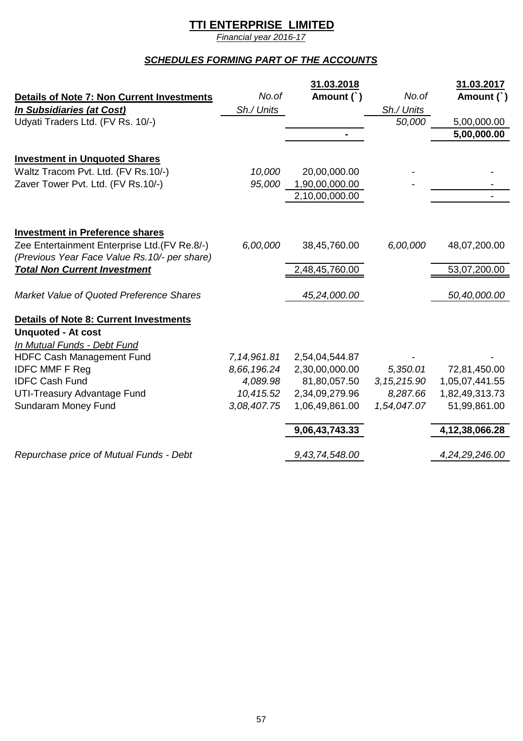*Financial year 2016-17*

## *SCHEDULES FORMING PART OF THE ACCOUNTS*

|                                                   |             | 31.03.2018     |               | 31.03.2017     |
|---------------------------------------------------|-------------|----------------|---------------|----------------|
| <b>Details of Note 7: Non Current Investments</b> | No.of       | Amount (`)     | No.of         | Amount (`)     |
| In Subsidiaries (at Cost)                         | Sh./ Units  |                | Sh./ Units    |                |
| Udyati Traders Ltd. (FV Rs. 10/-)                 |             |                | 50,000        | 5,00,000.00    |
|                                                   |             |                |               | 5,00,000.00    |
|                                                   |             |                |               |                |
| <b>Investment in Unquoted Shares</b>              |             |                |               |                |
| Waltz Tracom Pvt. Ltd. (FV Rs.10/-)               | 10,000      | 20,00,000.00   |               |                |
| Zaver Tower Pvt. Ltd. (FV Rs.10/-)                | 95,000      | 1,90,00,000.00 |               |                |
|                                                   |             | 2,10,00,000.00 |               |                |
|                                                   |             |                |               |                |
| <b>Investment in Preference shares</b>            |             |                |               |                |
| Zee Entertainment Enterprise Ltd. (FV Re.8/-)     | 6,00,000    | 38,45,760.00   | 6,00,000      | 48,07,200.00   |
| (Previous Year Face Value Rs. 10/- per share)     |             |                |               |                |
| <b>Total Non Current Investment</b>               |             | 2,48,45,760.00 |               | 53,07,200.00   |
|                                                   |             |                |               |                |
| Market Value of Quoted Preference Shares          |             | 45,24,000.00   |               | 50,40,000.00   |
| <b>Details of Note 8: Current Investments</b>     |             |                |               |                |
| <b>Unquoted - At cost</b>                         |             |                |               |                |
| In Mutual Funds - Debt Fund                       |             |                |               |                |
| <b>HDFC Cash Management Fund</b>                  | 7,14,961.81 | 2,54,04,544.87 |               |                |
| <b>IDFC MMF F Reg</b>                             | 8,66,196.24 | 2,30,00,000.00 | 5,350.01      | 72,81,450.00   |
| <b>IDFC Cash Fund</b>                             | 4,089.98    | 81,80,057.50   | 3, 15, 215.90 | 1,05,07,441.55 |
| UTI-Treasury Advantage Fund                       | 10,415.52   | 2,34,09,279.96 | 8,287.66      | 1,82,49,313.73 |
| Sundaram Money Fund                               | 3,08,407.75 | 1,06,49,861.00 | 1,54,047.07   | 51,99,861.00   |
|                                                   |             |                |               |                |
|                                                   |             | 9,06,43,743.33 |               | 4,12,38,066.28 |
| Repurchase price of Mutual Funds - Debt           |             |                |               | 4,24,29,246.00 |
|                                                   |             | 9,43,74,548.00 |               |                |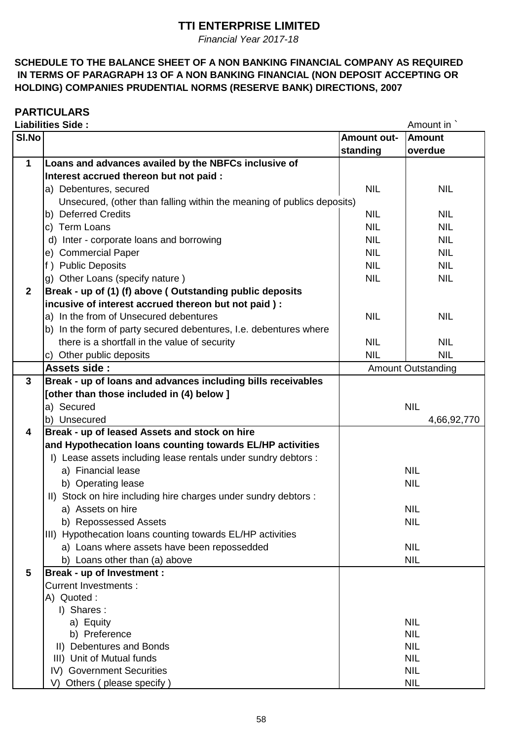*Financial Year 2017-18*

**SCHEDULE TO THE BALANCE SHEET OF A NON BANKING FINANCIAL COMPANY AS REQUIRED IN TERMS OF PARAGRAPH 13 OF A NON BANKING FINANCIAL (NON DEPOSIT ACCEPTING OR HOLDING) COMPANIES PRUDENTIAL NORMS (RESERVE BANK) DIRECTIONS, 2007**

## **PARTICULARS**

|                | <b>Liabilities Side:</b>                                               |                    | Amount in                 |
|----------------|------------------------------------------------------------------------|--------------------|---------------------------|
| SI.No          |                                                                        | <b>Amount out-</b> | <b>Amount</b>             |
|                |                                                                        | standing           | overdue                   |
| $\mathbf 1$    | Loans and advances availed by the NBFCs inclusive of                   |                    |                           |
|                | Interest accrued thereon but not paid :                                |                    |                           |
|                | a) Debentures, secured                                                 | <b>NIL</b>         | <b>NIL</b>                |
|                | Unsecured, (other than falling within the meaning of publics deposits) |                    |                           |
|                | b) Deferred Credits                                                    | <b>NIL</b>         | <b>NIL</b>                |
|                | c) Term Loans                                                          | <b>NIL</b>         | <b>NIL</b>                |
|                | d) Inter - corporate loans and borrowing                               | <b>NIL</b>         | <b>NIL</b>                |
|                | e) Commercial Paper                                                    | <b>NIL</b>         | <b>NIL</b>                |
|                | f) Public Deposits                                                     | <b>NIL</b>         | <b>NIL</b>                |
|                | g) Other Loans (specify nature)                                        | <b>NIL</b>         | <b>NIL</b>                |
| $\overline{2}$ | Break - up of (1) (f) above (Outstanding public deposits               |                    |                           |
|                | incusive of interest accrued thereon but not paid) :                   |                    |                           |
|                | a) In the from of Unsecured debentures                                 | <b>NIL</b>         | <b>NIL</b>                |
|                | b) In the form of party secured debentures, I.e. debentures where      |                    |                           |
|                | there is a shortfall in the value of security                          | <b>NIL</b>         | <b>NIL</b>                |
|                | c) Other public deposits                                               | <b>NIL</b>         | <b>NIL</b>                |
|                | Assets side:                                                           |                    | <b>Amount Outstanding</b> |
| $\mathbf{3}$   | Break - up of loans and advances including bills receivables           |                    |                           |
|                | [other than those included in (4) below ]                              |                    |                           |
|                | a) Secured                                                             |                    | <b>NIL</b>                |
|                | b) Unsecured                                                           |                    | 4,66,92,770               |
| 4              | Break - up of leased Assets and stock on hire                          |                    |                           |
|                | and Hypothecation loans counting towards EL/HP activities              |                    |                           |
|                | I) Lease assets including lease rentals under sundry debtors :         |                    |                           |
|                | a) Financial lease                                                     |                    | <b>NIL</b>                |
|                | b) Operating lease                                                     |                    | <b>NIL</b>                |
|                | II) Stock on hire including hire charges under sundry debtors :        |                    |                           |
|                | a) Assets on hire                                                      |                    | <b>NIL</b>                |
|                | b) Repossessed Assets                                                  |                    | <b>NIL</b>                |
|                | III) Hypothecation loans counting towards EL/HP activities             |                    |                           |
|                | a) Loans where assets have been repossedded                            |                    | <b>NIL</b>                |
|                | b) Loans other than (a) above                                          |                    | <b>NIL</b>                |
| 5              | <b>Break - up of Investment:</b>                                       |                    |                           |
|                | <b>Current Investments:</b>                                            |                    |                           |
|                | A) Quoted:                                                             |                    |                           |
|                | I) Shares:                                                             |                    |                           |
|                | a) Equity                                                              |                    | <b>NIL</b>                |
|                | b) Preference                                                          |                    | <b>NIL</b>                |
|                | II) Debentures and Bonds                                               |                    | <b>NIL</b>                |
|                | III) Unit of Mutual funds                                              |                    | <b>NIL</b>                |
|                | IV) Government Securities                                              |                    | <b>NIL</b>                |
|                | V) Others (please specify)                                             |                    | <b>NIL</b>                |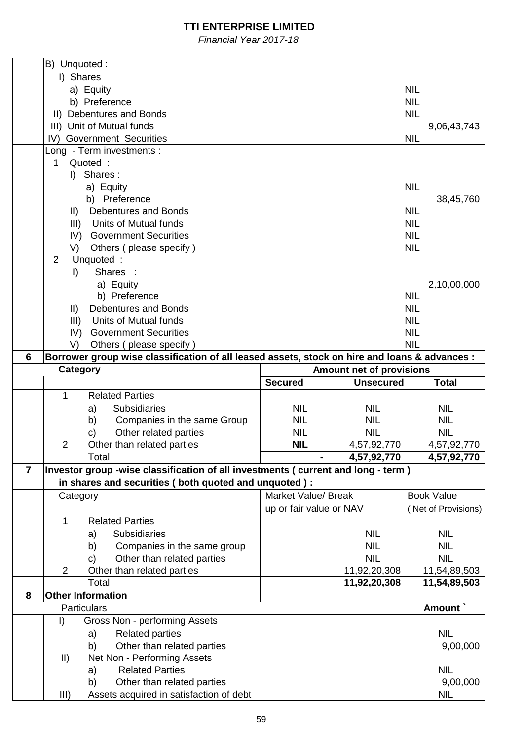*Financial Year 2017-18*

|                         | B) Unquoted:                                                                                  |                            |                  |                        |
|-------------------------|-----------------------------------------------------------------------------------------------|----------------------------|------------------|------------------------|
|                         | I) Shares                                                                                     |                            |                  |                        |
|                         | a) Equity                                                                                     |                            |                  | <b>NIL</b>             |
|                         | b) Preference                                                                                 |                            |                  | <b>NIL</b>             |
|                         | Debentures and Bonds<br>ID.                                                                   |                            |                  | <b>NIL</b>             |
|                         | III) Unit of Mutual funds                                                                     |                            |                  | 9,06,43,743            |
|                         | IV) Government Securities                                                                     |                            |                  | <b>NIL</b>             |
|                         | Long - Term investments :                                                                     |                            |                  |                        |
|                         | Quoted:<br>1                                                                                  |                            |                  |                        |
|                         | I) Shares:                                                                                    |                            |                  |                        |
|                         | a) Equity                                                                                     |                            |                  | <b>NIL</b>             |
|                         | b) Preference                                                                                 |                            |                  | 38,45,760              |
|                         | <b>Debentures and Bonds</b><br>$\vert \vert \vert$                                            |                            |                  | <b>NIL</b>             |
|                         | <b>Units of Mutual funds</b><br>III)                                                          |                            |                  | <b>NIL</b>             |
|                         | IV) Government Securities                                                                     |                            |                  | <b>NIL</b>             |
|                         | V)<br>Others (please specify)                                                                 |                            |                  | <b>NIL</b>             |
|                         | 2<br>Unquoted:                                                                                |                            |                  |                        |
|                         | Shares :<br>I)                                                                                |                            |                  |                        |
|                         | a) Equity                                                                                     |                            |                  | 2,10,00,000            |
|                         | b) Preference                                                                                 |                            |                  | <b>NIL</b>             |
|                         | <b>Debentures and Bonds</b><br>$\parallel$                                                    |                            |                  | <b>NIL</b>             |
|                         | Units of Mutual funds<br>III)                                                                 |                            |                  | <b>NIL</b>             |
|                         | <b>Government Securities</b><br>IV)                                                           |                            |                  | <b>NIL</b>             |
|                         | V)<br>Others (please specify)                                                                 |                            |                  | <b>NIL</b>             |
| $6\phantom{1}6$         | Borrower group wise classification of all leased assets, stock on hire and loans & advances : |                            |                  |                        |
|                         | Category<br>Amount net of provisions                                                          |                            |                  |                        |
|                         |                                                                                               | <b>Secured</b>             | <b>Unsecured</b> | <b>Total</b>           |
|                         |                                                                                               |                            |                  |                        |
|                         |                                                                                               |                            |                  |                        |
|                         | 1<br><b>Related Parties</b>                                                                   |                            |                  |                        |
|                         | Subsidiaries<br>a)                                                                            | <b>NIL</b>                 | <b>NIL</b>       | <b>NIL</b>             |
|                         | b)<br>Companies in the same Group                                                             | <b>NIL</b>                 | <b>NIL</b>       | <b>NIL</b>             |
|                         | Other related parties<br>c)                                                                   | <b>NIL</b>                 | <b>NIL</b>       | <b>NIL</b>             |
|                         | 2<br>Other than related parties                                                               | <b>NIL</b>                 | 4,57,92,770      | 4,57,92,770            |
|                         | Total                                                                                         |                            | 4,57,92,770      | 4,57,92,770            |
| $\overline{\mathbf{7}}$ | Investor group -wise classification of all investments ( current and long - term )            |                            |                  |                        |
|                         | in shares and securities (both quoted and unquoted):                                          |                            |                  |                        |
|                         | Category                                                                                      | <b>Market Value/ Break</b> |                  | <b>Book Value</b>      |
|                         |                                                                                               | up or fair value or NAV    |                  | (Net of Provisions)    |
|                         | 1<br><b>Related Parties</b>                                                                   |                            |                  |                        |
|                         | Subsidiaries<br>a)                                                                            |                            | <b>NIL</b>       | <b>NIL</b>             |
|                         | b)<br>Companies in the same group                                                             |                            | <b>NIL</b>       | <b>NIL</b>             |
|                         | Other than related parties<br>c)                                                              |                            | <b>NIL</b>       | <b>NIL</b>             |
|                         | Other than related parties<br>2                                                               |                            | 11,92,20,308     | 11,54,89,503           |
|                         | Total                                                                                         |                            | 11,92,20,308     | 11,54,89,503           |
| 8                       | <b>Other Information</b>                                                                      |                            |                  |                        |
|                         | Particulars                                                                                   |                            |                  | Amount `               |
|                         | Gross Non - performing Assets<br>$\vert$                                                      |                            |                  |                        |
|                         | a)<br><b>Related parties</b>                                                                  |                            |                  | <b>NIL</b>             |
|                         | Other than related parties<br>b)                                                              |                            |                  | 9,00,000               |
|                         | Net Non - Performing Assets<br>$\parallel$                                                    |                            |                  |                        |
|                         | <b>Related Parties</b><br>a)                                                                  |                            |                  | <b>NIL</b>             |
|                         | b)<br>Other than related parties<br>III)<br>Assets acquired in satisfaction of debt           |                            |                  | 9,00,000<br><b>NIL</b> |